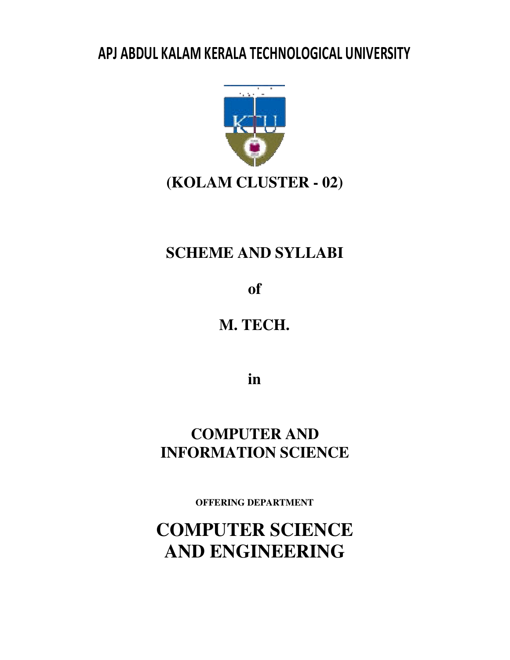# APJ ABDUL KALAM KERALA TECHNOLOGICAL UNIVERSITY



# **(KOLAM CLUSTER - 02)**

# **SCHEME AND SYLLABI**

**of**

**M. TECH.** 

**in**

**COMPUTER AND INFORMATION SCIENCE**

**OFFERING DEPARTMENT**

**COMPUTER SCIENCE AND ENGINEERING**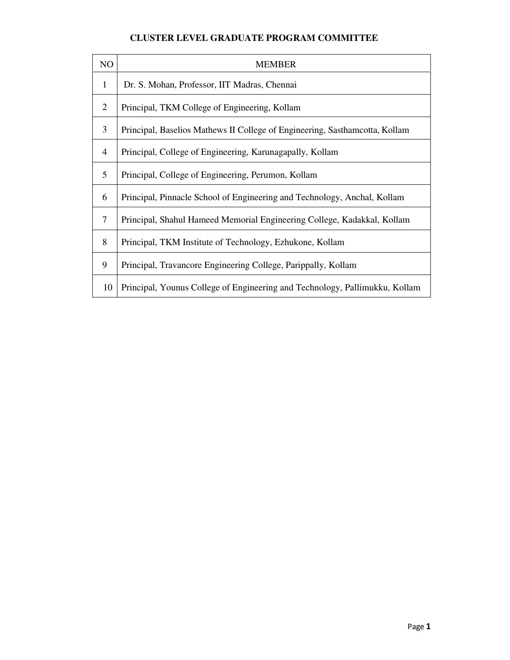### **CLUSTER LEVEL GRADUATE PROGRAM COMMITTEE**

| N <sub>O</sub> | <b>MEMBER</b>                                                               |
|----------------|-----------------------------------------------------------------------------|
| $\mathbf{1}$   | Dr. S. Mohan, Professor, IIT Madras, Chennai                                |
| 2              | Principal, TKM College of Engineering, Kollam                               |
| 3              | Principal, Baselios Mathews II College of Engineering, Sasthamcotta, Kollam |
| $\overline{4}$ | Principal, College of Engineering, Karunagapally, Kollam                    |
| 5              | Principal, College of Engineering, Perumon, Kollam                          |
| 6              | Principal, Pinnacle School of Engineering and Technology, Anchal, Kollam    |
| 7              | Principal, Shahul Hameed Memorial Engineering College, Kadakkal, Kollam     |
| 8              | Principal, TKM Institute of Technology, Ezhukone, Kollam                    |
| 9              | Principal, Travancore Engineering College, Parippally, Kollam               |
| 10             | Principal, Younus College of Engineering and Technology, Pallimukku, Kollam |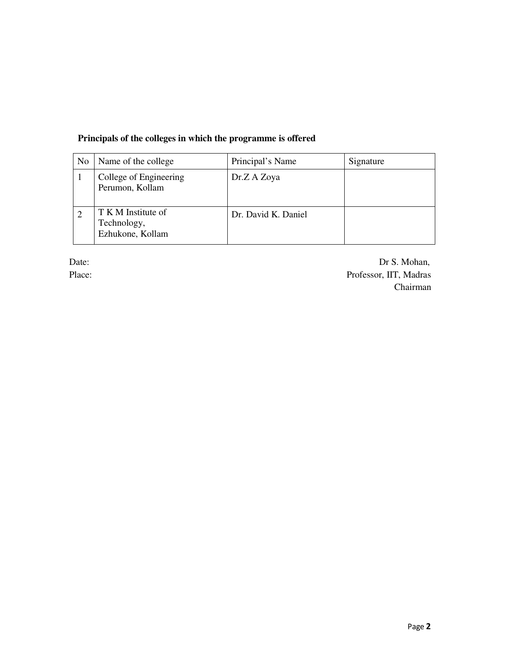### **Principals of the colleges in which the programme is offered**

| No. | Name of the college                                   | Principal's Name    | Signature |
|-----|-------------------------------------------------------|---------------------|-----------|
|     | College of Engineering<br>Perumon, Kollam             | Dr.Z A Zoya         |           |
|     | T K M Institute of<br>Technology,<br>Ezhukone, Kollam | Dr. David K. Daniel |           |

Date: Dr S. Mohan, Place: Professor, IIT, Madras Chairman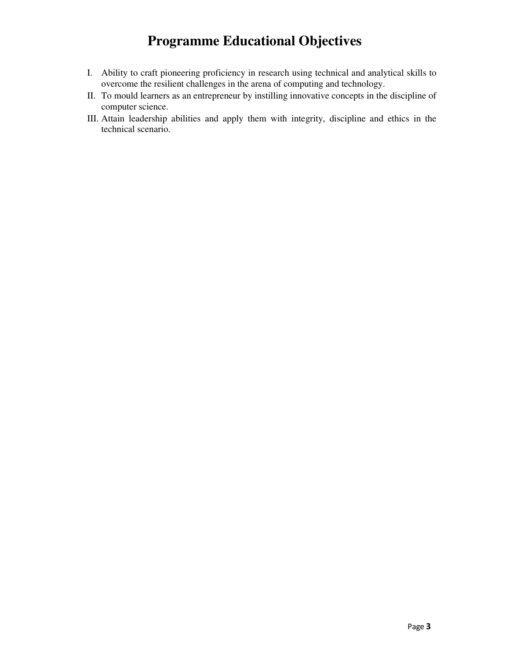## **Programme Educational Objectives**

- I. Ability to craft pioneering proficiency in research using technical and analytical skills to overcome the resilient challenges in the arena of computing and technology.
- II. To mould learners as an entrepreneur by instilling innovative concepts in the discipline of computer science.
- III. Attain leadership abilities and apply them with integrity, discipline and ethics in the technical scenario.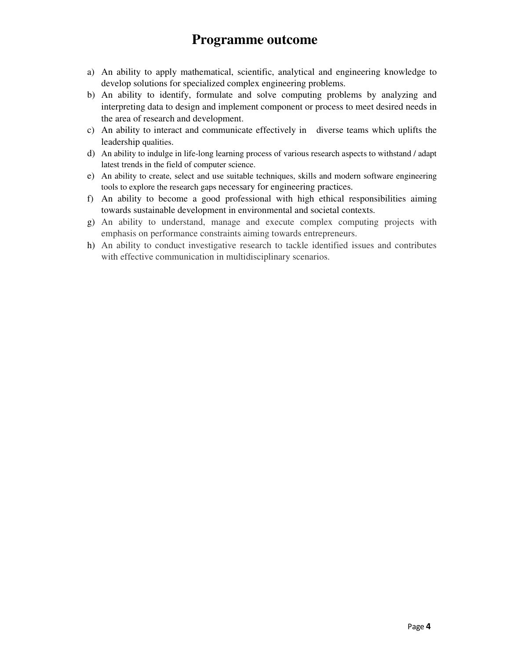## **Programme outcome**

- a) An ability to apply mathematical, scientific, analytical and engineering knowledge to develop solutions for specialized complex engineering problems.
- b) An ability to identify, formulate and solve computing problems by analyzing and interpreting data to design and implement component or process to meet desired needs in the area of research and development.
- c) An ability to interact and communicate effectively in diverse teams which uplifts the leadership qualities.
- d) An ability to indulge in life-long learning process of various research aspects to withstand / adapt latest trends in the field of computer science.
- e) An ability to create, select and use suitable techniques, skills and modern software engineering tools to explore the research gaps necessary for engineering practices.
- f) An ability to become a good professional with high ethical responsibilities aiming towards sustainable development in environmental and societal contexts.
- g) An ability to understand, manage and execute complex computing projects with emphasis on performance constraints aiming towards entrepreneurs.
- h) An ability to conduct investigative research to tackle identified issues and contributes with effective communication in multidisciplinary scenarios.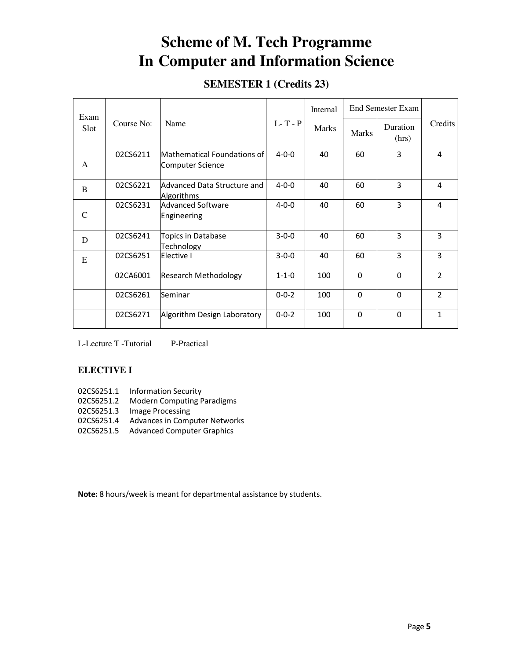## **Scheme of M. Tech Programme In Computer and Information Science**

## **SEMESTER 1 (Credits 23)**

| Exam         |            |                                                  |             | Internal     |              | <b>End Semester Exam</b> |                |
|--------------|------------|--------------------------------------------------|-------------|--------------|--------------|--------------------------|----------------|
| Slot         | Course No: | Name                                             | $L-T - P$   | <b>Marks</b> | <b>Marks</b> | Duration<br>(hrs)        | Credits        |
| A            | 02CS6211   | Mathematical Foundations of<br>Computer Science  | $4 - 0 - 0$ | 40           | 60           | 3                        | 4              |
| <sub>B</sub> | 02CS6221   | Advanced Data Structure and<br><b>Algorithms</b> | $4 - 0 - 0$ | 40           | 60           | 3                        | 4              |
| C            | 02CS6231   | Advanced Software<br>Engineering                 | $4 - 0 - 0$ | 40           | 60           | 3                        | 4              |
| D            | 02CS6241   | Topics in Database<br>Technology                 | $3 - 0 - 0$ | 40           | 60           | 3                        | 3              |
| E            | 02CS6251   | Elective I                                       | $3 - 0 - 0$ | 40           | 60           | 3                        | 3              |
|              | 02CA6001   | <b>Research Methodology</b>                      | $1 - 1 - 0$ | 100          | 0            | $\Omega$                 | $\overline{2}$ |
|              | 02CS6261   | Seminar                                          | $0 - 0 - 2$ | 100          | $\Omega$     | $\Omega$                 | $\overline{2}$ |
|              | 02CS6271   | Algorithm Design Laboratory                      | $0 - 0 - 2$ | 100          | $\Omega$     | $\Omega$                 | $\mathbf{1}$   |

L-Lecture T -Tutorial P-Practical

### **ELECTIVE I**

- 02CS6251.1 Information Security
- 02CS6251.2 Modern Computing Paradigms
- 02CS6251.3 Image Processing
- 02CS6251.4 Advances in Computer Networks
- 02CS6251.5 Advanced Computer Graphics

Note: 8 hours/week is meant for departmental assistance by students.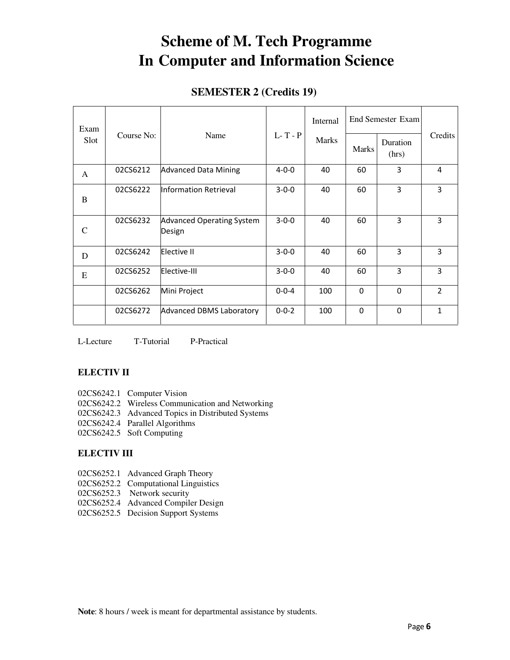## **Scheme of M. Tech Programme In Computer and Information Science**

### **SEMESTER 2 (Credits 19)**

| Exam |            |                                            |             | Internal     | <b>End Semester Exam</b> |                   |                |
|------|------------|--------------------------------------------|-------------|--------------|--------------------------|-------------------|----------------|
| Slot | Course No: | Name                                       | $L-T - P$   | <b>Marks</b> | <b>Marks</b>             | Duration<br>(hrs) | Credits        |
| A    | 02CS6212   | <b>Advanced Data Mining</b>                | $4 - 0 - 0$ | 40           | 60                       | 3                 | 4              |
| B    | 02CS6222   | Information Retrieval                      | $3 - 0 - 0$ | 40           | 60                       | 3                 | 3              |
| C    | 02CS6232   | <b>Advanced Operating System</b><br>Design | $3 - 0 - 0$ | 40           | 60                       | 3                 | 3              |
| D    | 02CS6242   | Elective II                                | $3 - 0 - 0$ | 40           | 60                       | 3                 | 3              |
| E    | 02CS6252   | Elective-III                               | $3 - 0 - 0$ | 40           | 60                       | 3                 | 3              |
|      | 02CS6262   | Mini Project                               | $0 - 0 - 4$ | 100          | $\Omega$                 | $\Omega$          | $\overline{2}$ |
|      | 02CS6272   | <b>Advanced DBMS Laboratory</b>            | $0 - 0 - 2$ | 100          | 0                        | $\Omega$          | 1              |

L-Lecture T-Tutorial P-Practical

#### **ELECTIV II**

- 02CS6242.1 Computer Vision
- 02CS6242.2 Wireless Communication and Networking
- 02CS6242.3 Advanced Topics in Distributed Systems
- 02CS6242.4 Parallel Algorithms
- 02CS6242.5 Soft Computing

#### **ELECTIV III**

- 02CS6252.1 Advanced Graph Theory
- 02CS6252.2 Computational Linguistics
- 02CS6252.3 Network security
- 02CS6252.4 Advanced Compiler Design
- 02CS6252.5 Decision Support Systems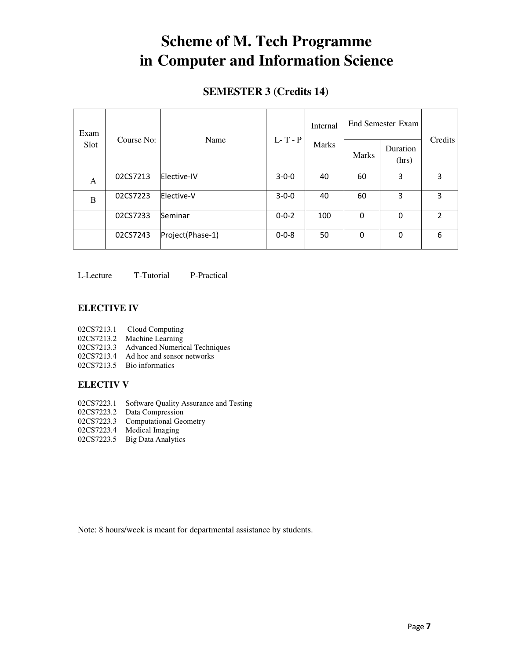## **Scheme of M. Tech Programme in Computer and Information Science**

### **SEMESTER 3 (Credits 14)**

| Exam | Course No:<br>Name |                  |             | Internal     | End Semester Exam |                   |                |
|------|--------------------|------------------|-------------|--------------|-------------------|-------------------|----------------|
| Slot |                    |                  | $L-T - P$   | <b>Marks</b> | <b>Marks</b>      | Duration<br>(hrs) | Credits        |
| A    | 02CS7213           | Elective-IV      | $3 - 0 - 0$ | 40           | 60                | 3                 | 3              |
| B    | 02CS7223           | Elective-V       | $3 - 0 - 0$ | 40           | 60                | 3                 | 3              |
|      | 02CS7233           | Seminar          | $0 - 0 - 2$ | 100          | 0                 | 0                 | $\overline{2}$ |
|      | 02CS7243           | Project(Phase-1) | $0 - 0 - 8$ | 50           | 0                 | $\mathbf 0$       | 6              |

L-Lecture T-Tutorial P-Practical

#### **ELECTIVE IV**

- 02CS7213.1 Cloud Computing
- 02CS7213.2 Machine Learning
- 02CS7213.3 Advanced Numerical Techniques
- 02CS7213.4 Ad hoc and sensor networks
- 02CS7213.5 Bio informatics

### **ELECTIV V**

- 02CS7223.1 Software Quality Assurance and Testing
- 02CS7223.2 Data Compression
- 02CS7223.3 Computational Geometry
- 02CS7223.4 Medical Imaging
- 02CS7223.5 Big Data Analytics

Note: 8 hours/week is meant for departmental assistance by students.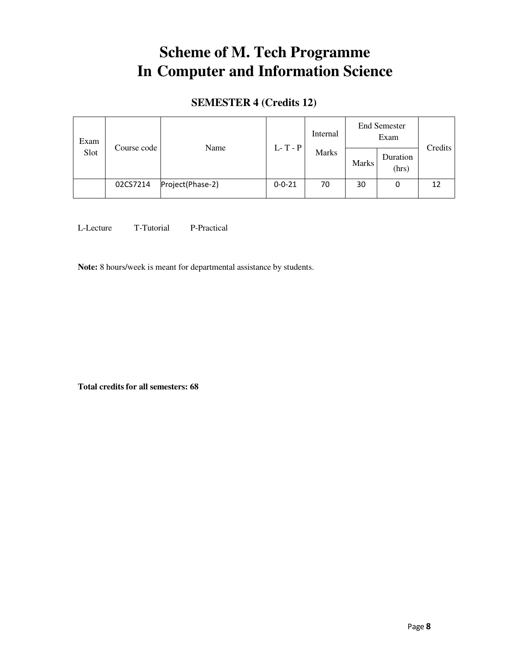## **Scheme of M. Tech Programme In Computer and Information Science**

## **SEMESTER 4 (Credits 12)**

| Exam |          | Name             | Course code  | Internal                  |              | <b>End Semester</b><br>Exam |         |
|------|----------|------------------|--------------|---------------------------|--------------|-----------------------------|---------|
| Slot |          |                  |              | $L-T - P$<br><b>Marks</b> | <b>Marks</b> | Duration<br>(hrs)           | Credits |
|      | 02CS7214 | Project(Phase-2) | $0 - 0 - 21$ | 70                        | 30           | 0                           | 12      |

L-Lecture T-Tutorial P-Practical

**Note:** 8 hours/week is meant for departmental assistance by students.

**Total credits for all semesters: 68**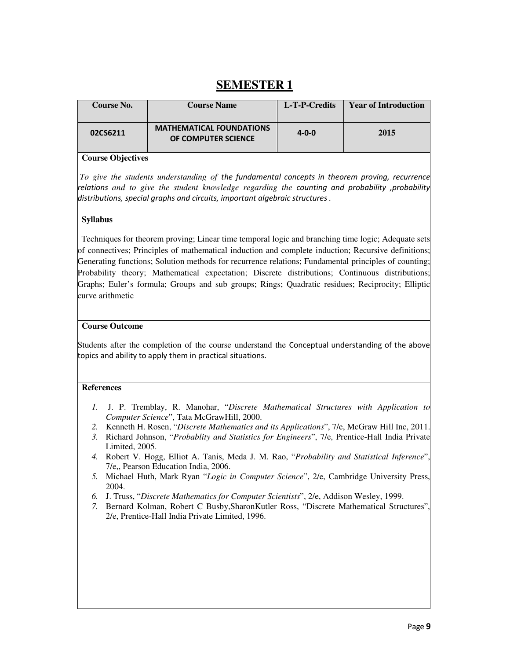## **SEMESTER 1**

| <b>Course No.</b> | <b>Course Name</b>                                     | L-T-P-Credits | <b>Year of Introduction</b> |
|-------------------|--------------------------------------------------------|---------------|-----------------------------|
| 02CS6211          | <b>MATHEMATICAL FOUNDATIONS</b><br>OF COMPUTER SCIENCE | $4 - 0 - 0$   | 2015                        |

#### **Course Objectives**

 *To give the students understanding of* the fundamental concepts in theorem proving, recurrence relations *and to give the student knowledge regarding the* counting and probability ,probability distributions, special graphs and circuits, important algebraic structures .

#### **Syllabus**

Techniques for theorem proving; Linear time temporal logic and branching time logic; Adequate sets of connectives; Principles of mathematical induction and complete induction; Recursive definitions; Generating functions; Solution methods for recurrence relations; Fundamental principles of counting; Probability theory; Mathematical expectation; Discrete distributions; Continuous distributions; Graphs; Euler's formula; Groups and sub groups; Rings; Quadratic residues; Reciprocity; Elliptic curve arithmetic

#### **Course Outcome**

Students after the completion of the course understand the Conceptual understanding of the above topics and ability to apply them in practical situations.

- *1.* J. P. Tremblay, R. Manohar, "*Discrete Mathematical Structures with Application to Computer Science*", Tata McGrawHill, 2000.
- *2.* Kenneth H. Rosen, "*Discrete Mathematics and its Applications*", 7/e, McGraw Hill Inc, 2011.
- *3.* Richard Johnson, "*Probablity and Statistics for Engineers*", 7/e, Prentice-Hall India Private Limited, 2005.
- *4.* Robert V. Hogg, Elliot A. Tanis, Meda J. M. Rao, "*Probability and Statistical Inference*", 7/e,, Pearson Education India, 2006.
- *5.* Michael Huth, Mark Ryan "*Logic in Computer Science*", 2/e, Cambridge University Press, 2004.
- *6.* J. Truss, "*Discrete Mathematics for Computer Scientists*", 2/e, Addison Wesley, 1999.
- *7.* Bernard Kolman, Robert C Busby,SharonKutler Ross, "Discrete Mathematical Structures", 2/e, Prentice-Hall India Private Limited, 1996.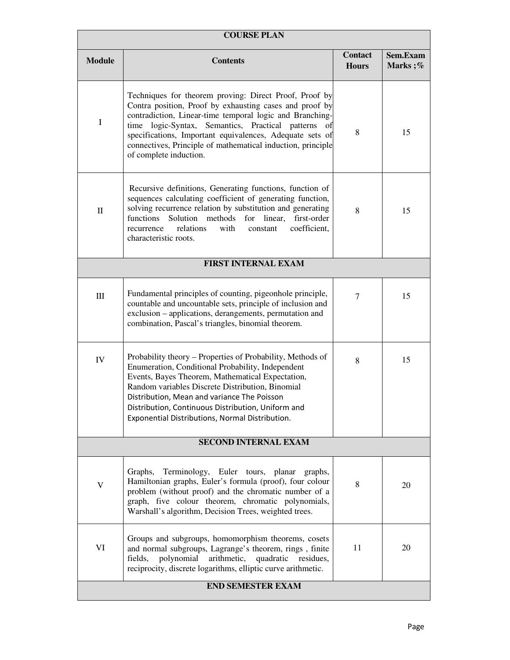| <b>COURSE PLAN</b>       |                                                                                                                                                                                                                                                                                                                                                                                              |                                |                     |  |  |  |
|--------------------------|----------------------------------------------------------------------------------------------------------------------------------------------------------------------------------------------------------------------------------------------------------------------------------------------------------------------------------------------------------------------------------------------|--------------------------------|---------------------|--|--|--|
| <b>Module</b>            | <b>Contents</b>                                                                                                                                                                                                                                                                                                                                                                              | <b>Contact</b><br><b>Hours</b> | Sem.Exam<br>Marks;% |  |  |  |
| $\mathbf I$              | Techniques for theorem proving: Direct Proof, Proof by<br>Contra position, Proof by exhausting cases and proof by<br>contradiction, Linear-time temporal logic and Branching-<br>time logic-Syntax,<br>Semantics, Practical patterns of<br>specifications, Important equivalences, Adequate sets of<br>connectives, Principle of mathematical induction, principle<br>of complete induction. | 8                              | 15                  |  |  |  |
| $\mathbf{I}$             | Recursive definitions, Generating functions, function of<br>sequences calculating coefficient of generating function,<br>solving recurrence relation by substitution and generating<br>functions<br>Solution<br>methods<br>for<br>linear,<br>first-order<br>relations<br>with<br>coefficient,<br>recurrence<br>constant<br>characteristic roots.                                             | 8                              | 15                  |  |  |  |
|                          | <b>FIRST INTERNAL EXAM</b>                                                                                                                                                                                                                                                                                                                                                                   |                                |                     |  |  |  |
| $\rm III$                | Fundamental principles of counting, pigeonhole principle,<br>countable and uncountable sets, principle of inclusion and<br>exclusion - applications, derangements, permutation and<br>combination, Pascal's triangles, binomial theorem.                                                                                                                                                     | $\overline{7}$                 | 15                  |  |  |  |
| ${\rm IV}$               | Probability theory - Properties of Probability, Methods of<br>Enumeration, Conditional Probability, Independent<br>Events, Bayes Theorem, Mathematical Expectation,<br>Random variables Discrete Distribution, Binomial<br>Distribution, Mean and variance The Poisson<br>Distribution, Continuous Distribution, Uniform and<br>Exponential Distributions, Normal Distribution.              | 8                              | 15                  |  |  |  |
|                          | <b>SECOND INTERNAL EXAM</b>                                                                                                                                                                                                                                                                                                                                                                  |                                |                     |  |  |  |
| V                        | Terminology, Euler tours, planar<br>graphs,<br>Graphs,<br>Hamiltonian graphs, Euler's formula (proof), four colour<br>problem (without proof) and the chromatic number of a<br>graph, five colour theorem, chromatic polynomials,<br>Warshall's algorithm, Decision Trees, weighted trees.                                                                                                   | 8                              | 20                  |  |  |  |
| VI                       | Groups and subgroups, homomorphism theorems, cosets<br>and normal subgroups, Lagrange's theorem, rings, finite<br>polynomial<br>arithmetic, quadratic residues,<br>fields,<br>reciprocity, discrete logarithms, elliptic curve arithmetic.                                                                                                                                                   | 11                             | 20                  |  |  |  |
| <b>END SEMESTER EXAM</b> |                                                                                                                                                                                                                                                                                                                                                                                              |                                |                     |  |  |  |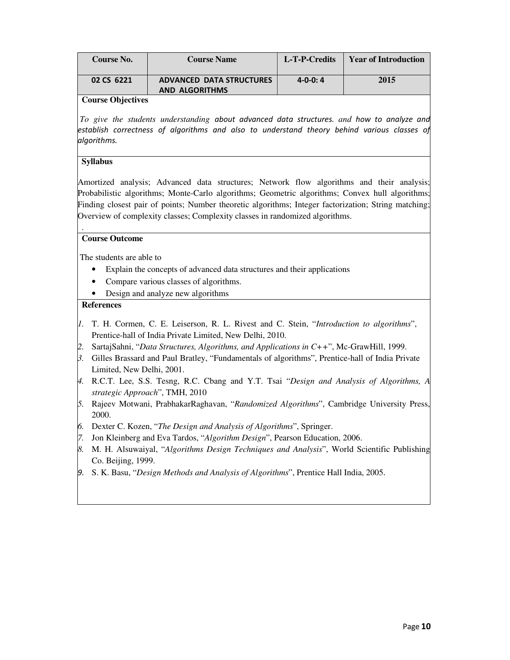| <b>Course No.</b>           | <b>Course Name</b>                                       | L-T-P-Credits  | <b>Year of Introduction</b> |
|-----------------------------|----------------------------------------------------------|----------------|-----------------------------|
| 02 CS 6221                  | <b>ADVANCED DATA STRUCTURES</b><br><b>AND ALGORITHMS</b> | $4 - 0 - 0: 4$ | 2015                        |
| $\mathcal{O}$ $\mathcal{O}$ |                                                          |                |                             |

 *To give the students understanding* about advanced data structures. *and* how to analyze and establish correctness of algorithms and also to understand theory behind various classes of algorithms.

#### **Syllabus**

.

Amortized analysis; Advanced data structures; Network flow algorithms and their analysis; Probabilistic algorithms; Monte-Carlo algorithms; Geometric algorithms; Convex hull algorithms; Finding closest pair of points; Number theoretic algorithms; Integer factorization; String matching; Overview of complexity classes; Complexity classes in randomized algorithms.

#### **Course Outcome**

The students are able to

- Explain the concepts of advanced data structures and their applications
- Compare various classes of algorithms.
- Design and analyze new algorithms

- *1.* T. H. Cormen, C. E. Leiserson, R. L. Rivest and C. Stein, "*Introduction to algorithms*", Prentice-hall of India Private Limited, New Delhi, 2010.
- *2.* SartajSahni, "*Data Structures, Algorithms, and Applications in C++*", Mc-GrawHill, 1999.
- *3.* Gilles Brassard and Paul Bratley, "Fundamentals of algorithms", Prentice-hall of India Private Limited, New Delhi, 2001.
- *4.* R.C.T. Lee, S.S. Tesng, R.C. Cbang and Y.T. Tsai "*Design and Analysis of Algorithms, A strategic Approach*", TMH, 2010
- *5.* Rajeev Motwani, PrabhakarRaghavan, "*Randomized Algorithms*", Cambridge University Press, 2000.
- *6.* Dexter C. Kozen, "*The Design and Analysis of Algorithms*", Springer.
- *7.* Jon Kleinberg and Eva Tardos, "*Algorithm Design*", Pearson Education, 2006.
- *8.* M. H. Alsuwaiyal, "*Algorithms Design Techniques and Analysis*", World Scientific Publishing Co. Beijing, 1999.
- 9. S. K. Basu, "*Design Methods and Analysis of Algorithms*", Prentice Hall India, 2005.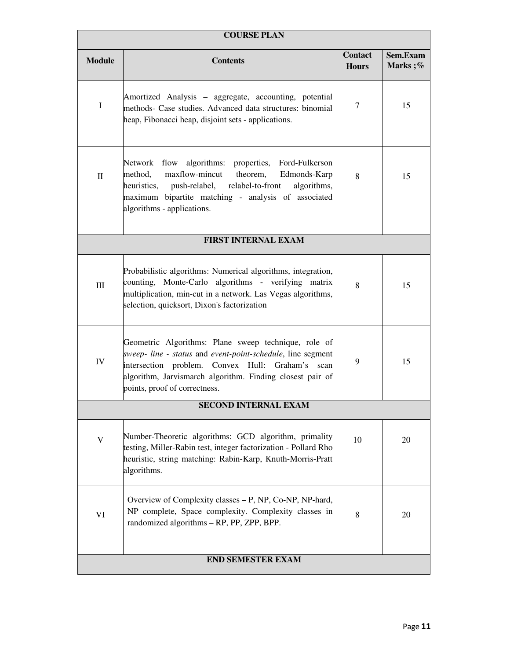|               | <b>COURSE PLAN</b>                                                                                                                                                                                                                                                    |                                |                     |  |  |  |  |
|---------------|-----------------------------------------------------------------------------------------------------------------------------------------------------------------------------------------------------------------------------------------------------------------------|--------------------------------|---------------------|--|--|--|--|
| <b>Module</b> | <b>Contents</b>                                                                                                                                                                                                                                                       | <b>Contact</b><br><b>Hours</b> | Sem.Exam<br>Marks;% |  |  |  |  |
| I             | Amortized Analysis – aggregate, accounting, potential<br>methods- Case studies. Advanced data structures: binomial<br>heap, Fibonacci heap, disjoint sets - applications.                                                                                             | $\tau$                         | 15                  |  |  |  |  |
| $\mathbf{I}$  | Network flow algorithms: properties, Ford-Fulkerson<br>maxflow-mincut<br>theorem,<br>method,<br>Edmonds-Karp<br>heuristics,<br>relabel-to-front<br>algorithms,<br>push-relabel,<br>maximum bipartite matching - analysis of associated<br>algorithms - applications.  | 8                              | 15                  |  |  |  |  |
|               | <b>FIRST INTERNAL EXAM</b>                                                                                                                                                                                                                                            |                                |                     |  |  |  |  |
| III           | Probabilistic algorithms: Numerical algorithms, integration,<br>counting, Monte-Carlo algorithms - verifying matrix<br>multiplication, min-cut in a network. Las Vegas algorithms,<br>selection, quicksort, Dixon's factorization                                     | 8                              | 15                  |  |  |  |  |
| IV            | Geometric Algorithms: Plane sweep technique, role of<br>sweep- line - status and event-point-schedule, line segment<br>intersection problem. Convex Hull: Graham's scan<br>algorithm, Jarvismarch algorithm. Finding closest pair of<br>points, proof of correctness. | 9                              | 15                  |  |  |  |  |
|               | <b>SECOND INTERNAL EXAM</b>                                                                                                                                                                                                                                           |                                |                     |  |  |  |  |
| V             | Number-Theoretic algorithms: GCD algorithm, primality<br>testing, Miller-Rabin test, integer factorization - Pollard Rho<br>heuristic, string matching: Rabin-Karp, Knuth-Morris-Pratt<br>algorithms.                                                                 | 10                             | 20                  |  |  |  |  |
| VI            | Overview of Complexity classes – P, NP, Co-NP, NP-hard,<br>NP complete, Space complexity. Complexity classes in<br>randomized algorithms - RP, PP, ZPP, BPP.                                                                                                          | 8                              | 20                  |  |  |  |  |
|               | <b>END SEMESTER EXAM</b>                                                                                                                                                                                                                                              |                                |                     |  |  |  |  |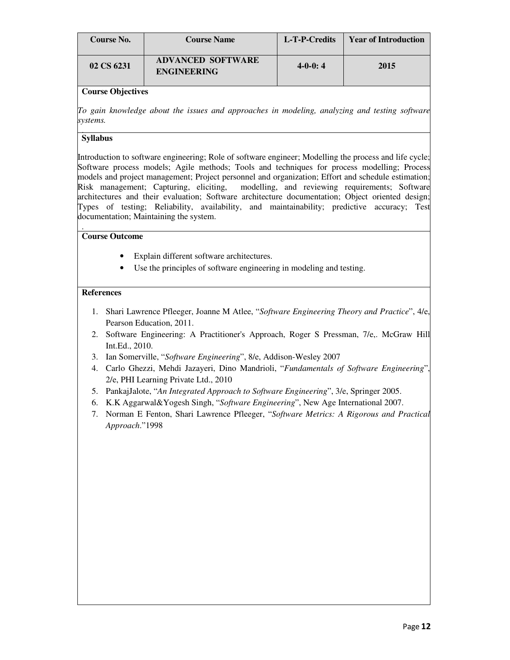| Course No. | <b>Course Name</b>                             | L-T-P-Credits | <b>Year of Introduction</b> |
|------------|------------------------------------------------|---------------|-----------------------------|
| 02 CS 6231 | <b>ADVANCED SOFTWARE</b><br><b>ENGINEERING</b> | $4-0-0:4$     | 2015                        |

*To gain knowledge about the issues and approaches in modeling, analyzing and testing software systems.* 

#### . **Syllabus**

Introduction to software engineering; Role of software engineer; Modelling the process and life cycle; Software process models; Agile methods; Tools and techniques for process modelling; Process models and project management; Project personnel and organization; Effort and schedule estimation; Risk management; Capturing, eliciting, modelling, and reviewing requirements; Software architectures and their evaluation; Software architecture documentation; Object oriented design; Types of testing; Reliability, availability, and maintainability; predictive accuracy; Test documentation; Maintaining the system.

#### . **Course Outcome**

- Explain different software architectures.
- Use the principles of software engineering in modeling and testing.

- 1. Shari Lawrence Pfleeger, Joanne M Atlee, "*Software Engineering Theory and Practice*", 4/e, Pearson Education, 2011.
- 2. Software Engineering: A Practitioner's Approach, Roger S Pressman, 7/e,. McGraw Hill Int.Ed., 2010.
- 3. Ian Somerville, "*Software Engineering*", 8/e, Addison-Wesley 2007
- 4. Carlo Ghezzi, Mehdi Jazayeri, Dino Mandrioli, "*Fundamentals of Software Engineering*", 2/e, PHI Learning Private Ltd., 2010
- 5. PankajJalote, "*An Integrated Approach to Software Engineering*", 3/e, Springer 2005.
- 6. K.K Aggarwal&Yogesh Singh, "*Software Engineering*", New Age International 2007.
- 7. Norman E Fenton, Shari Lawrence Pfleeger, "*Software Metrics: A Rigorous and Practical Approach*."1998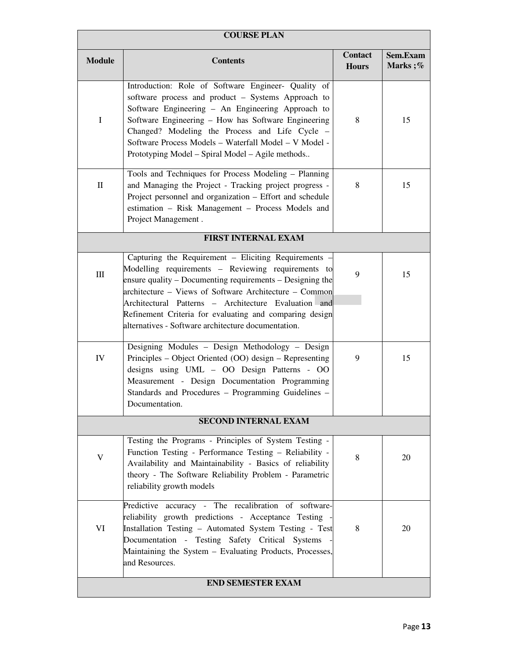| <b>COURSE PLAN</b> |                                                                                                                                                                                                                                                                                                                                                                                      |                                |                     |  |  |  |
|--------------------|--------------------------------------------------------------------------------------------------------------------------------------------------------------------------------------------------------------------------------------------------------------------------------------------------------------------------------------------------------------------------------------|--------------------------------|---------------------|--|--|--|
| <b>Module</b>      | <b>Contents</b>                                                                                                                                                                                                                                                                                                                                                                      | <b>Contact</b><br><b>Hours</b> | Sem.Exam<br>Marks;% |  |  |  |
| I                  | Introduction: Role of Software Engineer- Quality of<br>software process and product - Systems Approach to<br>Software Engineering - An Engineering Approach to<br>Software Engineering - How has Software Engineering<br>Changed? Modeling the Process and Life Cycle -<br>Software Process Models - Waterfall Model - V Model -<br>Prototyping Model – Spiral Model – Agile methods | 8                              | 15                  |  |  |  |
| $\mathbf{I}$       | Tools and Techniques for Process Modeling - Planning<br>and Managing the Project - Tracking project progress -<br>Project personnel and organization - Effort and schedule<br>estimation - Risk Management - Process Models and<br>Project Management.                                                                                                                               | 8                              | 15                  |  |  |  |
|                    | <b>FIRST INTERNAL EXAM</b>                                                                                                                                                                                                                                                                                                                                                           |                                |                     |  |  |  |
| $\mathop{\rm III}$ | Capturing the Requirement - Eliciting Requirements<br>Modelling requirements - Reviewing requirements to<br>ensure quality – Documenting requirements – Designing the<br>architecture - Views of Software Architecture - Common<br>Architectural Patterns - Architecture Evaluation and                                                                                              | 9                              | 15                  |  |  |  |
|                    | Refinement Criteria for evaluating and comparing design<br>alternatives - Software architecture documentation.                                                                                                                                                                                                                                                                       |                                |                     |  |  |  |
| IV                 | Designing Modules - Design Methodology - Design<br>Principles – Object Oriented (OO) design – Representing<br>designs using UML - OO Design Patterns - OO<br>Measurement - Design Documentation Programming<br>Standards and Procedures - Programming Guidelines -<br>Documentation.                                                                                                 | 9                              | 15                  |  |  |  |
|                    | <b>SECOND INTERNAL EXAM</b>                                                                                                                                                                                                                                                                                                                                                          |                                |                     |  |  |  |
| V                  | Testing the Programs - Principles of System Testing -<br>Function Testing - Performance Testing - Reliability -<br>Availability and Maintainability - Basics of reliability<br>theory - The Software Reliability Problem - Parametric<br>reliability growth models                                                                                                                   | 8                              | 20                  |  |  |  |
| VI                 | Predictive accuracy - The recalibration of software-<br>reliability growth predictions - Acceptance Testing<br>Installation Testing - Automated System Testing - Test<br>Documentation - Testing Safety Critical Systems<br>Maintaining the System - Evaluating Products, Processes,<br>and Resources.                                                                               | 8                              | 20                  |  |  |  |
|                    | <b>END SEMESTER EXAM</b>                                                                                                                                                                                                                                                                                                                                                             |                                |                     |  |  |  |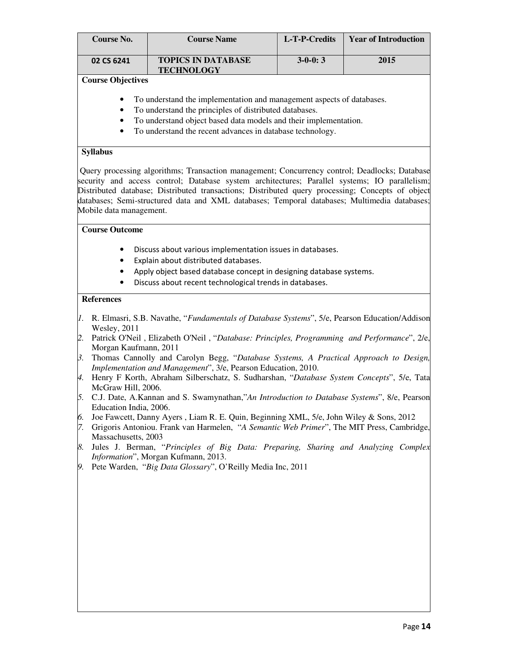| <b>Course No.</b>    |                                                                                                                                                                                                                                                                                                                                                                                                                                                                                                                                                                                                                                                                                                                                                                                                                                                                                                                                                                                                                | <b>Course Name</b><br>L-T-P-Credits<br><b>Year of Introduction</b>                                                                                                                                                                                                                                                                                                                                 |           |      |  |  |
|----------------------|----------------------------------------------------------------------------------------------------------------------------------------------------------------------------------------------------------------------------------------------------------------------------------------------------------------------------------------------------------------------------------------------------------------------------------------------------------------------------------------------------------------------------------------------------------------------------------------------------------------------------------------------------------------------------------------------------------------------------------------------------------------------------------------------------------------------------------------------------------------------------------------------------------------------------------------------------------------------------------------------------------------|----------------------------------------------------------------------------------------------------------------------------------------------------------------------------------------------------------------------------------------------------------------------------------------------------------------------------------------------------------------------------------------------------|-----------|------|--|--|
|                      | 02 CS 6241                                                                                                                                                                                                                                                                                                                                                                                                                                                                                                                                                                                                                                                                                                                                                                                                                                                                                                                                                                                                     | <b>TOPICS IN DATABASE</b><br><b>TECHNOLOGY</b>                                                                                                                                                                                                                                                                                                                                                     | $3-0-0:3$ | 2015 |  |  |
|                      | <b>Course Objectives</b>                                                                                                                                                                                                                                                                                                                                                                                                                                                                                                                                                                                                                                                                                                                                                                                                                                                                                                                                                                                       |                                                                                                                                                                                                                                                                                                                                                                                                    |           |      |  |  |
|                      | To understand the implementation and management aspects of databases.<br>٠<br>To understand the principles of distributed databases.<br>$\bullet$<br>To understand object based data models and their implementation.<br>$\bullet$<br>To understand the recent advances in database technology.<br>$\bullet$                                                                                                                                                                                                                                                                                                                                                                                                                                                                                                                                                                                                                                                                                                   |                                                                                                                                                                                                                                                                                                                                                                                                    |           |      |  |  |
|                      | <b>Syllabus</b>                                                                                                                                                                                                                                                                                                                                                                                                                                                                                                                                                                                                                                                                                                                                                                                                                                                                                                                                                                                                |                                                                                                                                                                                                                                                                                                                                                                                                    |           |      |  |  |
|                      | Mobile data management.                                                                                                                                                                                                                                                                                                                                                                                                                                                                                                                                                                                                                                                                                                                                                                                                                                                                                                                                                                                        | Query processing algorithms; Transaction management; Concurrency control; Deadlocks; Database<br>security and access control; Database system architectures; Parallel systems; IO parallelism;<br>Distributed database; Distributed transactions; Distributed query processing; Concepts of object<br>databases; Semi-structured data and XML databases; Temporal databases; Multimedia databases; |           |      |  |  |
|                      | <b>Course Outcome</b>                                                                                                                                                                                                                                                                                                                                                                                                                                                                                                                                                                                                                                                                                                                                                                                                                                                                                                                                                                                          |                                                                                                                                                                                                                                                                                                                                                                                                    |           |      |  |  |
|                      | ٠<br>٠<br>٠<br><b>References</b>                                                                                                                                                                                                                                                                                                                                                                                                                                                                                                                                                                                                                                                                                                                                                                                                                                                                                                                                                                               | Discuss about various implementation issues in databases.<br>Explain about distributed databases.<br>Apply object based database concept in designing database systems.<br>Discuss about recent technological trends in databases.                                                                                                                                                                 |           |      |  |  |
|                      |                                                                                                                                                                                                                                                                                                                                                                                                                                                                                                                                                                                                                                                                                                                                                                                                                                                                                                                                                                                                                |                                                                                                                                                                                                                                                                                                                                                                                                    |           |      |  |  |
| 6.<br>7.<br>8.<br>9. | 1. R. Elmasri, S.B. Navathe, "Fundamentals of Database Systems", 5/e, Pearson Education/Addison<br><b>Wesley</b> , 2011<br>[2. Patrick O'Neil, Elizabeth O'Neil, "Database: Principles, Programming and Performance", 2/e,<br>Morgan Kaufmann, 2011<br>Thomas Cannolly and Carolyn Begg, "Database Systems, A Practical Approach to Design,<br>3.<br>Implementation and Management", 3/e, Pearson Education, 2010.<br>4. Henry F Korth, Abraham Silberschatz, S. Sudharshan, "Database System Concepts", 5/e, Tata<br>McGraw Hill, 2006.<br>5. C.J. Date, A.Kannan and S. Swamynathan,"An Introduction to Database Systems", 8/e, Pearson<br>Education India, 2006.<br>Joe Fawcett, Danny Ayers, Liam R. E. Quin, Beginning XML, 5/e, John Wiley & Sons, 2012<br>Grigoris Antoniou. Frank van Harmelen, "A Semantic Web Primer", The MIT Press, Cambridge,<br>Massachusetts, 2003<br>Jules J. Berman, "Principles of Big Data: Preparing, Sharing and Analyzing Complex<br>Information", Morgan Kufmann, 2013. |                                                                                                                                                                                                                                                                                                                                                                                                    |           |      |  |  |
|                      |                                                                                                                                                                                                                                                                                                                                                                                                                                                                                                                                                                                                                                                                                                                                                                                                                                                                                                                                                                                                                | Pete Warden, "Big Data Glossary", O'Reilly Media Inc, 2011                                                                                                                                                                                                                                                                                                                                         |           |      |  |  |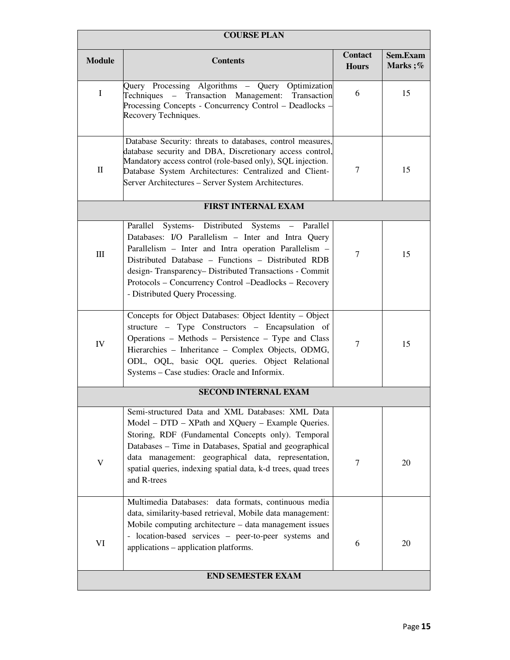| <b>COURSE PLAN</b> |                                                                                                                                                                                                                                                                                                                                                                                                                       |                                |                     |  |
|--------------------|-----------------------------------------------------------------------------------------------------------------------------------------------------------------------------------------------------------------------------------------------------------------------------------------------------------------------------------------------------------------------------------------------------------------------|--------------------------------|---------------------|--|
| <b>Module</b>      | <b>Contents</b>                                                                                                                                                                                                                                                                                                                                                                                                       | <b>Contact</b><br><b>Hours</b> | Sem.Exam<br>Marks;% |  |
| $\mathbf{I}$       | Query Processing Algorithms – Query Optimization<br>Techniques - Transaction Management: Transaction<br>Processing Concepts - Concurrency Control - Deadlocks -<br>Recovery Techniques.                                                                                                                                                                                                                               | 6                              | 15                  |  |
| $\rm _{II}$        | Database Security: threats to databases, control measures,<br>database security and DBA, Discretionary access control,<br>Mandatory access control (role-based only), SQL injection.<br>Database System Architectures: Centralized and Client-<br>Server Architectures - Server System Architectures.                                                                                                                 | 7                              | 15                  |  |
|                    | <b>FIRST INTERNAL EXAM</b>                                                                                                                                                                                                                                                                                                                                                                                            |                                |                     |  |
| III                | Parallel Systems- Distributed Systems - Parallel<br>Databases: I/O Parallelism - Inter and Intra Query<br>Parallelism - Inter and Intra operation Parallelism -<br>Distributed Database - Functions - Distributed RDB<br>design-Transparency-Distributed Transactions - Commit<br>Protocols - Concurrency Control -Deadlocks - Recovery<br>- Distributed Query Processing.                                            | $\tau$                         | 15                  |  |
| IV                 | Concepts for Object Databases: Object Identity - Object<br>structure - Type Constructors - Encapsulation of<br>Operations - Methods - Persistence - Type and Class<br>Hierarchies - Inheritance - Complex Objects, ODMG,<br>ODL, OQL, basic OQL queries. Object Relational<br>Systems - Case studies: Oracle and Informix.                                                                                            | $\tau$                         | 15                  |  |
|                    | <b>SECOND INTERNAL EXAM</b>                                                                                                                                                                                                                                                                                                                                                                                           |                                |                     |  |
| V                  | Semi-structured Data and XML Databases: XML Data<br>Model – DTD – XPath and XQuery – Example Queries.<br>Storing, RDF (Fundamental Concepts only). Temporal<br>Databases - Time in Databases, Spatial and geographical<br>data management: geographical data, representation,<br>spatial queries, indexing spatial data, k-d trees, quad trees<br>and R-trees<br>Multimedia Databases: data formats, continuous media | $\overline{7}$                 | 20                  |  |
| VI                 | data, similarity-based retrieval, Mobile data management:<br>Mobile computing architecture – data management issues<br>- location-based services - peer-to-peer systems and<br>applications – application platforms.                                                                                                                                                                                                  | 6                              | 20                  |  |
|                    | <b>END SEMESTER EXAM</b>                                                                                                                                                                                                                                                                                                                                                                                              |                                |                     |  |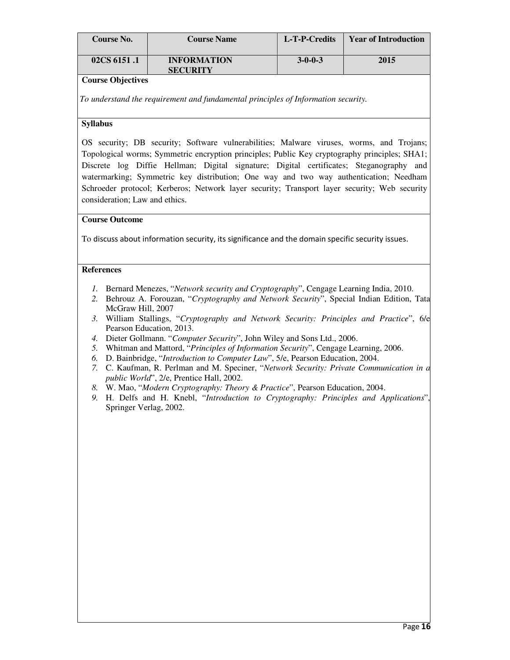| <b>Course No.</b> | <b>Course Name</b>                    | L-T-P-Credits   | <b>Year of Introduction</b> |
|-------------------|---------------------------------------|-----------------|-----------------------------|
| 02CS 6151.1       | <b>INFORMATION</b><br><b>SECURITY</b> | $3 - 0 - 0 - 3$ | 2015                        |

 *To understand the requirement and fundamental principles of Information security.*

#### **Syllabus**

OS security; DB security; Software vulnerabilities; Malware viruses, worms, and Trojans; Topological worms; Symmetric encryption principles; Public Key cryptography principles; SHA1; Discrete log Diffie Hellman; Digital signature; Digital certificates; Steganography and watermarking; Symmetric key distribution; One way and two way authentication; Needham Schroeder protocol; Kerberos; Network layer security; Transport layer security; Web security consideration; Law and ethics.

#### **Course Outcome**

To discuss about information security, its significance and the domain specific security issues.

- *1.* Bernard Menezes, "*Network security and Cryptography*", Cengage Learning India, 2010.
- *2.* Behrouz A. Forouzan, "*Cryptography and Network Security*", Special Indian Edition, Tata McGraw Hill, 2007
- *3.* William Stallings, "*Cryptography and Network Security: Principles and Practice*", 6/e Pearson Education, 2013.
- *4.* Dieter Gollmann. "*Computer Security*", John Wiley and Sons Ltd., 2006.
- *5.* Whitman and Mattord, "*Principles of Information Security*", Cengage Learning, 2006.
- *6.* D. Bainbridge, "*Introduction to Computer Law*", 5/e, Pearson Education, 2004.
- *7.* C. Kaufman, R. Perlman and M. Speciner, "*Network Security: Private Communication in a public World*", 2/e, Prentice Hall, 2002.
- *8.* W. Mao, "*Modern Cryptography: Theory & Practice*", Pearson Education, 2004.
- *9.* H. Delfs and H. Knebl, "*Introduction to Cryptography: Principles and Applications*", Springer Verlag, 2002.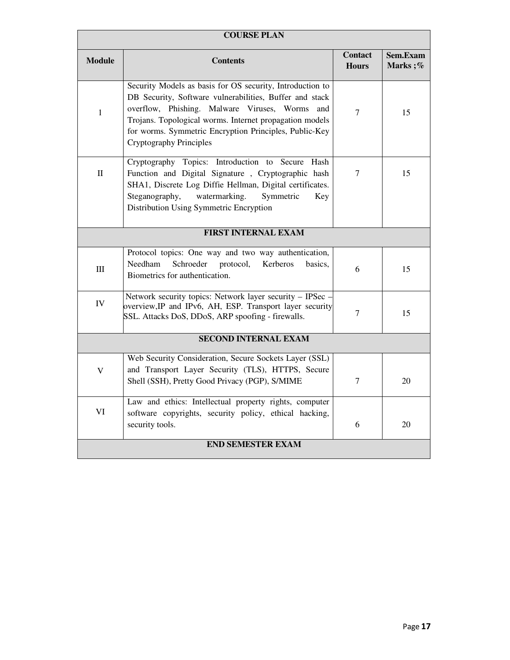| <b>COURSE PLAN</b>       |                                                                                                                                                                                                                                                                                                                                  |                                |                     |  |
|--------------------------|----------------------------------------------------------------------------------------------------------------------------------------------------------------------------------------------------------------------------------------------------------------------------------------------------------------------------------|--------------------------------|---------------------|--|
| <b>Module</b>            | <b>Contents</b>                                                                                                                                                                                                                                                                                                                  | <b>Contact</b><br><b>Hours</b> | Sem.Exam<br>Marks;% |  |
| $\mathbf{1}$             | Security Models as basis for OS security, Introduction to<br>DB Security, Software vulnerabilities, Buffer and stack<br>overflow, Phishing. Malware Viruses, Worms<br>and<br>Trojans. Topological worms. Internet propagation models<br>for worms. Symmetric Encryption Principles, Public-Key<br><b>Cryptography Principles</b> | 7                              | 15                  |  |
| $\mathbf{I}$             | Cryptography Topics: Introduction to Secure Hash<br>Function and Digital Signature, Cryptographic hash<br>SHA1, Discrete Log Diffie Hellman, Digital certificates.<br>Steganography,<br>watermarking.<br>Symmetric<br>Key<br>Distribution Using Symmetric Encryption                                                             | 7                              | 15                  |  |
|                          | <b>FIRST INTERNAL EXAM</b>                                                                                                                                                                                                                                                                                                       |                                |                     |  |
| Ш                        | Protocol topics: One way and two way authentication,<br>Needham<br>Schroeder<br>protocol,<br>Kerberos<br>basics.<br>Biometrics for authentication.                                                                                                                                                                               | 6                              | 15                  |  |
| IV                       | Network security topics: Network layer security - IPSec -<br>overview, IP and IPv6, AH, ESP. Transport layer security<br>SSL. Attacks DoS, DDoS, ARP spoofing - firewalls.                                                                                                                                                       | 7                              | 15                  |  |
|                          | <b>SECOND INTERNAL EXAM</b>                                                                                                                                                                                                                                                                                                      |                                |                     |  |
| V                        | Web Security Consideration, Secure Sockets Layer (SSL)<br>and Transport Layer Security (TLS), HTTPS, Secure<br>Shell (SSH), Pretty Good Privacy (PGP), S/MIME                                                                                                                                                                    | 7                              | 20                  |  |
| VI                       | Law and ethics: Intellectual property rights, computer<br>software copyrights, security policy, ethical hacking,<br>security tools.                                                                                                                                                                                              | 6                              | 20                  |  |
| <b>END SEMESTER EXAM</b> |                                                                                                                                                                                                                                                                                                                                  |                                |                     |  |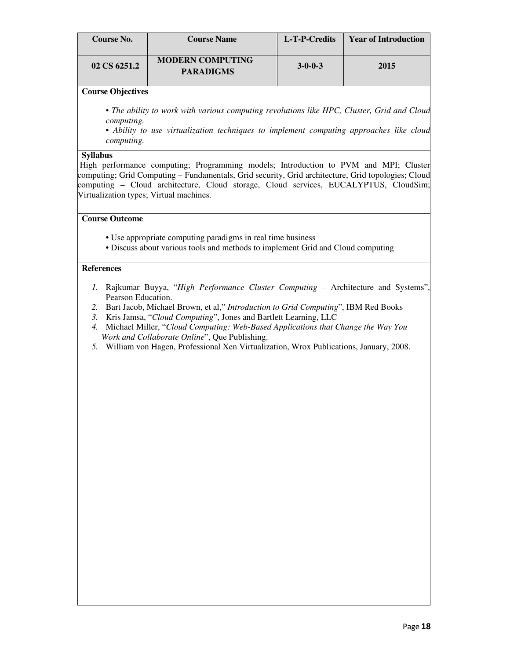| Course No.   | <b>Course Name</b>                          | L-T-P-Credits   | <b>Year of Introduction</b> |
|--------------|---------------------------------------------|-----------------|-----------------------------|
| 02 CS 6251.2 | <b>MODERN COMPUTING</b><br><b>PARADIGMS</b> | $3 - 0 - 0 - 3$ | 2015                        |

*• The ability to work with various computing revolutions like HPC, Cluster, Grid and Cloud computing.* 

*• Ability to use virtualization techniques to implement computing approaches like cloud computing.* 

#### **Syllabus**

High performance computing; Programming models; Introduction to PVM and MPI; Cluster computing; Grid Computing – Fundamentals, Grid security, Grid architecture, Grid topologies; Cloud computing – Cloud architecture, Cloud storage, Cloud services, EUCALYPTUS, CloudSim; Virtualization types; Virtual machines.

#### **Course Outcome**

- Use appropriate computing paradigms in real time business
- Discuss about various tools and methods to implement Grid and Cloud computing

- *1.* Rajkumar Buyya, "*High Performance Cluster Computing* Architecture and Systems", Pearson Education.
- *2.* Bart Jacob, Michael Brown, et al," *Introduction to Grid Computing*", IBM Red Books
- *3.* Kris Jamsa, "*Cloud Computing*", Jones and Bartlett Learning, LLC
- *4.* Michael Miller, "*Cloud Computing: Web-Based Applications that Change the Way You Work and Collaborate Online*", Que Publishing.
- *5.* William von Hagen, Professional Xen Virtualization, Wrox Publications, January, 2008.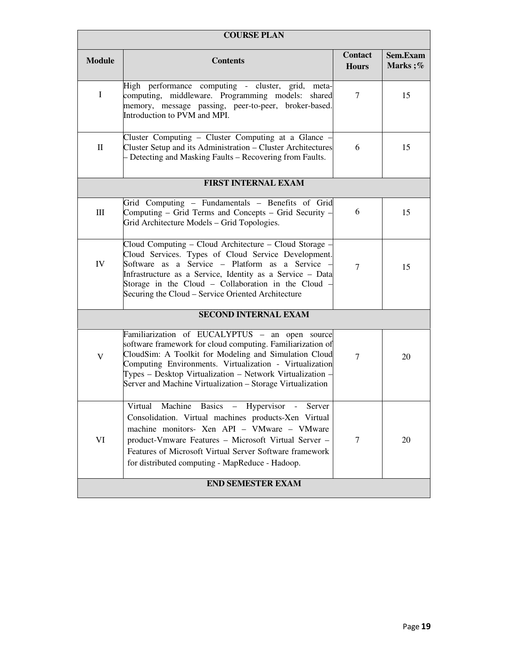| <b>COURSE PLAN</b> |                                                                                                                                                                                                                                                                                                                                                             |                                |                     |  |
|--------------------|-------------------------------------------------------------------------------------------------------------------------------------------------------------------------------------------------------------------------------------------------------------------------------------------------------------------------------------------------------------|--------------------------------|---------------------|--|
| <b>Module</b>      | <b>Contents</b>                                                                                                                                                                                                                                                                                                                                             | <b>Contact</b><br><b>Hours</b> | Sem.Exam<br>Marks;% |  |
| $\mathbf I$        | High performance computing - cluster, grid,<br>meta-<br>computing, middleware. Programming models:<br>shared<br>memory, message passing, peer-to-peer, broker-based.<br>Introduction to PVM and MPI.                                                                                                                                                        | $\tau$                         | 15                  |  |
| $\mathbf{I}$       | Cluster Computing - Cluster Computing at a Glance -<br>Cluster Setup and its Administration - Cluster Architectures<br>- Detecting and Masking Faults - Recovering from Faults.                                                                                                                                                                             | 6                              | 15                  |  |
|                    | <b>FIRST INTERNAL EXAM</b>                                                                                                                                                                                                                                                                                                                                  |                                |                     |  |
| Ш                  | Grid Computing - Fundamentals - Benefits of Grid<br>Computing - Grid Terms and Concepts - Grid Security -<br>Grid Architecture Models - Grid Topologies.                                                                                                                                                                                                    | 6                              | 15                  |  |
| IV                 | Cloud Computing – Cloud Architecture – Cloud Storage -<br>Cloud Services. Types of Cloud Service Development.<br>Software as a Service - Platform as a Service<br>Infrastructure as a Service, Identity as a Service - Data<br>Storage in the Cloud - Collaboration in the Cloud<br>Securing the Cloud – Service Oriented Architecture                      | $\overline{7}$                 | 15                  |  |
|                    | <b>SECOND INTERNAL EXAM</b>                                                                                                                                                                                                                                                                                                                                 |                                |                     |  |
| V                  | Familiarization of EUCALYPTUS - an open source<br>software framework for cloud computing. Familiarization of<br>CloudSim: A Toolkit for Modeling and Simulation Cloud<br>Computing Environments. Virtualization - Virtualization<br>Types – Desktop Virtualization – Network Virtualization -<br>Server and Machine Virtualization - Storage Virtualization | 7                              | 20                  |  |
| VI                 | Machine Basics - Hypervisor<br>Virtual<br>$\sim 10^{-11}$<br>Server<br>Consolidation. Virtual machines products-Xen Virtual<br>machine monitors- Xen API - VMware - VMware<br>product-Vmware Features - Microsoft Virtual Server -<br>Features of Microsoft Virtual Server Software framework<br>for distributed computing - MapReduce - Hadoop.            | 7                              | 20                  |  |
|                    | <b>END SEMESTER EXAM</b>                                                                                                                                                                                                                                                                                                                                    |                                |                     |  |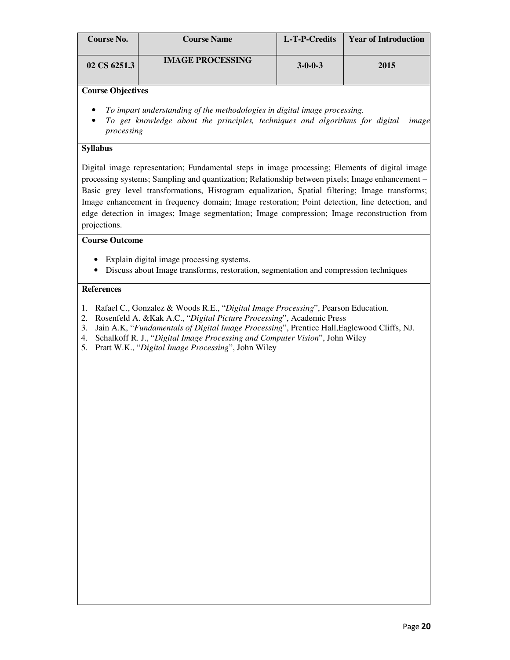| Course No.   | <b>Course Name</b>      | L-T-P-Credits   | <b>Year of Introduction</b> |
|--------------|-------------------------|-----------------|-----------------------------|
| 02 CS 6251.3 | <b>IMAGE PROCESSING</b> | $3 - 0 - 0 - 3$ | 2015                        |

- *To impart understanding of the methodologies in digital image processing.*
- *To get knowledge about the principles, techniques and algorithms for digital image processing*

#### **Syllabus**

Digital image representation; Fundamental steps in image processing; Elements of digital image processing systems; Sampling and quantization; Relationship between pixels; Image enhancement – Basic grey level transformations, Histogram equalization, Spatial filtering; Image transforms; Image enhancement in frequency domain; Image restoration; Point detection, line detection, and edge detection in images; Image segmentation; Image compression; Image reconstruction from projections.

#### **Course Outcome**

- Explain digital image processing systems.
- Discuss about Image transforms, restoration, segmentation and compression techniques

- 1. Rafael C., Gonzalez & Woods R.E., "*Digital Image Processing*", Pearson Education.
- 2. Rosenfeld A. &Kak A.C., "*Digital Picture Processing*", Academic Press
- 3. Jain A.K, "*Fundamentals of Digital Image Processing*", Prentice Hall,Eaglewood Cliffs, NJ.
- 4. Schalkoff R. J., "*Digital Image Processing and Computer Vision*", John Wiley
- 5. Pratt W.K., "*Digital Image Processing*", John Wiley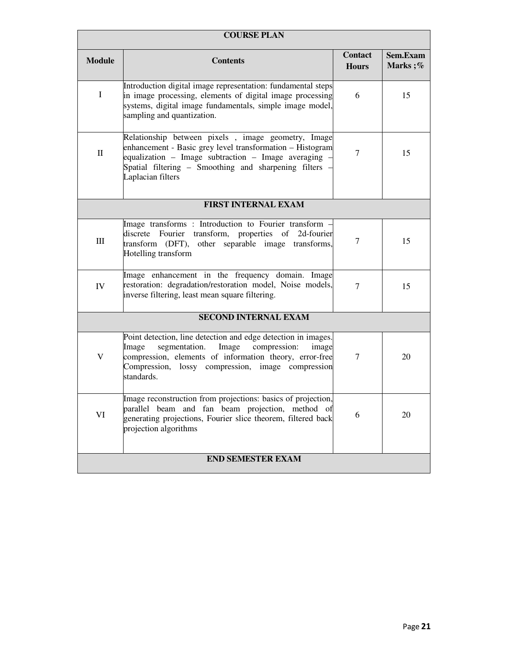| <b>COURSE PLAN</b> |                                                                                                                                                                                                                                                         |                                |                     |  |  |
|--------------------|---------------------------------------------------------------------------------------------------------------------------------------------------------------------------------------------------------------------------------------------------------|--------------------------------|---------------------|--|--|
| <b>Module</b>      | <b>Contents</b>                                                                                                                                                                                                                                         | <b>Contact</b><br><b>Hours</b> | Sem.Exam<br>Marks;% |  |  |
| $\mathbf I$        | Introduction digital image representation: fundamental steps<br>in image processing, elements of digital image processing<br>systems, digital image fundamentals, simple image model,<br>sampling and quantization.                                     | 6                              | 15                  |  |  |
| $\mathbf{I}$       | Relationship between pixels, image geometry, Image<br>enhancement - Basic grey level transformation - Histogram<br>equalization - Image subtraction - Image averaging<br>Spatial filtering – Smoothing and sharpening filters<br>Laplacian filters      | $\overline{7}$                 | 15                  |  |  |
|                    | <b>FIRST INTERNAL EXAM</b>                                                                                                                                                                                                                              |                                |                     |  |  |
| Ш                  | Image transforms : Introduction to Fourier transform -<br>discrete Fourier transform, properties of 2d-fourier<br>transform (DFT), other separable image transforms,<br>Hotelling transform                                                             | 7                              | 15                  |  |  |
| IV                 | Image enhancement in the frequency domain. Image<br>restoration: degradation/restoration model, Noise models,<br>inverse filtering, least mean square filtering.                                                                                        | $\overline{7}$                 | 15                  |  |  |
|                    | <b>SECOND INTERNAL EXAM</b>                                                                                                                                                                                                                             |                                |                     |  |  |
| $\mathbf V$        | Point detection, line detection and edge detection in images.<br>Image<br>segmentation.<br>Image<br>compression:<br>image<br>compression, elements of information theory, error-free<br>Compression, lossy compression, image compression<br>standards. | $\tau$                         | 20                  |  |  |
| VI                 | Image reconstruction from projections: basics of projection,<br>parallel beam and fan beam projection, method of<br>generating projections, Fourier slice theorem, filtered back<br>projection algorithms                                               | 6                              | 20                  |  |  |
|                    | <b>END SEMESTER EXAM</b>                                                                                                                                                                                                                                |                                |                     |  |  |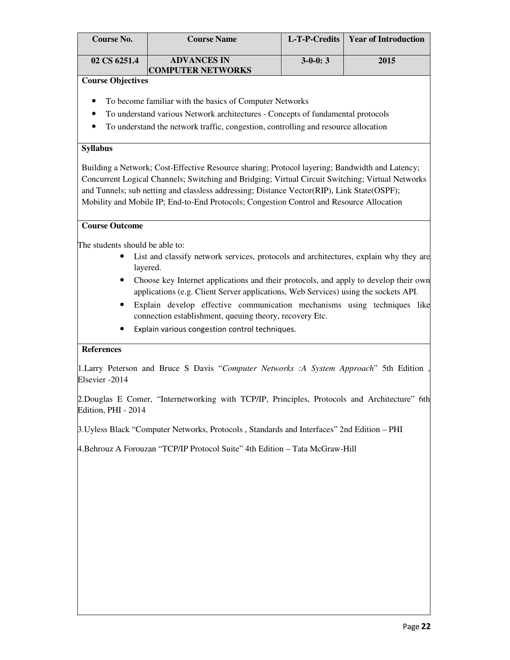| Course No.   | <b>Course Name</b>                             |           | L-T-P-Credits   Year of Introduction |
|--------------|------------------------------------------------|-----------|--------------------------------------|
| 02 CS 6251.4 | <b>ADVANCES IN</b><br><b>COMPUTER NETWORKS</b> | $3-0-0:3$ | 2015                                 |

- To become familiar with the basics of Computer Networks
- To understand various Network architectures Concepts of fundamental protocols
- To understand the network traffic, congestion, controlling and resource allocation

#### **Syllabus**

Building a Network; Cost-Effective Resource sharing; Protocol layering; Bandwidth and Latency; Concurrent Logical Channels; Switching and Bridging; Virtual Circuit Switching; Virtual Networks and Tunnels; sub netting and classless addressing; Distance Vector(RIP), Link State(OSPF); Mobility and Mobile IP; End-to-End Protocols; Congestion Control and Resource Allocation

#### **Course Outcome**

The students should be able to:

- List and classify network services, protocols and architectures, explain why they are layered.
- Choose key Internet applications and their protocols, and apply to develop their own applications (e.g. Client Server applications, Web Services) using the sockets API.
- Explain develop effective communication mechanisms using techniques like connection establishment, queuing theory, recovery Etc.
- Explain various congestion control techniques.

#### **References**

1.Larry Peterson and Bruce S Davis "*Computer Networks :A System Approach*" 5th Edition , Elsevier -2014

2.Douglas E Comer, "Internetworking with TCP/IP, Principles, Protocols and Architecture" 6th Edition, PHI - 2014

3.Uyless Black "Computer Networks, Protocols , Standards and Interfaces" 2nd Edition – PHI

4.Behrouz A Forouzan "TCP/IP Protocol Suite" 4th Edition – Tata McGraw-Hill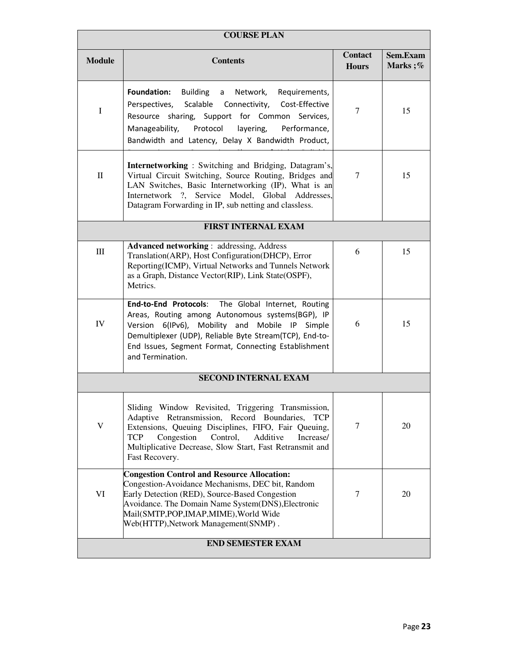| <b>COURSE PLAN</b> |                                                                                                                                                                                                                                                                                                                        |                         |                     |  |  |
|--------------------|------------------------------------------------------------------------------------------------------------------------------------------------------------------------------------------------------------------------------------------------------------------------------------------------------------------------|-------------------------|---------------------|--|--|
| <b>Module</b>      | <b>Contents</b>                                                                                                                                                                                                                                                                                                        | Contact<br><b>Hours</b> | Sem.Exam<br>Marks;% |  |  |
| I                  | Foundation:<br>Building a Network,<br>Requirements,<br>Perspectives, Scalable Connectivity, Cost-Effective<br>Resource sharing, Support for Common Services,<br>Manageability,<br>Protocol<br>layering,<br>Performance,<br>Bandwidth and Latency, Delay X Bandwidth Product,                                           | $\tau$                  | 15                  |  |  |
| $\mathbf{I}$       | <b>Internetworking</b> : Switching and Bridging, Datagram's,<br>Virtual Circuit Switching, Source Routing, Bridges and<br>LAN Switches, Basic Internetworking (IP), What is an<br>Internetwork ?, Service Model, Global Addresses,<br>Datagram Forwarding in IP, sub netting and classless.                            | 7                       | 15                  |  |  |
|                    | <b>FIRST INTERNAL EXAM</b>                                                                                                                                                                                                                                                                                             |                         |                     |  |  |
| Ш                  | <b>Advanced networking: addressing, Address</b><br>Translation(ARP), Host Configuration(DHCP), Error<br>Reporting(ICMP), Virtual Networks and Tunnels Network<br>as a Graph, Distance Vector(RIP), Link State(OSPF),<br>Metrics.                                                                                       | 6                       | 15                  |  |  |
| IV                 | End-to-End Protocols: The Global Internet, Routing<br>Areas, Routing among Autonomous systems(BGP), IP<br>Version 6(IPv6), Mobility and Mobile IP Simple<br>Demultiplexer (UDP), Reliable Byte Stream(TCP), End-to-<br>End Issues, Segment Format, Connecting Establishment<br>and Termination.                        | 6                       | 15                  |  |  |
|                    | <b>SECOND INTERNAL EXAM</b>                                                                                                                                                                                                                                                                                            |                         |                     |  |  |
| $\mathbf V$        | Sliding Window Revisited, Triggering Transmission,<br>Adaptive Retransmission, Record Boundaries,<br><b>TCP</b><br>Extensions, Queuing Disciplines, FIFO, Fair Queuing,<br><b>TCP</b><br>Congestion<br>Control,<br>Additive<br>Increase/<br>Multiplicative Decrease, Slow Start, Fast Retransmit and<br>Fast Recovery. | $\tau$                  | 20                  |  |  |
| VI                 | <b>Congestion Control and Resource Allocation:</b><br>Congestion-Avoidance Mechanisms, DEC bit, Random<br>Early Detection (RED), Source-Based Congestion<br>Avoidance. The Domain Name System(DNS), Electronic<br>Mail(SMTP,POP,IMAP,MIME), World Wide<br>Web(HTTP), Network Management (SNMP).                        | $\overline{7}$          | 20                  |  |  |
|                    | <b>END SEMESTER EXAM</b>                                                                                                                                                                                                                                                                                               |                         |                     |  |  |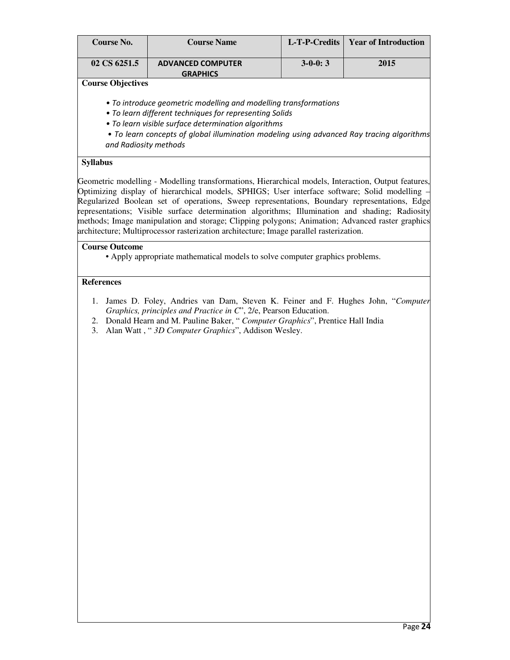| <b>Course No.</b>        | <b>Course Name</b>                                                                                                                                                                                                                                                                                                                                                                                                                                                                                                                                                         | L-T-P-Credits | <b>Year of Introduction</b> |
|--------------------------|----------------------------------------------------------------------------------------------------------------------------------------------------------------------------------------------------------------------------------------------------------------------------------------------------------------------------------------------------------------------------------------------------------------------------------------------------------------------------------------------------------------------------------------------------------------------------|---------------|-----------------------------|
| 02 CS 6251.5             | <b>ADVANCED COMPUTER</b><br><b>GRAPHICS</b>                                                                                                                                                                                                                                                                                                                                                                                                                                                                                                                                | $3-0-0:3$     | 2015                        |
| <b>Course Objectives</b> |                                                                                                                                                                                                                                                                                                                                                                                                                                                                                                                                                                            |               |                             |
| and Radiosity methods    | • To introduce geometric modelling and modelling transformations<br>• To learn different techniques for representing Solids<br>• To learn visible surface determination algorithms<br>• To learn concepts of global illumination modeling using advanced Ray tracing algorithms                                                                                                                                                                                                                                                                                            |               |                             |
| <b>Syllabus</b>          |                                                                                                                                                                                                                                                                                                                                                                                                                                                                                                                                                                            |               |                             |
| <b>Course Outcome</b>    | Optimizing display of hierarchical models, SPHIGS; User interface software; Solid modelling<br>Regularized Boolean set of operations, Sweep representations, Boundary representations, Edge<br>representations; Visible surface determination algorithms; Illumination and shading; Radiosity<br>methods; Image manipulation and storage; Clipping polygons; Animation; Advanced raster graphics<br>architecture; Multiprocessor rasterization architecture; Image parallel rasterization.<br>• Apply appropriate mathematical models to solve computer graphics problems. |               |                             |
| <b>References</b>        |                                                                                                                                                                                                                                                                                                                                                                                                                                                                                                                                                                            |               |                             |
| 1.<br>3.                 | James D. Foley, Andries van Dam, Steven K. Feiner and F. Hughes John, "Computer<br>Graphics, principles and Practice in C'', 2/e, Pearson Education.<br>2. Donald Hearn and M. Pauline Baker, "Computer Graphics", Prentice Hall India<br>Alan Watt, "3D Computer Graphics", Addison Wesley.                                                                                                                                                                                                                                                                               |               |                             |
|                          |                                                                                                                                                                                                                                                                                                                                                                                                                                                                                                                                                                            |               |                             |
|                          |                                                                                                                                                                                                                                                                                                                                                                                                                                                                                                                                                                            |               |                             |
|                          |                                                                                                                                                                                                                                                                                                                                                                                                                                                                                                                                                                            |               |                             |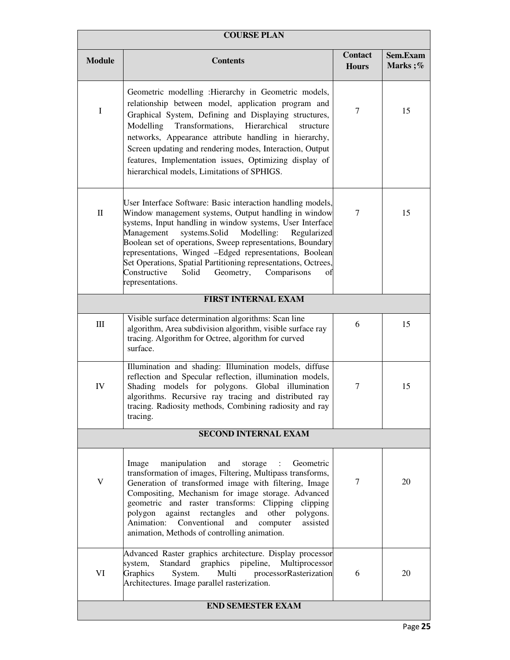| <b>COURSE PLAN</b> |                                                                                                                                                                                                                                                                                                                                                                                                                                                                                                                        |                                |                     |  |
|--------------------|------------------------------------------------------------------------------------------------------------------------------------------------------------------------------------------------------------------------------------------------------------------------------------------------------------------------------------------------------------------------------------------------------------------------------------------------------------------------------------------------------------------------|--------------------------------|---------------------|--|
| <b>Module</b>      | <b>Contents</b>                                                                                                                                                                                                                                                                                                                                                                                                                                                                                                        | <b>Contact</b><br><b>Hours</b> | Sem.Exam<br>Marks;% |  |
| $\mathbf I$        | Geometric modelling : Hierarchy in Geometric models,<br>relationship between model, application program and<br>Graphical System, Defining and Displaying structures,<br>Transformations,<br>Hierarchical<br>Modelling<br>structure<br>networks, Appearance attribute handling in hierarchy,<br>Screen updating and rendering modes, Interaction, Output<br>features, Implementation issues, Optimizing display of<br>hierarchical models, Limitations of SPHIGS.                                                       | $\tau$                         | 15                  |  |
| $\mathbf{I}$       | User Interface Software: Basic interaction handling models,<br>Window management systems, Output handling in window<br>systems, Input handling in window systems, User Interface<br>systems.Solid<br>Management<br>Modelling:<br>Regularized<br>Boolean set of operations, Sweep representations, Boundary<br>representations, Winged -Edged representations, Boolean<br>Set Operations, Spatial Partitioning representations, Octrees,<br>Constructive<br>Solid<br>Geometry,<br>Comparisons<br>оf<br>representations. | $\tau$                         | 15                  |  |
|                    | <b>FIRST INTERNAL EXAM</b>                                                                                                                                                                                                                                                                                                                                                                                                                                                                                             |                                |                     |  |
| Ш                  | Visible surface determination algorithms: Scan line<br>algorithm, Area subdivision algorithm, visible surface ray<br>tracing. Algorithm for Octree, algorithm for curved<br>surface.                                                                                                                                                                                                                                                                                                                                   | 6                              | 15                  |  |
| ${\rm IV}$         | Illumination and shading: Illumination models, diffuse<br>reflection and Specular reflection, illumination models,<br>Shading models for polygons. Global illumination<br>algorithms. Recursive ray tracing and distributed ray<br>tracing. Radiosity methods, Combining radiosity and ray<br>tracing.                                                                                                                                                                                                                 | $\tau$                         | 15                  |  |
|                    | <b>SECOND INTERNAL EXAM</b>                                                                                                                                                                                                                                                                                                                                                                                                                                                                                            |                                |                     |  |
| V                  | manipulation<br>and<br>Geometric<br>Image<br>storage<br>transformation of images, Filtering, Multipass transforms,<br>Generation of transformed image with filtering, Image<br>Compositing, Mechanism for image storage. Advanced<br>geometric and raster transforms: Clipping clipping<br>against rectangles<br>and<br>other<br>polygon<br>polygons.<br>Conventional<br>Animation:<br>and<br>assisted<br>computer<br>animation, Methods of controlling animation.                                                     | 7                              | 20                  |  |
| VI                 | Advanced Raster graphics architecture. Display processor<br>Standard<br>graphics pipeline,<br>Multiprocessor<br>system,<br>Graphics<br>Multi<br>processorRasterization<br>System.<br>Architectures. Image parallel rasterization.                                                                                                                                                                                                                                                                                      | 6                              | 20                  |  |
|                    | <b>END SEMESTER EXAM</b>                                                                                                                                                                                                                                                                                                                                                                                                                                                                                               |                                |                     |  |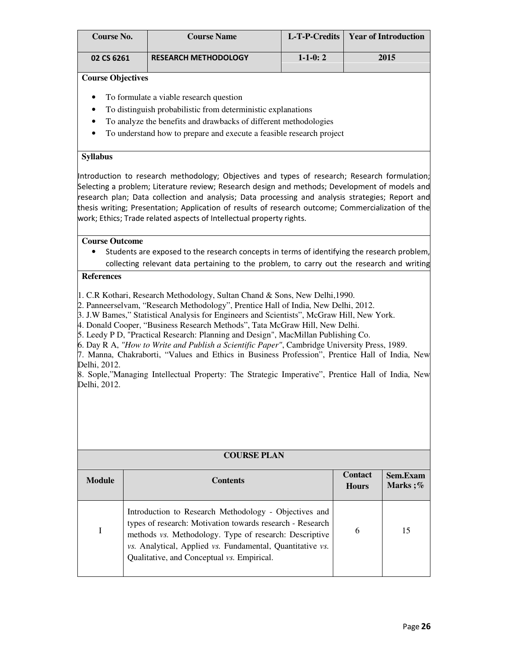| <b>Course No.</b>              | <b>Course Name</b>          |               | L-T-P-Credits   Year of Introduction |
|--------------------------------|-----------------------------|---------------|--------------------------------------|
| 02 CS 6261                     | <b>RESEARCH METHODOLOGY</b> | $1 - 1 - 0:2$ | 2015                                 |
| $\sim$<br>$\sim$ $\sim$ $\sim$ |                             |               |                                      |

- To formulate a viable research question
- To distinguish probabilistic from deterministic explanations
- To analyze the benefits and drawbacks of different methodologies
- To understand how to prepare and execute a feasible research project

#### **Syllabus**

Introduction to research methodology; Objectives and types of research; Research formulation; Selecting a problem; Literature review; Research design and methods; Development of models and research plan; Data collection and analysis; Data processing and analysis strategies; Report and thesis writing; Presentation; Application of results of research outcome; Commercialization of the work; Ethics; Trade related aspects of Intellectual property rights.

#### **Course Outcome**

• Students are exposed to the research concepts in terms of identifying the research problem, collecting relevant data pertaining to the problem, to carry out the research and writing

#### **References**

1. C.R Kothari, Research Methodology, Sultan Chand & Sons, New Delhi,1990.

2. Panneerselvam, "Research Methodology", Prentice Hall of India, New Delhi, 2012.

3. J.W Bames," Statistical Analysis for Engineers and Scientists", McGraw Hill, New York.

4. Donald Cooper, "Business Research Methods", Tata McGraw Hill, New Delhi.

5. Leedy P D, "Practical Research: Planning and Design", MacMillan Publishing Co.

6. Day R A, *"How to Write and Publish a Scientific Paper"*, Cambridge University Press, 1989.

7. Manna, Chakraborti, "Values and Ethics in Business Profession", Prentice Hall of India, New Delhi, 2012.

8. Sople,"Managing Intellectual Property: The Strategic Imperative", Prentice Hall of India, New Delhi, 2012.

| <b>COURSE PLAN</b> |  |
|--------------------|--|
|--------------------|--|

| <b>Module</b> | <b>Contents</b>                                                                                                                                                                                                                                                                         | <b>Contact</b><br><b>Hours</b> | Sem.Exam<br>Marks;% |
|---------------|-----------------------------------------------------------------------------------------------------------------------------------------------------------------------------------------------------------------------------------------------------------------------------------------|--------------------------------|---------------------|
|               | Introduction to Research Methodology - Objectives and<br>types of research: Motivation towards research - Research<br>methods vs. Methodology. Type of research: Descriptive<br>vs. Analytical, Applied vs. Fundamental, Quantitative vs.<br>Qualitative, and Conceptual vs. Empirical. | 6                              | 15                  |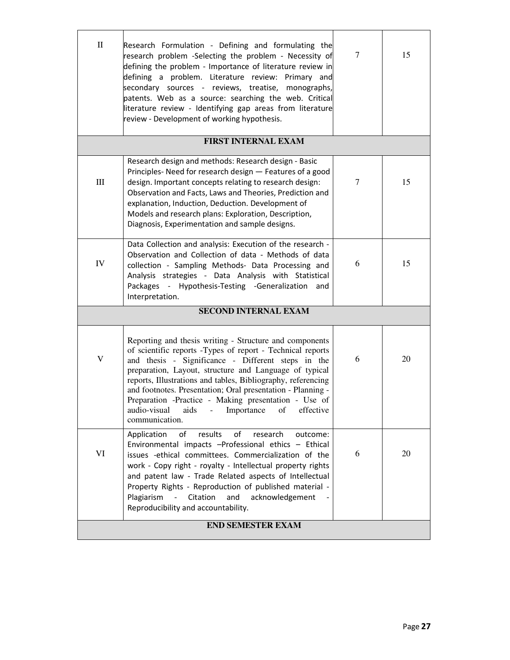| $\rm _{II}$ | Research Formulation - Defining and formulating the<br>research problem -Selecting the problem - Necessity of<br>defining the problem - Importance of literature review in<br>defining a problem. Literature review: Primary and<br>secondary sources - reviews, treatise, monographs,<br>patents. Web as a source: searching the web. Critical<br>literature review - Identifying gap areas from literature<br>review - Development of working hypothesis.                                             | 7 | 15 |
|-------------|---------------------------------------------------------------------------------------------------------------------------------------------------------------------------------------------------------------------------------------------------------------------------------------------------------------------------------------------------------------------------------------------------------------------------------------------------------------------------------------------------------|---|----|
|             | <b>FIRST INTERNAL EXAM</b>                                                                                                                                                                                                                                                                                                                                                                                                                                                                              |   |    |
| $\rm III$   | Research design and methods: Research design - Basic<br>Principles-Need for research design - Features of a good<br>design. Important concepts relating to research design:<br>Observation and Facts, Laws and Theories, Prediction and<br>explanation, Induction, Deduction. Development of<br>Models and research plans: Exploration, Description,<br>Diagnosis, Experimentation and sample designs.                                                                                                  | 7 | 15 |
| IV          | Data Collection and analysis: Execution of the research -<br>Observation and Collection of data - Methods of data<br>collection - Sampling Methods- Data Processing and<br>Analysis strategies - Data Analysis with Statistical<br>Packages - Hypothesis-Testing -Generalization and<br>Interpretation.                                                                                                                                                                                                 | 6 | 15 |
|             | <b>SECOND INTERNAL EXAM</b>                                                                                                                                                                                                                                                                                                                                                                                                                                                                             |   |    |
| V           | Reporting and thesis writing - Structure and components<br>of scientific reports -Types of report - Technical reports<br>and thesis - Significance - Different steps in the<br>preparation, Layout, structure and Language of typical<br>reports, Illustrations and tables, Bibliography, referencing<br>and footnotes. Presentation; Oral presentation - Planning -<br>Preparation -Practice - Making presentation - Use of<br>audio-visual<br>Importance<br>aids<br>of<br>effective<br>communication. | 6 | 20 |
| VI          | results<br>of<br>research<br>Application<br>of<br>outcome:<br>Environmental impacts -Professional ethics - Ethical<br>issues -ethical committees. Commercialization of the<br>work - Copy right - royalty - Intellectual property rights<br>and patent law - Trade Related aspects of Intellectual<br>Property Rights - Reproduction of published material -<br>Plagiarism<br>Citation<br>and<br>acknowledgement<br>$\equiv$<br>Reproducibility and accountability.                                     | 6 | 20 |
|             | <b>END SEMESTER EXAM</b>                                                                                                                                                                                                                                                                                                                                                                                                                                                                                |   |    |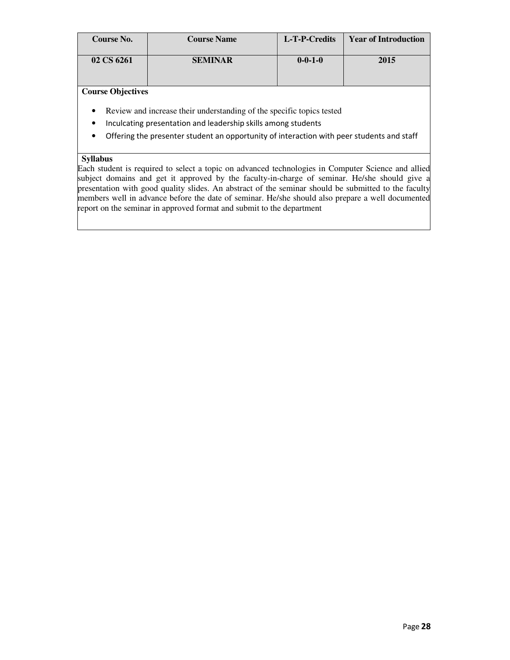| Course No. | <b>Course Name</b> | L-T-P-Credits   | <b>Year of Introduction</b> |
|------------|--------------------|-----------------|-----------------------------|
| 02 CS 6261 | <b>SEMINAR</b>     | $0 - 0 - 1 - 0$ | 2015                        |

- Review and increase their understanding of the specific topics tested
- Inculcating presentation and leadership skills among students
- Offering the presenter student an opportunity of interaction with peer students and staff

#### **Syllabus**

Each student is required to select a topic on advanced technologies in Computer Science and allied subject domains and get it approved by the faculty-in-charge of seminar. He/she should give a presentation with good quality slides. An abstract of the seminar should be submitted to the faculty members well in advance before the date of seminar. He/she should also prepare a well documented report on the seminar in approved format and submit to the department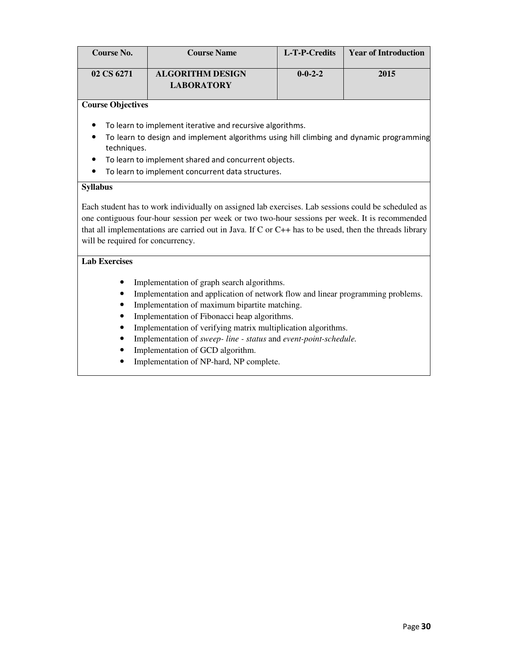| <b>Course No.</b>                 | <b>Course Name</b>                                                                                     | L-T-P-Credits   | <b>Year of Introduction</b> |  |  |
|-----------------------------------|--------------------------------------------------------------------------------------------------------|-----------------|-----------------------------|--|--|
| 02 CS 6271                        | <b>ALGORITHM DESIGN</b><br><b>LABORATORY</b>                                                           | $0 - 0 - 2 - 2$ | 2015                        |  |  |
|                                   |                                                                                                        |                 |                             |  |  |
| <b>Course Objectives</b>          |                                                                                                        |                 |                             |  |  |
|                                   | To learn to implement iterative and recursive algorithms.                                              |                 |                             |  |  |
|                                   | To learn to design and implement algorithms using hill climbing and dynamic programming                |                 |                             |  |  |
| techniques.                       |                                                                                                        |                 |                             |  |  |
|                                   | To learn to implement shared and concurrent objects.                                                   |                 |                             |  |  |
|                                   | To learn to implement concurrent data structures.                                                      |                 |                             |  |  |
| <b>Syllabus</b>                   |                                                                                                        |                 |                             |  |  |
|                                   |                                                                                                        |                 |                             |  |  |
|                                   | Each student has to work individually on assigned lab exercises. Lab sessions could be scheduled as    |                 |                             |  |  |
|                                   | one contiguous four-hour session per week or two two-hour sessions per week. It is recommended         |                 |                             |  |  |
|                                   | that all implementations are carried out in Java. If C or C++ has to be used, then the threads library |                 |                             |  |  |
| will be required for concurrency. |                                                                                                        |                 |                             |  |  |
|                                   |                                                                                                        |                 |                             |  |  |
| <b>Lab Exercises</b>              |                                                                                                        |                 |                             |  |  |
|                                   | Implementation of graph search algorithms.                                                             |                 |                             |  |  |
|                                   | Implementation and application of network flow and linear programming problems.                        |                 |                             |  |  |
|                                   | Implementation of maximum bipartite matching.                                                          |                 |                             |  |  |
|                                   | Implementation of Fibonacci heap algorithms.                                                           |                 |                             |  |  |
|                                   | Implementation of verifying matrix multiplication algorithms.                                          |                 |                             |  |  |
|                                   | Implementation of sweep- line - status and event-point-schedule.                                       |                 |                             |  |  |
|                                   | Implementation of GCD algorithm.                                                                       |                 |                             |  |  |
|                                   | Implementation of NP-hard, NP complete.                                                                |                 |                             |  |  |
|                                   |                                                                                                        |                 |                             |  |  |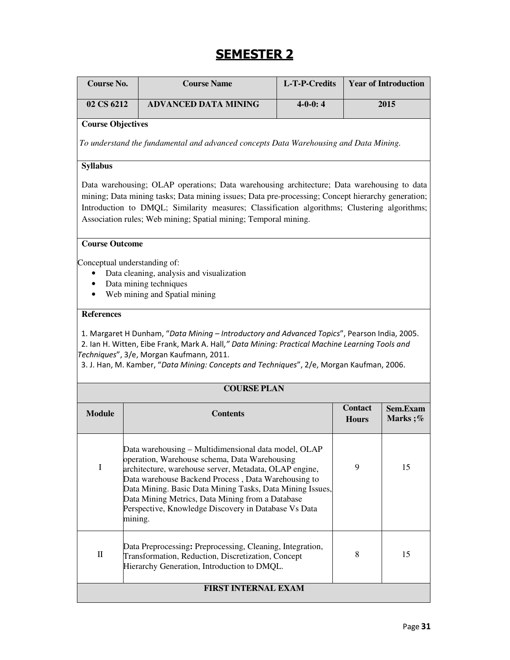## SEMESTER 2

| <b>Course No.</b>        | <b>Course Name</b>                                                                                                                                                                                                                                                                                                                                                                                         | L-T-P-Credits |                                | <b>Year of Introduction</b> |
|--------------------------|------------------------------------------------------------------------------------------------------------------------------------------------------------------------------------------------------------------------------------------------------------------------------------------------------------------------------------------------------------------------------------------------------------|---------------|--------------------------------|-----------------------------|
| 02 CS 6212               | <b>ADVANCED DATA MINING</b>                                                                                                                                                                                                                                                                                                                                                                                | $4-0-0:4$     |                                | 2015                        |
| <b>Course Objectives</b> |                                                                                                                                                                                                                                                                                                                                                                                                            |               |                                |                             |
|                          | To understand the fundamental and advanced concepts Data Warehousing and Data Mining.                                                                                                                                                                                                                                                                                                                      |               |                                |                             |
| <b>Syllabus</b>          |                                                                                                                                                                                                                                                                                                                                                                                                            |               |                                |                             |
|                          | Data warehousing; OLAP operations; Data warehousing architecture; Data warehousing to data<br>mining; Data mining tasks; Data mining issues; Data pre-processing; Concept hierarchy generation;<br>Introduction to DMQL; Similarity measures; Classification algorithms; Clustering algorithms;<br>Association rules; Web mining; Spatial mining; Temporal mining.                                         |               |                                |                             |
| <b>Course Outcome</b>    |                                                                                                                                                                                                                                                                                                                                                                                                            |               |                                |                             |
| $\bullet$<br>٠           | Conceptual understanding of:<br>Data cleaning, analysis and visualization<br>Data mining techniques<br>Web mining and Spatial mining                                                                                                                                                                                                                                                                       |               |                                |                             |
| <b>References</b>        |                                                                                                                                                                                                                                                                                                                                                                                                            |               |                                |                             |
|                          | 1. Margaret H Dunham, "Data Mining - Introductory and Advanced Topics", Pearson India, 2005.<br>2. Ian H. Witten, Eibe Frank, Mark A. Hall," Data Mining: Practical Machine Learning Tools and<br>Techniques", 3/e, Morgan Kaufmann, 2011.<br>3. J. Han, M. Kamber, "Data Mining: Concepts and Techniques", 2/e, Morgan Kaufman, 2006.                                                                     |               |                                |                             |
|                          | <b>COURSE PLAN</b>                                                                                                                                                                                                                                                                                                                                                                                         |               |                                |                             |
| <b>Module</b>            | <b>Contents</b>                                                                                                                                                                                                                                                                                                                                                                                            |               | <b>Contact</b><br><b>Hours</b> | Sem.Exam<br>Marks;%         |
| $\rm I$                  | Data warehousing - Multidimensional data model, OLAP<br>operation, Warehouse schema, Data Warehousing<br>architecture, warehouse server, Metadata, OLAP engine,<br>Data warehouse Backend Process, Data Warehousing to<br>Data Mining. Basic Data Mining Tasks, Data Mining Issues,<br>Data Mining Metrics, Data Mining from a Database<br>Perspective, Knowledge Discovery in Database Vs Data<br>mining. |               | 9                              | 15                          |
| $\mathbf{I}$             | Data Preprocessing: Preprocessing, Cleaning, Integration,<br>Transformation, Reduction, Discretization, Concept<br>Hierarchy Generation, Introduction to DMQL.                                                                                                                                                                                                                                             |               | 8                              | 15                          |
|                          | <b>FIRST INTERNAL EXAM</b>                                                                                                                                                                                                                                                                                                                                                                                 |               |                                |                             |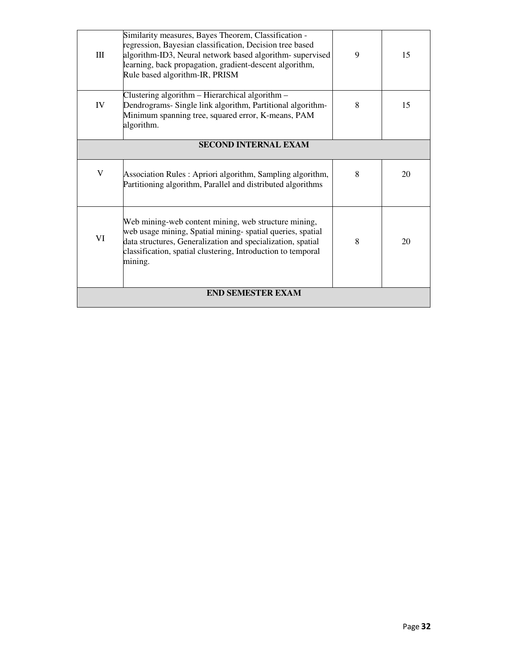| III                      | Similarity measures, Bayes Theorem, Classification -<br>regression, Bayesian classification, Decision tree based<br>algorithm-ID3, Neural network based algorithm-supervised<br>learning, back propagation, gradient-descent algorithm,<br>Rule based algorithm-IR, PRISM | 9 | 15 |
|--------------------------|---------------------------------------------------------------------------------------------------------------------------------------------------------------------------------------------------------------------------------------------------------------------------|---|----|
| IV                       | Clustering algorithm – Hierarchical algorithm –<br>Dendrograms- Single link algorithm, Partitional algorithm-<br>Minimum spanning tree, squared error, K-means, PAM<br>algorithm.                                                                                         | 8 | 15 |
|                          | <b>SECOND INTERNAL EXAM</b>                                                                                                                                                                                                                                               |   |    |
| V                        | Association Rules: Apriori algorithm, Sampling algorithm,<br>Partitioning algorithm, Parallel and distributed algorithms                                                                                                                                                  | 8 | 20 |
| VI                       | Web mining-web content mining, web structure mining,<br>web usage mining, Spatial mining-spatial queries, spatial<br>data structures, Generalization and specialization, spatial<br>classification, spatial clustering, Introduction to temporal<br>mining.               | 8 | 20 |
| <b>END SEMESTER EXAM</b> |                                                                                                                                                                                                                                                                           |   |    |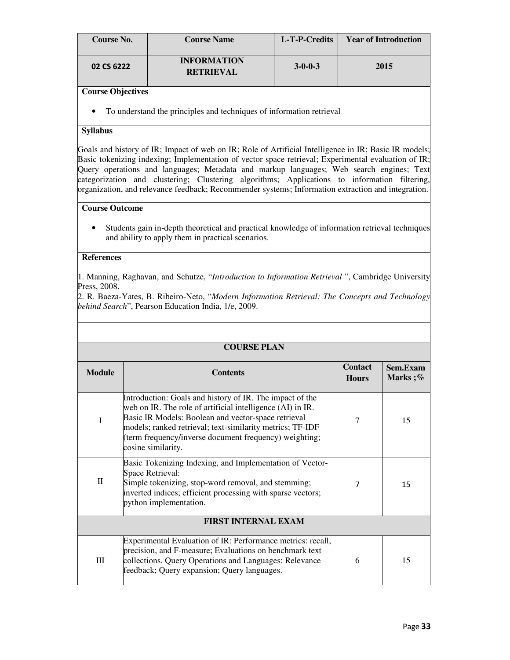| Course No. | <b>Course Name</b>                     | L-T-P-Credits   | <b>Year of Introduction</b> |
|------------|----------------------------------------|-----------------|-----------------------------|
| 02 CS 6222 | <b>INFORMATION</b><br><b>RETRIEVAL</b> | $3 - 0 - 0 - 3$ | 2015                        |

• To understand the principles and techniques of information retrieval

#### **Syllabus**

Goals and history of IR; Impact of web on IR; Role of Artificial Intelligence in IR; Basic IR models; Basic tokenizing indexing; Implementation of vector space retrieval; Experimental evaluation of IR; Query operations and languages; Metadata and markup languages; Web search engines; Text categorization and clustering; Clustering algorithms; Applications to information filtering, organization, and relevance feedback; Recommender systems; Information extraction and integration.

#### **Course Outcome**

• Students gain in-depth theoretical and practical knowledge of information retrieval techniques and ability to apply them in practical scenarios.

#### **References**

1. Manning, Raghavan, and Schutze, "*Introduction to Information Retrieval* ", Cambridge University Press, 2008.

2. R. Baeza-Yates, B. Ribeiro-Neto, "*Modern Information Retrieval: The Concepts and Technology behind Search*", Pearson Education India, 1/e, 2009.

|               | <b>COURSE PLAN</b>                                                                                                                                                                                                                                                                                                         |                                |                     |
|---------------|----------------------------------------------------------------------------------------------------------------------------------------------------------------------------------------------------------------------------------------------------------------------------------------------------------------------------|--------------------------------|---------------------|
| <b>Module</b> | <b>Contents</b>                                                                                                                                                                                                                                                                                                            | <b>Contact</b><br><b>Hours</b> | Sem.Exam<br>Marks;% |
| T             | Introduction: Goals and history of IR. The impact of the<br>web on IR. The role of artificial intelligence (AI) in IR.<br>Basic IR Models: Boolean and vector-space retrieval<br>models; ranked retrieval; text-similarity metrics; TF-IDF<br>(term frequency/inverse document frequency) weighting;<br>cosine similarity. | 7                              | 15                  |
| $\mathbf{I}$  | Basic Tokenizing Indexing, and Implementation of Vector-<br>Space Retrieval:<br>Simple tokenizing, stop-word removal, and stemming;<br>inverted indices; efficient processing with sparse vectors;<br>python implementation.                                                                                               | 7                              | 15                  |
|               | <b>FIRST INTERNAL EXAM</b>                                                                                                                                                                                                                                                                                                 |                                |                     |
| Ш             | Experimental Evaluation of IR: Performance metrics: recall,<br>precision, and F-measure; Evaluations on benchmark text<br>collections. Query Operations and Languages: Relevance<br>feedback; Query expansion; Query languages.                                                                                            | 6                              | 15                  |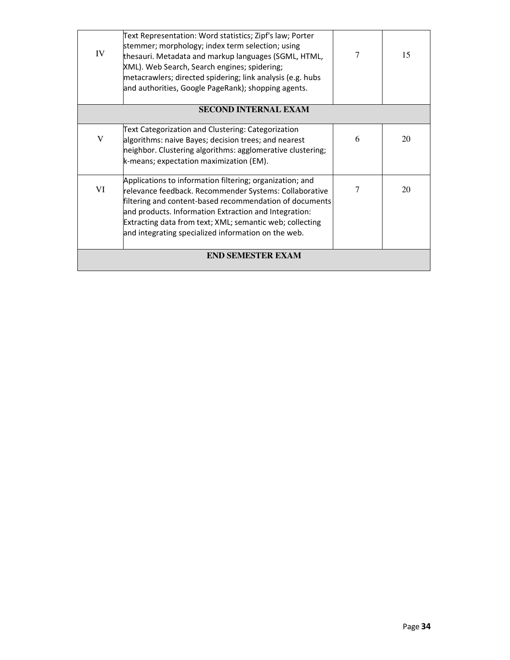| IV          | Text Representation: Word statistics; Zipf's law; Porter<br>stemmer; morphology; index term selection; using<br>thesauri. Metadata and markup languages (SGML, HTML,<br>XML). Web Search, Search engines; spidering;<br>metacrawlers; directed spidering; link analysis (e.g. hubs<br>and authorities, Google PageRank); shopping agents.                 | 7 | 15 |
|-------------|-----------------------------------------------------------------------------------------------------------------------------------------------------------------------------------------------------------------------------------------------------------------------------------------------------------------------------------------------------------|---|----|
|             | <b>SECOND INTERNAL EXAM</b>                                                                                                                                                                                                                                                                                                                               |   |    |
| $\mathbf V$ | Text Categorization and Clustering: Categorization<br>algorithms: naive Bayes; decision trees; and nearest<br>neighbor. Clustering algorithms: agglomerative clustering;<br>k-means; expectation maximization (EM).                                                                                                                                       | 6 | 20 |
| VI          | Applications to information filtering; organization; and<br>relevance feedback. Recommender Systems: Collaborative<br>filtering and content-based recommendation of documents<br>and products. Information Extraction and Integration:<br>Extracting data from text; XML; semantic web; collecting<br>and integrating specialized information on the web. | 7 | 20 |
|             | <b>END SEMESTER EXAM</b>                                                                                                                                                                                                                                                                                                                                  |   |    |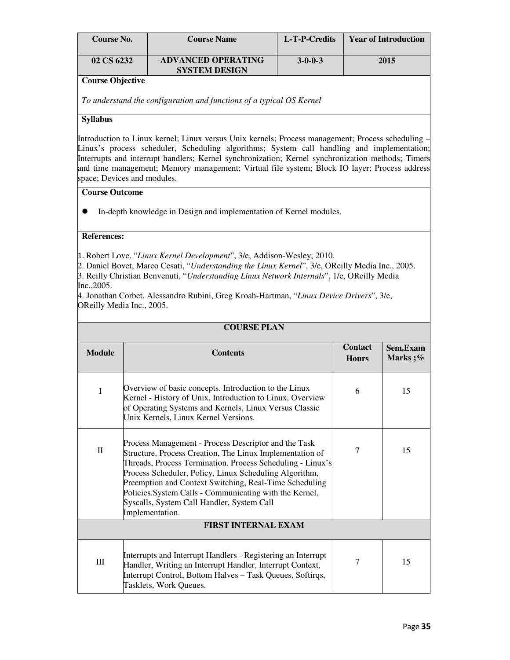| Course No. | <b>Course Name</b>                                | L-T-P-Credits   | <b>Year of Introduction</b> |
|------------|---------------------------------------------------|-----------------|-----------------------------|
| 02 CS 6232 | <b>ADVANCED OPERATING</b><br><b>SYSTEM DESIGN</b> | $3 - 0 - 0 - 3$ | 2015                        |

*To understand the configuration and functions of a typical OS Kernel* 

#### **Syllabus**

Introduction to Linux kernel; Linux versus Unix kernels; Process management; Process scheduling – Linux's process scheduler, Scheduling algorithms; System call handling and implementation; Interrupts and interrupt handlers; Kernel synchronization; Kernel synchronization methods; Timers and time management; Memory management; Virtual file system; Block IO layer; Process address space; Devices and modules.

#### **Course Outcome**

In-depth knowledge in Design and implementation of Kernel modules.

#### **References:**

1. Robert Love, "*Linux Kernel Development*", 3/e, Addison-Wesley, 2010.

2. Daniel Bovet, Marco Cesati, "*Understanding the Linux Kernel*", 3/e, OReilly Media Inc., 2005. 3. Reilly Christian Benvenuti, "*Understanding Linux Network Internals*", 1/e, OReilly Media Inc.,2005.

4. Jonathan Corbet, Alessandro Rubini, Greg Kroah-Hartman, "*Linux Device Drivers*", 3/e, OReilly Media Inc., 2005.

| <b>COURSE PLAN</b>         |                                                                                                                                                                                                                                                                                                                                                                                                                               |                                |                     |
|----------------------------|-------------------------------------------------------------------------------------------------------------------------------------------------------------------------------------------------------------------------------------------------------------------------------------------------------------------------------------------------------------------------------------------------------------------------------|--------------------------------|---------------------|
| <b>Module</b>              | <b>Contents</b>                                                                                                                                                                                                                                                                                                                                                                                                               | <b>Contact</b><br><b>Hours</b> | Sem.Exam<br>Marks;% |
| I                          | Overview of basic concepts. Introduction to the Linux<br>Kernel - History of Unix, Introduction to Linux, Overview<br>of Operating Systems and Kernels, Linux Versus Classic<br>Unix Kernels, Linux Kernel Versions.                                                                                                                                                                                                          | 6                              | 15                  |
| $\mathbf{I}$               | Process Management - Process Descriptor and the Task<br>Structure, Process Creation, The Linux Implementation of<br>Threads, Process Termination. Process Scheduling - Linux's<br>Process Scheduler, Policy, Linux Scheduling Algorithm,<br>Preemption and Context Switching, Real-Time Scheduling<br>Policies.System Calls - Communicating with the Kernel,<br>Syscalls, System Call Handler, System Call<br>Implementation. | 7                              | 15                  |
| <b>FIRST INTERNAL EXAM</b> |                                                                                                                                                                                                                                                                                                                                                                                                                               |                                |                     |
| Ш                          | Interrupts and Interrupt Handlers - Registering an Interrupt<br>Handler, Writing an Interrupt Handler, Interrupt Context,<br>Interrupt Control, Bottom Halves - Task Queues, Softirqs,<br>Tasklets, Work Queues.                                                                                                                                                                                                              | 7                              | 15                  |

### **COURSE PLAN**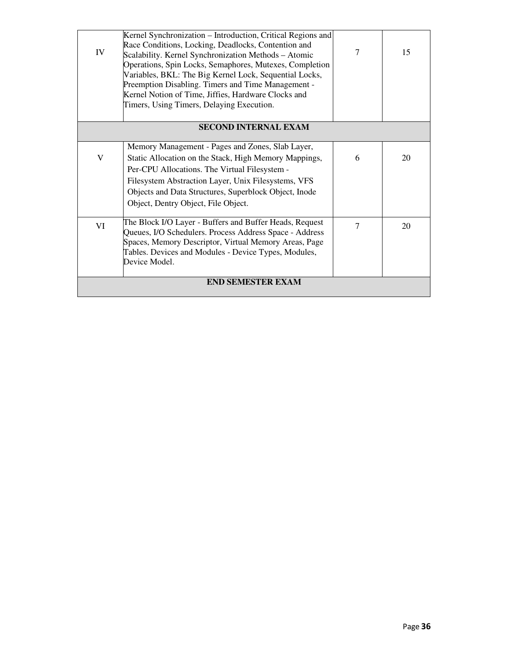| IV                       | Kernel Synchronization - Introduction, Critical Regions and<br>Race Conditions, Locking, Deadlocks, Contention and<br>Scalability. Kernel Synchronization Methods - Atomic<br>Operations, Spin Locks, Semaphores, Mutexes, Completion<br>Variables, BKL: The Big Kernel Lock, Sequential Locks,<br>Preemption Disabling. Timers and Time Management -<br>Kernel Notion of Time, Jiffies, Hardware Clocks and<br>Timers, Using Timers, Delaying Execution. | 7              | 15 |
|--------------------------|-----------------------------------------------------------------------------------------------------------------------------------------------------------------------------------------------------------------------------------------------------------------------------------------------------------------------------------------------------------------------------------------------------------------------------------------------------------|----------------|----|
|                          | <b>SECOND INTERNAL EXAM</b>                                                                                                                                                                                                                                                                                                                                                                                                                               |                |    |
| V                        | Memory Management - Pages and Zones, Slab Layer,<br>Static Allocation on the Stack, High Memory Mappings,<br>Per-CPU Allocations. The Virtual Filesystem -<br>Filesystem Abstraction Layer, Unix Filesystems, VFS<br>Objects and Data Structures, Superblock Object, Inode<br>Object, Dentry Object, File Object.                                                                                                                                         | 6              | 20 |
| VI                       | The Block I/O Layer - Buffers and Buffer Heads, Request<br>Queues, I/O Schedulers. Process Address Space - Address<br>Spaces, Memory Descriptor, Virtual Memory Areas, Page<br>Tables. Devices and Modules - Device Types, Modules,<br>Device Model.                                                                                                                                                                                                      | $\overline{7}$ | 20 |
| <b>END SEMESTER EXAM</b> |                                                                                                                                                                                                                                                                                                                                                                                                                                                           |                |    |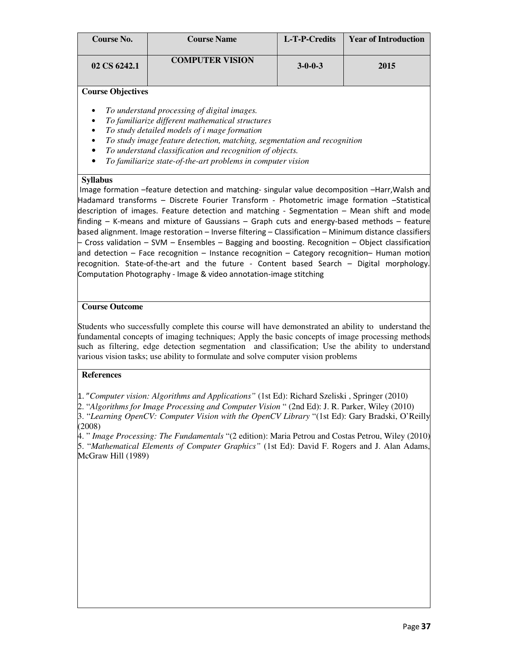| <b>Course No.</b> | <b>Course Name</b>     | L-T-P-Credits   | <b>Year of Introduction</b> |
|-------------------|------------------------|-----------------|-----------------------------|
| 02 CS 6242.1      | <b>COMPUTER VISION</b> | $3 - 0 - 0 - 3$ | 2015                        |

- *To understand processing of digital images.*
- *To familiarize different mathematical structures*
- *To study detailed models of i mage formation*
- *To study image feature detection, matching, segmentation and recognition*
- *To understand classification and recognition of objects.*
- *To familiarize state-of-the-art problems in computer vision*

#### **Syllabus**

 Image formation –feature detection and matching- singular value decomposition –Harr,Walsh and Hadamard transforms – Discrete Fourier Transform - Photometric image formation –Statistical description of images. Feature detection and matching - Segmentation – Mean shift and mode finding – K-means and mixture of Gaussians – Graph cuts and energy-based methods – feature based alignment. Image restoration – Inverse filtering – Classification – Minimum distance classifiers – Cross validation – SVM – Ensembles – Bagging and boosting. Recognition – Object classification and detection – Face recognition – Instance recognition – Category recognition– Human motion recognition. State-of-the-art and the future - Content based Search – Digital morphology. Computation Photography - Image & video annotation-image stitching

#### **Course Outcome**

Students who successfully complete this course will have demonstrated an ability to understand the fundamental concepts of imaging techniques; Apply the basic concepts of image processing methods such as filtering, edge detection segmentation and classification; Use the ability to understand various vision tasks; use ability to formulate and solve computer vision problems

#### **References**

1. "*Computer vision: Algorithms and Applications"* (1st Ed): Richard Szeliski , Springer (2010)

2. "*Algorithms for Image Processing and Computer Vision* " (2nd Ed): J. R. Parker, Wiley (2010) 3. "*Learning OpenCV: Computer Vision with the OpenCV Library* "(1st Ed): Gary Bradski, O'Reilly (2008)

4. " *Image Processing: The Fundamentals* "(2 edition): Maria Petrou and Costas Petrou, Wiley (2010) 5. "*Mathematical Elements of Computer Graphics"* (1st Ed): David F. Rogers and J. Alan Adams, McGraw Hill (1989)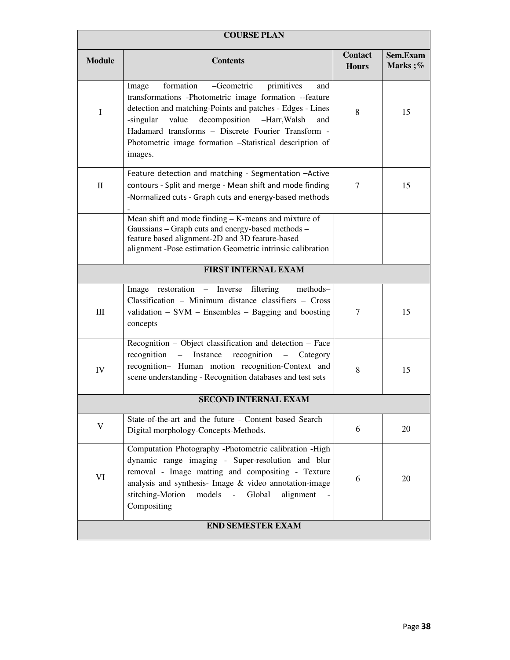| <b>COURSE PLAN</b>       |                                                                                                                                                                                                                                                                                                                                                                        |                                |                     |
|--------------------------|------------------------------------------------------------------------------------------------------------------------------------------------------------------------------------------------------------------------------------------------------------------------------------------------------------------------------------------------------------------------|--------------------------------|---------------------|
| <b>Module</b>            | <b>Contents</b>                                                                                                                                                                                                                                                                                                                                                        | <b>Contact</b><br><b>Hours</b> | Sem.Exam<br>Marks;% |
| $\mathbf I$              | formation<br>-Geometric<br>primitives<br>Image<br>and<br>transformations -Photometric image formation --feature<br>detection and matching-Points and patches - Edges - Lines<br>value<br>decomposition<br>-singular<br>-Harr, Walsh<br>and<br>Hadamard transforms - Discrete Fourier Transform -<br>Photometric image formation -Statistical description of<br>images. | 8                              | 15                  |
| $\rm _{II}$              | Feature detection and matching - Segmentation -Active<br>contours - Split and merge - Mean shift and mode finding<br>-Normalized cuts - Graph cuts and energy-based methods                                                                                                                                                                                            | $\tau$                         | 15                  |
|                          | Mean shift and mode finding - K-means and mixture of<br>Gaussians - Graph cuts and energy-based methods -<br>feature based alignment-2D and 3D feature-based<br>alignment -Pose estimation Geometric intrinsic calibration                                                                                                                                             |                                |                     |
|                          | FIRST INTERNAL EXAM                                                                                                                                                                                                                                                                                                                                                    |                                |                     |
| $\rm III$                | restoration – Inverse<br>filtering<br>methods-<br>Image<br>Classification - Minimum distance classifiers - Cross<br>validation $-$ SVM $-$ Ensembles $-$ Bagging and boosting<br>concepts                                                                                                                                                                              | $\tau$                         | 15                  |
| IV                       | Recognition – Object classification and detection – Face<br>Instance<br>recognition<br>$recognition -$<br>Category<br>$\frac{1}{2}$<br>recognition- Human motion recognition-Context and<br>scene understanding - Recognition databases and test sets                                                                                                                  | 8                              | 15                  |
|                          | <b>SECOND INTERNAL EXAM</b>                                                                                                                                                                                                                                                                                                                                            |                                |                     |
| V                        | State-of-the-art and the future - Content based Search -<br>Digital morphology-Concepts-Methods.                                                                                                                                                                                                                                                                       | 6                              | 20                  |
| VI                       | Computation Photography -Photometric calibration -High<br>dynamic range imaging - Super-resolution and blur<br>removal - Image matting and compositing - Texture<br>analysis and synthesis- Image & video annotation-image<br>stitching-Motion<br>Global<br>models<br>alignment<br>Compositing                                                                         | 6                              | 20                  |
| <b>END SEMESTER EXAM</b> |                                                                                                                                                                                                                                                                                                                                                                        |                                |                     |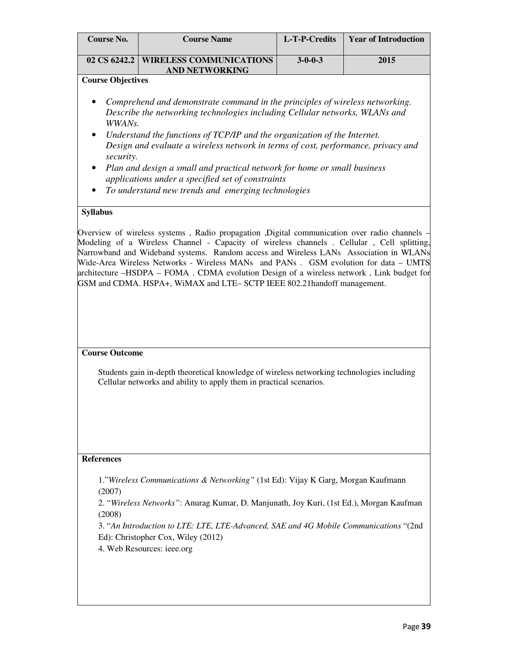| Course No.                             | <b>Course Name</b>                                                                                                                                                                                                                                                                                                                                                                                                                                                                                                                               | L-T-P-Credits | <b>Year of Introduction</b> |
|----------------------------------------|--------------------------------------------------------------------------------------------------------------------------------------------------------------------------------------------------------------------------------------------------------------------------------------------------------------------------------------------------------------------------------------------------------------------------------------------------------------------------------------------------------------------------------------------------|---------------|-----------------------------|
|                                        | 02 CS 6242.2   WIRELESS COMMUNICATIONS<br>$3 - 0 - 0 - 3$<br><b>AND NETWORKING</b>                                                                                                                                                                                                                                                                                                                                                                                                                                                               |               | 2015                        |
| <b>Course Objectives</b>               |                                                                                                                                                                                                                                                                                                                                                                                                                                                                                                                                                  |               |                             |
| WWANs.<br>security.<br><b>Syllabus</b> | Comprehend and demonstrate command in the principles of wireless networking.<br>Describe the networking technologies including Cellular networks, WLANs and<br>Understand the functions of TCP/IP and the organization of the Internet.<br>Design and evaluate a wireless network in terms of cost, performance, privacy and<br>Plan and design a small and practical network for home or small business<br>applications under a specified set of constraints<br>To understand new trends and emerging technologies                              |               |                             |
|                                        | Overview of wireless systems, Radio propagation, Digital communication over radio channels –<br>Modeling of a Wireless Channel - Capacity of wireless channels . Cellular, Cell splitting,<br>Narrowband and Wideband systems. Random access and Wireless LANs Association in WLANs<br>Wide-Area Wireless Networks - Wireless MANs and PANs. GSM evolution for data – UMTS<br>architecture -HSDPA - FOMA. CDMA evolution Design of a wireless network, Link budget for<br>GSM and CDMA. HSPA+, WiMAX and LTE-SCTP IEEE 802.21handoff management. |               |                             |
| <b>Course Outcome</b>                  |                                                                                                                                                                                                                                                                                                                                                                                                                                                                                                                                                  |               |                             |
|                                        | Students gain in-depth theoretical knowledge of wireless networking technologies including<br>Cellular networks and ability to apply them in practical scenarios.                                                                                                                                                                                                                                                                                                                                                                                |               |                             |
| <b>References</b>                      |                                                                                                                                                                                                                                                                                                                                                                                                                                                                                                                                                  |               |                             |
| (2007)<br>(2008)                       | 1."Wireless Communications & Networking" (1st Ed): Vijay K Garg, Morgan Kaufmann<br>2. "Wireless Networks": Anurag Kumar, D. Manjunath, Joy Kuri, (1st Ed.), Morgan Kaufman<br>3. "An Introduction to LTE: LTE, LTE-Advanced, SAE and 4G Mobile Communications "(2nd<br>Ed): Christopher Cox, Wiley (2012)<br>4. Web Resources: ieee.org                                                                                                                                                                                                         |               |                             |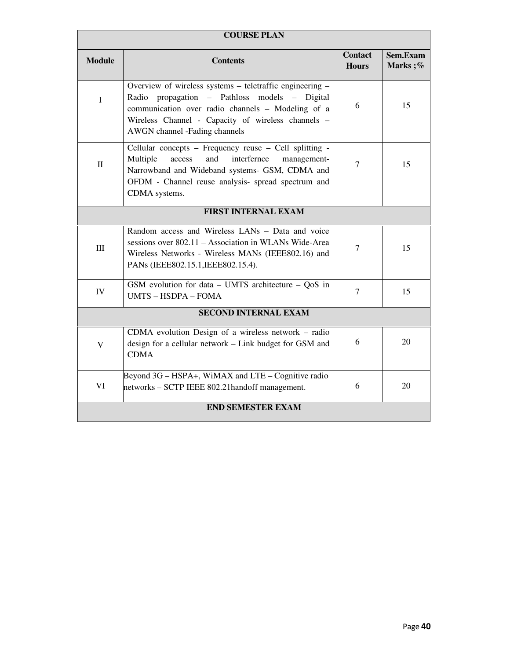| <b>COURSE PLAN</b>       |                                                                                                                                                                                                                                                       |                                |                         |
|--------------------------|-------------------------------------------------------------------------------------------------------------------------------------------------------------------------------------------------------------------------------------------------------|--------------------------------|-------------------------|
| <b>Module</b>            | <b>Contents</b>                                                                                                                                                                                                                                       | <b>Contact</b><br><b>Hours</b> | Sem.Exam<br>Marks $;\%$ |
| $\mathbf I$              | Overview of wireless systems - teletraffic engineering -<br>Radio propagation - Pathloss models - Digital<br>communication over radio channels - Modeling of a<br>Wireless Channel - Capacity of wireless channels -<br>AWGN channel -Fading channels | 6                              | 15                      |
| $\mathbf{I}$             | Cellular concepts - Frequency reuse - Cell splitting -<br>Multiple<br>access<br>and<br>interfernce<br>management-<br>Narrowband and Wideband systems- GSM, CDMA and<br>OFDM - Channel reuse analysis- spread spectrum and<br>CDMA systems.            | $\overline{7}$                 | 15                      |
|                          | <b>FIRST INTERNAL EXAM</b>                                                                                                                                                                                                                            |                                |                         |
| III                      | Random access and Wireless LANs - Data and voice<br>sessions over 802.11 – Association in WLANs Wide-Area<br>Wireless Networks - Wireless MANs (IEEE802.16) and<br>PANs (IEEE802.15.1, IEEE802.15.4).                                                 | $\overline{7}$                 | 15                      |
| IV                       | GSM evolution for data $-$ UMTS architecture $-$ QoS in<br><b>UMTS - HSDPA - FOMA</b>                                                                                                                                                                 | $\overline{7}$                 | 15                      |
|                          | <b>SECOND INTERNAL EXAM</b>                                                                                                                                                                                                                           |                                |                         |
| V                        | CDMA evolution Design of a wireless network – radio<br>design for a cellular network - Link budget for GSM and<br><b>CDMA</b>                                                                                                                         | 6                              | 20                      |
| VI                       | Beyond 3G - HSPA+, WiMAX and LTE - Cognitive radio<br>networks - SCTP IEEE 802.21handoff management.                                                                                                                                                  | 6                              | 20                      |
| <b>END SEMESTER EXAM</b> |                                                                                                                                                                                                                                                       |                                |                         |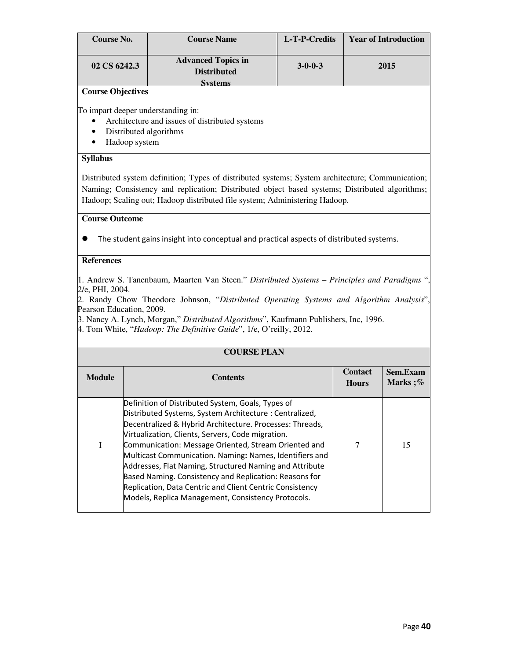| Course No.   | <b>Course Name</b>                              | L-T-P-Credits   | <b>Year of Introduction</b> |
|--------------|-------------------------------------------------|-----------------|-----------------------------|
| 02 CS 6242.3 | <b>Advanced Topics in</b><br><b>Distributed</b> | $3 - 0 - 0 - 3$ | 2015                        |
|              | Svstems                                         |                 |                             |

To impart deeper understanding in:

- Architecture and issues of distributed systems
- Distributed algorithms
- Hadoop system

#### **Syllabus**

Distributed system definition; Types of distributed systems; System architecture; Communication; Naming; Consistency and replication; Distributed object based systems; Distributed algorithms; Hadoop; Scaling out; Hadoop distributed file system; Administering Hadoop.

#### **Course Outcome**

The student gains insight into conceptual and practical aspects of distributed systems.

## **References**

1. Andrew S. Tanenbaum, Maarten Van Steen." *Distributed Systems – Principles and Paradigms* ", 2/e, PHI, 2004.

2. Randy Chow Theodore Johnson, "*Distributed Operating Systems and Algorithm Analysis*", Pearson Education, 2009.

3. Nancy A. Lynch, Morgan," *Distributed Algorithms*", Kaufmann Publishers, Inc, 1996.

4. Tom White, "*Hadoop: The Definitive Guide*", 1/e, O'reilly, 2012.

|               | <b>COURSE PLAN</b>                                                                                                                                                                                                                                                                                                                                                                                                                                                                                                                                                                     |                                |                         |  |
|---------------|----------------------------------------------------------------------------------------------------------------------------------------------------------------------------------------------------------------------------------------------------------------------------------------------------------------------------------------------------------------------------------------------------------------------------------------------------------------------------------------------------------------------------------------------------------------------------------------|--------------------------------|-------------------------|--|
| <b>Module</b> | <b>Contents</b>                                                                                                                                                                                                                                                                                                                                                                                                                                                                                                                                                                        | <b>Contact</b><br><b>Hours</b> | Sem.Exam<br>Marks $;\%$ |  |
| I             | Definition of Distributed System, Goals, Types of<br>Distributed Systems, System Architecture: Centralized,<br>Decentralized & Hybrid Architecture. Processes: Threads,<br>Virtualization, Clients, Servers, Code migration.<br>Communication: Message Oriented, Stream Oriented and<br>Multicast Communication. Naming: Names, Identifiers and<br>Addresses, Flat Naming, Structured Naming and Attribute<br>Based Naming. Consistency and Replication: Reasons for<br>Replication, Data Centric and Client Centric Consistency<br>Models, Replica Management, Consistency Protocols. | 7                              | 15                      |  |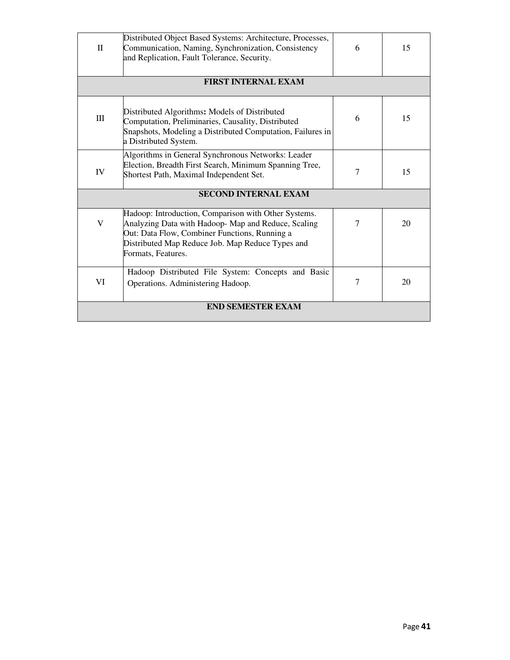| $\Pi$                       | Distributed Object Based Systems: Architecture, Processes,<br>Communication, Naming, Synchronization, Consistency<br>and Replication, Fault Tolerance, Security.                                                                      | 6      | 15 |
|-----------------------------|---------------------------------------------------------------------------------------------------------------------------------------------------------------------------------------------------------------------------------------|--------|----|
|                             | <b>FIRST INTERNAL EXAM</b>                                                                                                                                                                                                            |        |    |
| Ш                           | Distributed Algorithms: Models of Distributed<br>Computation, Preliminaries, Causality, Distributed<br>Snapshots, Modeling a Distributed Computation, Failures in<br>a Distributed System.                                            | 6      | 15 |
| IV                          | Algorithms in General Synchronous Networks: Leader<br>Election, Breadth First Search, Minimum Spanning Tree,<br>Shortest Path, Maximal Independent Set.                                                                               | 7      | 15 |
| <b>SECOND INTERNAL EXAM</b> |                                                                                                                                                                                                                                       |        |    |
| V                           | Hadoop: Introduction, Comparison with Other Systems.<br>Analyzing Data with Hadoop-Map and Reduce, Scaling<br>Out: Data Flow, Combiner Functions, Running a<br>Distributed Map Reduce Job. Map Reduce Types and<br>Formats, Features. | 7      | 20 |
| VI                          | Hadoop Distributed File System: Concepts and Basic<br>Operations. Administering Hadoop.                                                                                                                                               | $\tau$ | 20 |
| <b>END SEMESTER EXAM</b>    |                                                                                                                                                                                                                                       |        |    |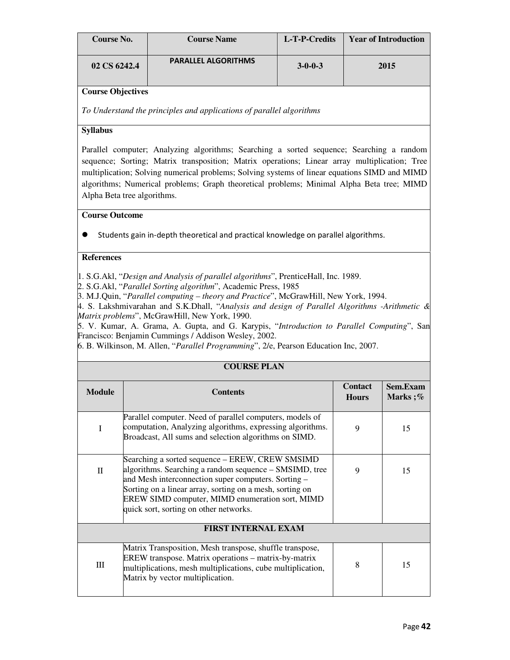| Course No.   | <b>Course Name</b>         | L-T-P-Credits   | <b>Year of Introduction</b> |
|--------------|----------------------------|-----------------|-----------------------------|
| 02 CS 6242.4 | <b>PARALLEL ALGORITHMS</b> | $3 - 0 - 0 - 3$ | 2015                        |

*To Understand the principles and applications of parallel algorithms* 

## **Syllabus**

Parallel computer; Analyzing algorithms; Searching a sorted sequence; Searching a random sequence; Sorting; Matrix transposition; Matrix operations; Linear array multiplication; Tree multiplication; Solving numerical problems; Solving systems of linear equations SIMD and MIMD algorithms; Numerical problems; Graph theoretical problems; Minimal Alpha Beta tree; MIMD Alpha Beta tree algorithms.

### **Course Outcome**

Students gain in-depth theoretical and practical knowledge on parallel algorithms.

#### **References**

1. S.G.Akl, "*Design and Analysis of parallel algorithms*", PrenticeHall, Inc. 1989.

2. S.G.Akl, "*Parallel Sorting algorithm*", Academic Press, 1985

3. M.J.Quin, "*Parallel computing – theory and Practice*", McGrawHill, New York, 1994.

4. S. Lakshmivarahan and S.K.Dhall, "*Analysis and design of Parallel Algorithms -Arithmetic & Matrix problems*", McGrawHill, New York, 1990.

5. V. Kumar, A. Grama, A. Gupta, and G. Karypis, "*Introduction to Parallel Computing*", San Francisco: Benjamin Cummings / Addison Wesley, 2002.

6. B. Wilkinson, M. Allen, "*Parallel Programming*", 2/e, Pearson Education Inc, 2007.

| <b>COURSE PLAN</b> |                                                                                                                                                                                                                                                                                                                           |                                |                     |
|--------------------|---------------------------------------------------------------------------------------------------------------------------------------------------------------------------------------------------------------------------------------------------------------------------------------------------------------------------|--------------------------------|---------------------|
|                    |                                                                                                                                                                                                                                                                                                                           |                                |                     |
| <b>Module</b>      | <b>Contents</b>                                                                                                                                                                                                                                                                                                           | <b>Contact</b><br><b>Hours</b> | Sem.Exam<br>Marks;% |
| I                  | Parallel computer. Need of parallel computers, models of<br>computation, Analyzing algorithms, expressing algorithms.<br>Broadcast, All sums and selection algorithms on SIMD.                                                                                                                                            | 9                              | 15                  |
| $\mathbf{I}$       | Searching a sorted sequence – EREW, CREW SMSIMD<br>algorithms. Searching a random sequence – SMSIMD, tree<br>and Mesh interconnection super computers. Sorting -<br>Sorting on a linear array, sorting on a mesh, sorting on<br>EREW SIMD computer, MIMD enumeration sort, MIMD<br>quick sort, sorting on other networks. | 9                              | 15                  |
|                    | <b>FIRST INTERNAL EXAM</b>                                                                                                                                                                                                                                                                                                |                                |                     |
| Ш                  | Matrix Transposition, Mesh transpose, shuffle transpose,<br>EREW transpose. Matrix operations - matrix-by-matrix<br>multiplications, mesh multiplications, cube multiplication,<br>Matrix by vector multiplication.                                                                                                       | 8                              | 15                  |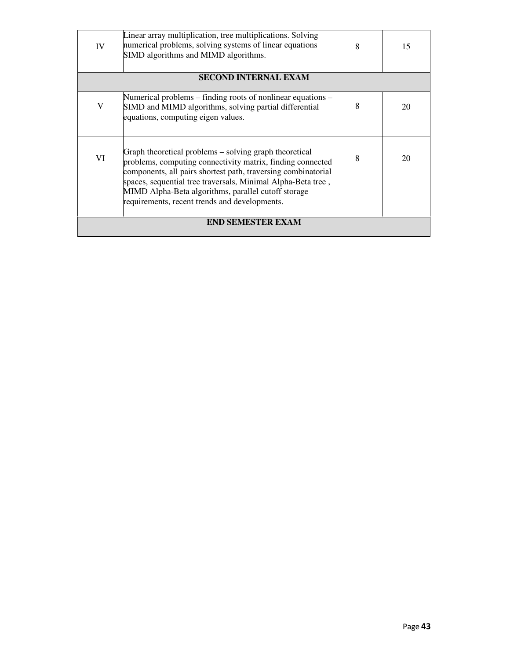| IV                       | Linear array multiplication, tree multiplications. Solving<br>numerical problems, solving systems of linear equations<br>SIMD algorithms and MIMD algorithms.                                                                                                                                                                                                 | 8 | 15 |
|--------------------------|---------------------------------------------------------------------------------------------------------------------------------------------------------------------------------------------------------------------------------------------------------------------------------------------------------------------------------------------------------------|---|----|
|                          | <b>SECOND INTERNAL EXAM</b>                                                                                                                                                                                                                                                                                                                                   |   |    |
| V                        | Numerical problems $-$ finding roots of nonlinear equations $-$<br>SIMD and MIMD algorithms, solving partial differential<br>equations, computing eigen values.                                                                                                                                                                                               | 8 | 20 |
| VI                       | Graph theoretical problems – solving graph theoretical<br>problems, computing connectivity matrix, finding connected<br>components, all pairs shortest path, traversing combinatorial<br>spaces, sequential tree traversals, Minimal Alpha-Beta tree,<br>MIMD Alpha-Beta algorithms, parallel cutoff storage<br>requirements, recent trends and developments. | 8 | 20 |
| <b>END SEMESTER EXAM</b> |                                                                                                                                                                                                                                                                                                                                                               |   |    |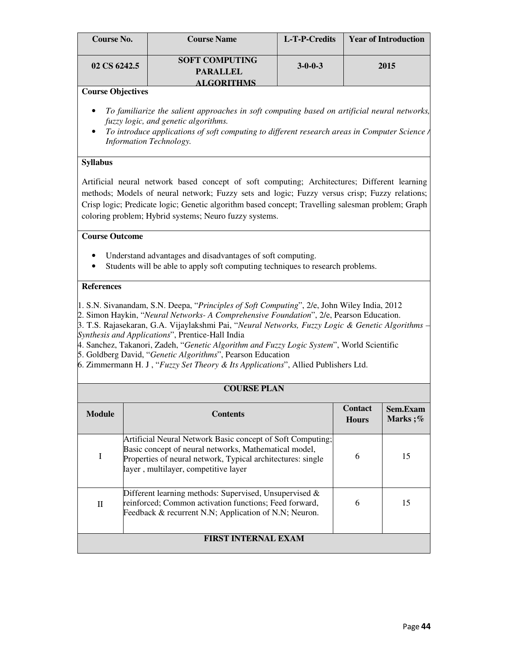| Course No.   | <b>Course Name</b>                       | L-T-P-Credits   | <b>Year of Introduction</b> |
|--------------|------------------------------------------|-----------------|-----------------------------|
| 02 CS 6242.5 | <b>SOFT COMPUTING</b><br><b>PARALLEL</b> | $3 - 0 - 0 - 3$ | 2015                        |
|              | <b>ALGORITHMS</b>                        |                 |                             |

- *To familiarize the salient approaches in soft computing based on artificial neural networks, fuzzy logic, and genetic algorithms.*
- *To introduce applications of soft computing to different research areas in Computer Science / Information Technology.*

#### **Syllabus**

Artificial neural network based concept of soft computing; Architectures; Different learning methods; Models of neural network; Fuzzy sets and logic; Fuzzy versus crisp; Fuzzy relations; Crisp logic; Predicate logic; Genetic algorithm based concept; Travelling salesman problem; Graph coloring problem; Hybrid systems; Neuro fuzzy systems.

#### **Course Outcome**

- Understand advantages and disadvantages of soft computing.
- Students will be able to apply soft computing techniques to research problems.

#### **References**

1. S.N. Sivanandam, S.N. Deepa, "*Principles of Soft Computing*", 2/e, John Wiley India, 2012

2. Simon Haykin, "*Neural Networks- A Comprehensive Foundation*", 2/e, Pearson Education.

3. T.S. Rajasekaran, G.A. Vijaylakshmi Pai, "*Neural Networks, Fuzzy Logic & Genetic Algorithms – Synthesis and Applications*", Prentice-Hall India

4. Sanchez, Takanori, Zadeh, "*Genetic Algorithm and Fuzzy Logic System*", World Scientific 5. Goldberg David, "*Genetic Algorithms*", Pearson Education

6. Zimmermann H. J , "*Fuzzy Set Theory & Its Applications*", Allied Publishers Ltd.

#### **COURSE PLAN**

| <b>Module</b>              | <b>Contents</b>                                                                                                                                                                                                            | <b>Contact</b><br><b>Hours</b> | Sem.Exam<br>Marks $;\%$ |
|----------------------------|----------------------------------------------------------------------------------------------------------------------------------------------------------------------------------------------------------------------------|--------------------------------|-------------------------|
| I                          | Artificial Neural Network Basic concept of Soft Computing;<br>Basic concept of neural networks, Mathematical model,<br>Properties of neural network, Typical architectures: single<br>layer, multilayer, competitive layer | 6                              | 15                      |
| П                          | Different learning methods: Supervised, Unsupervised $\&$<br>reinforced; Common activation functions; Feed forward,<br>Feedback & recurrent N.N; Application of N.N; Neuron.                                               | 6                              | 15                      |
| <b>FIRST INTERNAL EXAM</b> |                                                                                                                                                                                                                            |                                |                         |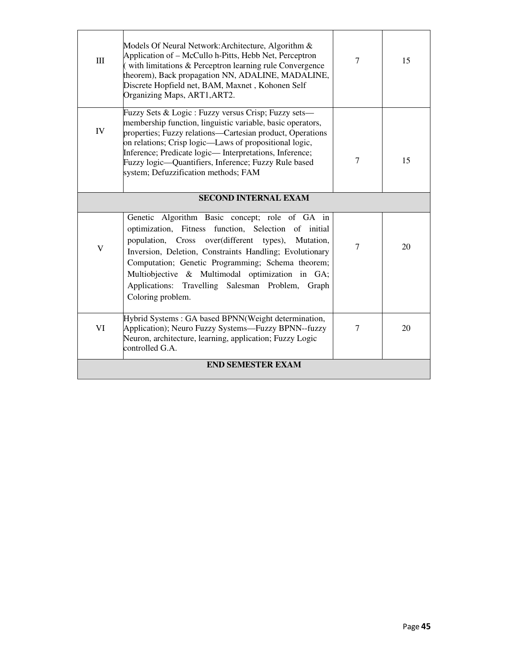| III                      | Models Of Neural Network: Architecture, Algorithm &<br>Application of – McCullo h-Pitts, Hebb Net, Perceptron<br>(with limitations & Perceptron learning rule Convergence)<br>theorem), Back propagation NN, ADALINE, MADALINE,<br>Discrete Hopfield net, BAM, Maxnet, Kohonen Self<br>Organizing Maps, ART1, ART2.                                                                                         | $\overline{7}$ | 15 |
|--------------------------|-------------------------------------------------------------------------------------------------------------------------------------------------------------------------------------------------------------------------------------------------------------------------------------------------------------------------------------------------------------------------------------------------------------|----------------|----|
| IV                       | Fuzzy Sets & Logic : Fuzzy versus Crisp; Fuzzy sets—<br>membership function, linguistic variable, basic operators,<br>properties; Fuzzy relations—Cartesian product, Operations<br>on relations; Crisp logic—Laws of propositional logic,<br>Inference; Predicate logic—Interpretations, Inference;<br>Fuzzy logic—Quantifiers, Inference; Fuzzy Rule based<br>system; Defuzzification methods; FAM         | $\overline{7}$ | 15 |
|                          | <b>SECOND INTERNAL EXAM</b>                                                                                                                                                                                                                                                                                                                                                                                 |                |    |
| $\mathbf{V}$             | Genetic Algorithm Basic concept; role of GA in<br>optimization, Fitness function, Selection of initial<br>population, Cross over(different types),<br>Mutation,<br>Inversion, Deletion, Constraints Handling; Evolutionary<br>Computation; Genetic Programming; Schema theorem;<br>Multiobjective & Multimodal optimization in GA;<br>Applications: Travelling Salesman Problem, Graph<br>Coloring problem. | $\overline{7}$ | 20 |
| VI                       | Hybrid Systems: GA based BPNN(Weight determination,<br>Application); Neuro Fuzzy Systems—Fuzzy BPNN--fuzzy<br>Neuron, architecture, learning, application; Fuzzy Logic<br>controlled G.A.                                                                                                                                                                                                                   | $\tau$         | 20 |
| <b>END SEMESTER EXAM</b> |                                                                                                                                                                                                                                                                                                                                                                                                             |                |    |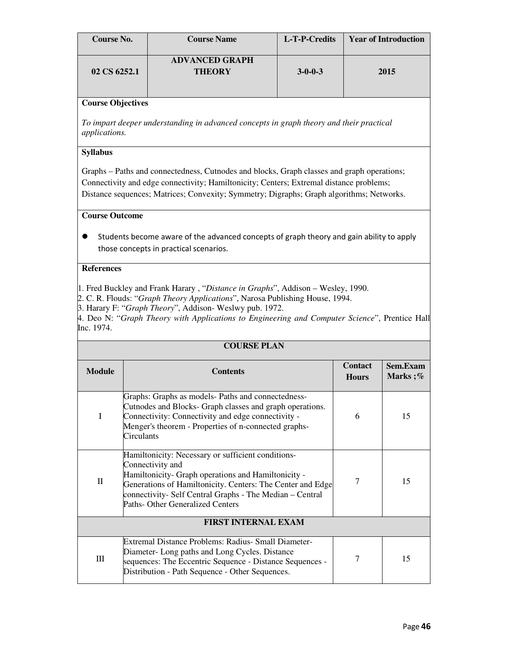| Course No.   | <b>Course Name</b>                     | L-T-P-Credits   | <b>Year of Introduction</b> |
|--------------|----------------------------------------|-----------------|-----------------------------|
| 02 CS 6252.1 | <b>ADVANCED GRAPH</b><br><b>THEORY</b> | $3 - 0 - 0 - 3$ | 2015                        |

*To impart deeper understanding in advanced concepts in graph theory and their practical applications.* 

#### **Syllabus**

Graphs – Paths and connectedness, Cutnodes and blocks, Graph classes and graph operations; Connectivity and edge connectivity; Hamiltonicity; Centers; Extremal distance problems; Distance sequences; Matrices; Convexity; Symmetry; Digraphs; Graph algorithms; Networks.

## **Course Outcome**

 Students become aware of the advanced concepts of graph theory and gain ability to apply those concepts in practical scenarios.

## **References**

- 1. Fred Buckley and Frank Harary , "*Distance in Graphs*", Addison Wesley, 1990.
- 2. C. R. Flouds: "*Graph Theory Applications*", Narosa Publishing House, 1994.

3. Harary F: "*Graph Theory*", Addison- Weslwy pub. 1972.

4. Deo N: "*Graph Theory with Applications to Engineering and Computer Science*", Prentice Hall Inc. 1974.

**COURSE PLAN**

| COURSE PLAN                |                                                                                                                                                                                                                                                                                             |                                |                     |  |
|----------------------------|---------------------------------------------------------------------------------------------------------------------------------------------------------------------------------------------------------------------------------------------------------------------------------------------|--------------------------------|---------------------|--|
| <b>Module</b>              | <b>Contents</b>                                                                                                                                                                                                                                                                             | <b>Contact</b><br><b>Hours</b> | Sem.Exam<br>Marks;% |  |
| I                          | Graphs: Graphs as models- Paths and connectedness-<br>Cutnodes and Blocks- Graph classes and graph operations.<br>Connectivity: Connectivity and edge connectivity -<br>Menger's theorem - Properties of n-connected graphs-<br>Circulants                                                  | 6                              | 15                  |  |
| $\rm{II}$                  | Hamiltonicity: Necessary or sufficient conditions-<br>Connectivity and<br>Hamiltonicity- Graph operations and Hamiltonicity -<br>Generations of Hamiltonicity. Centers: The Center and Edge<br>connectivity- Self Central Graphs - The Median - Central<br>Paths- Other Generalized Centers | 7                              | 15                  |  |
| <b>FIRST INTERNAL EXAM</b> |                                                                                                                                                                                                                                                                                             |                                |                     |  |
| Ш                          | Extremal Distance Problems: Radius- Small Diameter-<br>Diameter-Long paths and Long Cycles. Distance<br>sequences: The Eccentric Sequence - Distance Sequences -<br>Distribution - Path Sequence - Other Sequences.                                                                         | 7                              | 15                  |  |

## Page 46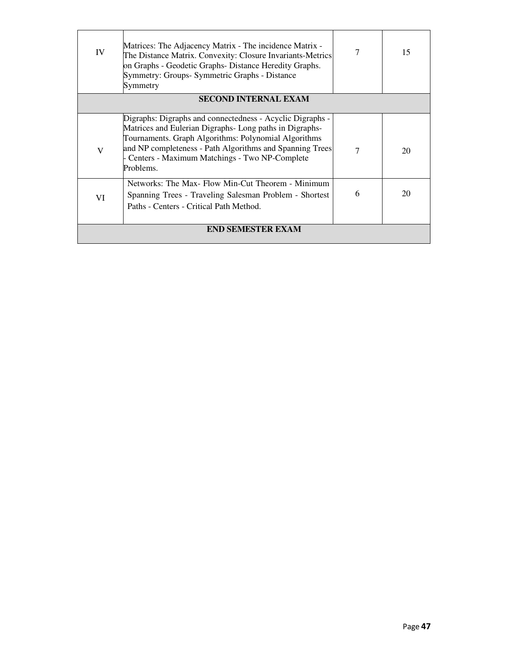| IV                       | Matrices: The Adjacency Matrix - The incidence Matrix -<br>The Distance Matrix. Convexity: Closure Invariants-Metrics<br>on Graphs - Geodetic Graphs-Distance Heredity Graphs.<br>Symmetry: Groups- Symmetric Graphs - Distance<br>Symmetry                                                           |   | 15 |
|--------------------------|-------------------------------------------------------------------------------------------------------------------------------------------------------------------------------------------------------------------------------------------------------------------------------------------------------|---|----|
|                          | <b>SECOND INTERNAL EXAM</b>                                                                                                                                                                                                                                                                           |   |    |
| V                        | Digraphs: Digraphs and connectedness - Acyclic Digraphs -<br>Matrices and Eulerian Digraphs-Long paths in Digraphs-<br>Tournaments. Graph Algorithms: Polynomial Algorithms<br>and NP completeness - Path Algorithms and Spanning Trees<br>Centers - Maximum Matchings - Two NP-Complete<br>Problems. |   | 20 |
| VI                       | Networks: The Max- Flow Min-Cut Theorem - Minimum<br>Spanning Trees - Traveling Salesman Problem - Shortest<br>Paths - Centers - Critical Path Method.                                                                                                                                                | 6 | 20 |
| <b>END SEMESTER EXAM</b> |                                                                                                                                                                                                                                                                                                       |   |    |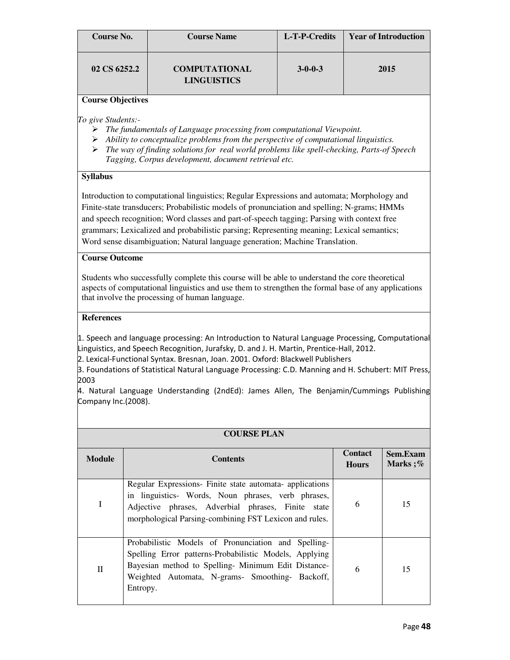| Course No.   | <b>Course Name</b>                         | L-T-P-Credits   | <b>Year of Introduction</b> |
|--------------|--------------------------------------------|-----------------|-----------------------------|
| 02 CS 6252.2 | <b>COMPUTATIONAL</b><br><b>LINGUISTICS</b> | $3 - 0 - 0 - 3$ | 2015                        |

*To give Students:-* 

- *The fundamentals of Language processing from computational Viewpoint.*
- *Ability to conceptualize problems from the perspective of computational linguistics.*
- *The way of finding solutions for real world problems like spell-checking, Parts-of Speech Tagging, Corpus development, document retrieval etc.*

## **Syllabus**

Introduction to computational linguistics; Regular Expressions and automata; Morphology and Finite-state transducers; Probabilistic models of pronunciation and spelling; N-grams; HMMs and speech recognition; Word classes and part-of-speech tagging; Parsing with context free grammars; Lexicalized and probabilistic parsing; Representing meaning; Lexical semantics; Word sense disambiguation; Natural language generation; Machine Translation.

## **Course Outcome**

Students who successfully complete this course will be able to understand the core theoretical aspects of computational linguistics and use them to strengthen the formal base of any applications that involve the processing of human language.

## **References**

1. Speech and language processing: An Introduction to Natural Language Processing, Computational Linguistics, and Speech Recognition, Jurafsky, D. and J. H. Martin, Prentice-Hall, 2012.

2. Lexical-Functional Syntax. Bresnan, Joan. 2001. Oxford: Blackwell Publishers

3. Foundations of Statistical Natural Language Processing: C.D. Manning and H. Schubert: MIT Press, 2003

4. Natural Language Understanding (2ndEd): James Allen, The Benjamin/Cummings Publishing Company Inc.(2008).

|               | <b>COURSE PLAN</b>                                                                                                                                                                                                                  |                                |                     |  |
|---------------|-------------------------------------------------------------------------------------------------------------------------------------------------------------------------------------------------------------------------------------|--------------------------------|---------------------|--|
| <b>Module</b> | <b>Contents</b>                                                                                                                                                                                                                     | <b>Contact</b><br><b>Hours</b> | Sem.Exam<br>Marks;% |  |
| I             | Regular Expressions- Finite state automata- applications<br>in linguistics- Words, Noun phrases, verb phrases,<br>Adjective phrases, Adverbial phrases, Finite state<br>morphological Parsing-combining FST Lexicon and rules.      | 6                              | 15                  |  |
| $\mathbf{I}$  | Probabilistic Models of Pronunciation and Spelling-<br>Spelling Error patterns-Probabilistic Models, Applying<br>Bayesian method to Spelling- Minimum Edit Distance-<br>Weighted Automata, N-grams- Smoothing- Backoff,<br>Entropy. | 6                              | 15                  |  |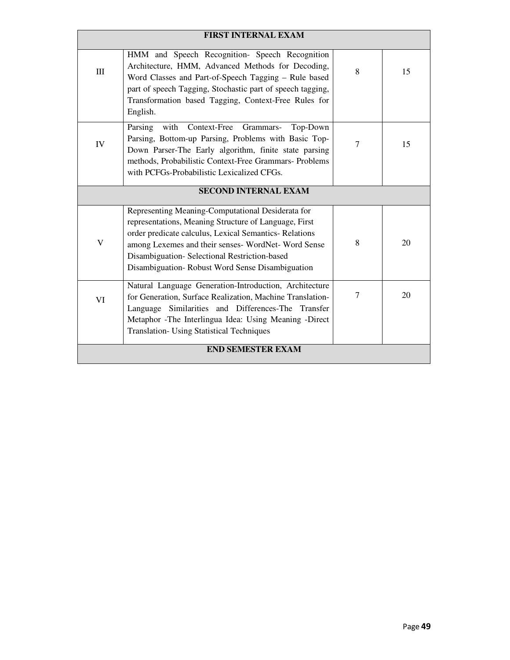| <b>FIRST INTERNAL EXAM</b> |                                                                                                                                                                                                                                                                                                                               |                |    |
|----------------------------|-------------------------------------------------------------------------------------------------------------------------------------------------------------------------------------------------------------------------------------------------------------------------------------------------------------------------------|----------------|----|
| III                        | HMM and Speech Recognition- Speech Recognition<br>Architecture, HMM, Advanced Methods for Decoding,<br>Word Classes and Part-of-Speech Tagging - Rule based<br>part of speech Tagging, Stochastic part of speech tagging,<br>Transformation based Tagging, Context-Free Rules for                                             | 8              | 15 |
|                            | English.                                                                                                                                                                                                                                                                                                                      |                |    |
| IV                         | with<br>Parsing<br>Context-Free Grammars-<br>Top-Down<br>Parsing, Bottom-up Parsing, Problems with Basic Top-<br>Down Parser-The Early algorithm, finite state parsing<br>methods, Probabilistic Context-Free Grammars- Problems<br>with PCFGs-Probabilistic Lexicalized CFGs.                                                | $\overline{7}$ | 15 |
|                            | <b>SECOND INTERNAL EXAM</b>                                                                                                                                                                                                                                                                                                   |                |    |
| $\overline{\mathsf{V}}$    | Representing Meaning-Computational Desiderata for<br>representations, Meaning Structure of Language, First<br>order predicate calculus, Lexical Semantics-Relations<br>among Lexemes and their senses- WordNet- Word Sense<br>Disambiguation-Selectional Restriction-based<br>Disambiguation-Robust Word Sense Disambiguation | 8              | 20 |
| VI                         | Natural Language Generation-Introduction, Architecture<br>for Generation, Surface Realization, Machine Translation-<br>Language Similarities and Differences-The Transfer<br>Metaphor -The Interlingua Idea: Using Meaning -Direct<br><b>Translation- Using Statistical Techniques</b>                                        | $\tau$         | 20 |
| <b>END SEMESTER EXAM</b>   |                                                                                                                                                                                                                                                                                                                               |                |    |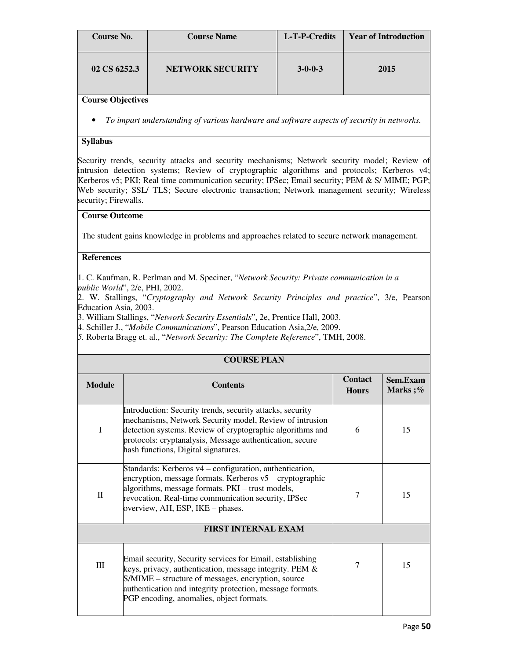| Course No.   | <b>Course Name</b>      | L-T-P-Credits   | <b>Year of Introduction</b> |
|--------------|-------------------------|-----------------|-----------------------------|
| 02 CS 6252.3 | <b>NETWORK SECURITY</b> | $3 - 0 - 0 - 3$ | 2015                        |

• *To impart understanding of various hardware and software aspects of security in networks.* 

#### **Syllabus**

Security trends, security attacks and security mechanisms; Network security model; Review of intrusion detection systems; Review of cryptographic algorithms and protocols; Kerberos v4; Kerberos v5; PKI; Real time communication security; IPSec; Email security; PEM & S/ MIME; PGP; Web security; SSL/ TLS; Secure electronic transaction; Network management security; Wireless security; Firewalls.

#### **Course Outcome**

The student gains knowledge in problems and approaches related to secure network management.

#### **References**

1. C. Kaufman, R. Perlman and M. Speciner, "*Network Security: Private communication in a public World*", 2/e, PHI, 2002.

2. W. Stallings, "*Cryptography and Network Security Principles and practice*", 3/e, Pearson Education Asia, 2003.

3. William Stallings, "*Network Security Essentials*", 2e, Prentice Hall, 2003.

4. Schiller J., "*Mobile Communications*", Pearson Education Asia,2/e, 2009.

PGP encoding, anomalies, object formats.

*5.* Roberta Bragg et. al., "*Network Security: The Complete Reference*", TMH, 2008.

| <b>COURSE PLAN</b>         |                                                                                                                                                                                                                                                                                      |                                |                     |  |
|----------------------------|--------------------------------------------------------------------------------------------------------------------------------------------------------------------------------------------------------------------------------------------------------------------------------------|--------------------------------|---------------------|--|
| <b>Module</b>              | <b>Contents</b>                                                                                                                                                                                                                                                                      | <b>Contact</b><br><b>Hours</b> | Sem.Exam<br>Marks;% |  |
| I                          | Introduction: Security trends, security attacks, security<br>mechanisms, Network Security model, Review of intrusion<br>detection systems. Review of cryptographic algorithms and<br>protocols: cryptanalysis, Message authentication, secure<br>hash functions, Digital signatures. | 6                              | 15                  |  |
| $\mathbf{I}$               | Standards: Kerberos v4 – configuration, authentication,<br>encryption, message formats. Kerberos $v5 -$ cryptographic<br>algorithms, message formats. PKI - trust models,<br>revocation. Real-time communication security, IPSec<br>overview, AH, ESP, IKE - phases.                 | 7                              | 15                  |  |
| <b>FIRST INTERNAL EXAM</b> |                                                                                                                                                                                                                                                                                      |                                |                     |  |
| Ш                          | Email security, Security services for Email, establishing<br>keys, privacy, authentication, message integrity. PEM &<br>S/MIME – structure of messages, encryption, source<br>authentication and integrity protection, message formats.                                              | 7                              | 15                  |  |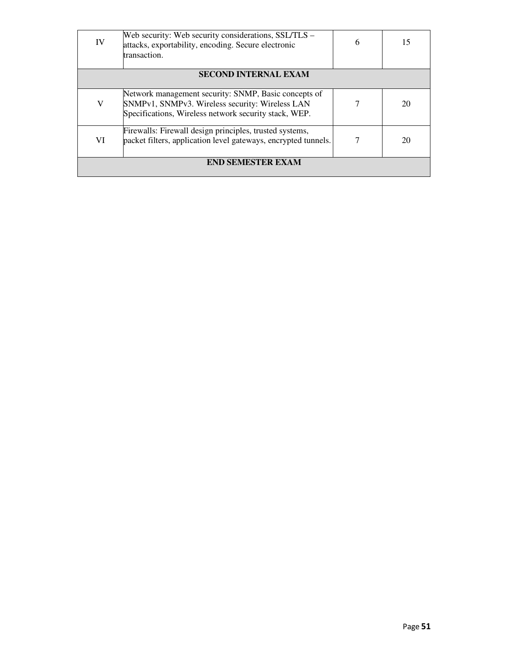| IV                       | Web security: Web security considerations, SSL/TLS -<br>attacks, exportability, encoding. Secure electronic<br>transaction.                                      | 6 | 15 |
|--------------------------|------------------------------------------------------------------------------------------------------------------------------------------------------------------|---|----|
|                          | <b>SECOND INTERNAL EXAM</b>                                                                                                                                      |   |    |
|                          |                                                                                                                                                                  |   |    |
| V                        | Network management security: SNMP, Basic concepts of<br>SNMPv1, SNMPv3. Wireless security: Wireless LAN<br>Specifications, Wireless network security stack, WEP. |   | 20 |
| VI                       | Firewalls: Firewall design principles, trusted systems,<br>packet filters, application level gateways, encrypted tunnels.                                        |   | 20 |
| <b>END SEMESTER EXAM</b> |                                                                                                                                                                  |   |    |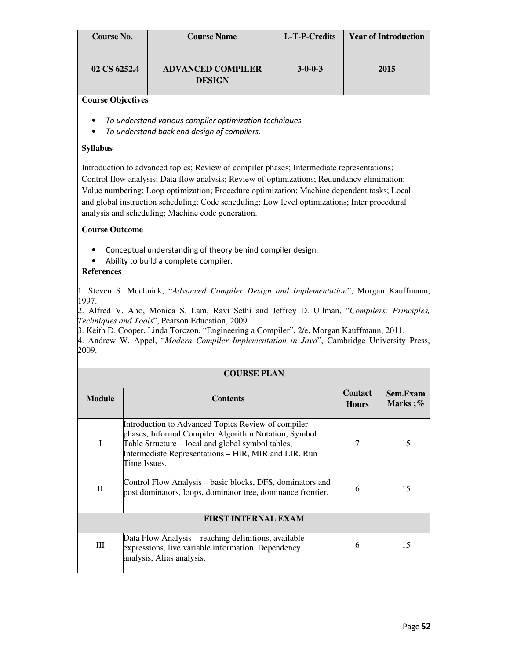| Course No.   | <b>Course Name</b>                        | L-T-P-Credits   | <b>Year of Introduction</b> |
|--------------|-------------------------------------------|-----------------|-----------------------------|
| 02 CS 6252.4 | <b>ADVANCED COMPILER</b><br><b>DESIGN</b> | $3 - 0 - 0 - 3$ | 2015                        |

- To understand various compiler optimization techniques.
- To understand back end design of compilers.

## **Syllabus**

Introduction to advanced topics; Review of compiler phases; Intermediate representations; Control flow analysis; Data flow analysis; Review of optimizations; Redundancy elimination; Value numbering; Loop optimization; Procedure optimization; Machine dependent tasks; Local and global instruction scheduling; Code scheduling; Low level optimizations; Inter procedural analysis and scheduling; Machine code generation.

## **Course Outcome**

- Conceptual understanding of theory behind compiler design.
- Ability to build a complete compiler.

## **References**

1. Steven S. Muchnick, "*Advanced Compiler Design and Implementation*", Morgan Kauffmann, 1997.

2. Alfred V. Aho, Monica S. Lam, Ravi Sethi and Jeffrey D. Ullman, "*Compilers: Principles, Techniques and Tools*", Pearson Education, 2009.

3. Keith D. Cooper, Linda Torczon, "Engineering a Compiler", 2/e, Morgan Kauffmann, 2011.

4. Andrew W. Appel, "*Modern Compiler Implementation in Java*", Cambridge University Press, 2009.

| <b>COURSE PLAN</b> |                                                                                                                                                                                                                                         |                                |                     |
|--------------------|-----------------------------------------------------------------------------------------------------------------------------------------------------------------------------------------------------------------------------------------|--------------------------------|---------------------|
| <b>Module</b>      | <b>Contents</b>                                                                                                                                                                                                                         | <b>Contact</b><br><b>Hours</b> | Sem.Exam<br>Marks;% |
| I                  | Introduction to Advanced Topics Review of compiler<br>phases, Informal Compiler Algorithm Notation, Symbol<br>Table Structure – local and global symbol tables,<br>Intermediate Representations - HIR, MIR and LIR. Run<br>Time Issues. | 7                              | 15                  |
| $\rm _{II}$        | Control Flow Analysis – basic blocks, DFS, dominators and<br>post dominators, loops, dominator tree, dominance frontier.                                                                                                                | 6                              | 15                  |
|                    | <b>FIRST INTERNAL EXAM</b>                                                                                                                                                                                                              |                                |                     |
| III                | Data Flow Analysis – reaching definitions, available<br>expressions, live variable information. Dependency<br>analysis, Alias analysis.                                                                                                 | 6                              | 15                  |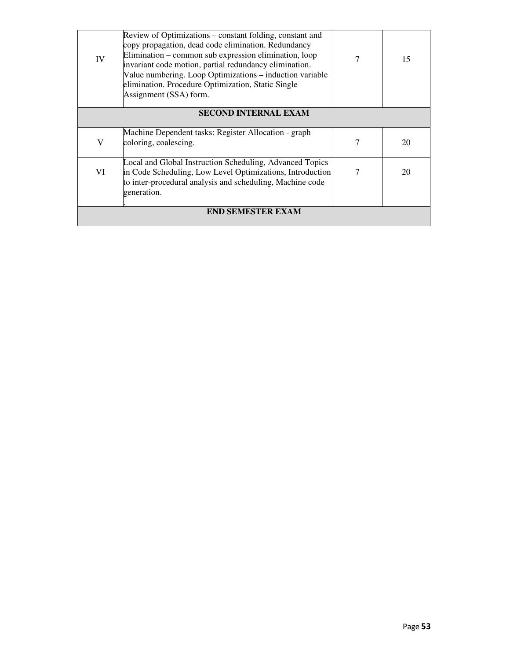| IV                       | Review of Optimizations – constant folding, constant and<br>copy propagation, dead code elimination. Redundancy<br>Elimination – common sub expression elimination, loop<br>invariant code motion, partial redundancy elimination.<br>Value numbering. Loop Optimizations – induction variable<br>elimination. Procedure Optimization, Static Single<br>Assignment (SSA) form. |   | 15 |  |
|--------------------------|--------------------------------------------------------------------------------------------------------------------------------------------------------------------------------------------------------------------------------------------------------------------------------------------------------------------------------------------------------------------------------|---|----|--|
|                          | <b>SECOND INTERNAL EXAM</b>                                                                                                                                                                                                                                                                                                                                                    |   |    |  |
| V                        | Machine Dependent tasks: Register Allocation - graph<br>coloring, coalescing.                                                                                                                                                                                                                                                                                                  | 7 | 20 |  |
| VI                       | Local and Global Instruction Scheduling, Advanced Topics<br>in Code Scheduling, Low Level Optimizations, Introduction<br>to inter-procedural analysis and scheduling, Machine code<br>generation.                                                                                                                                                                              |   | 20 |  |
| <b>END SEMESTER EXAM</b> |                                                                                                                                                                                                                                                                                                                                                                                |   |    |  |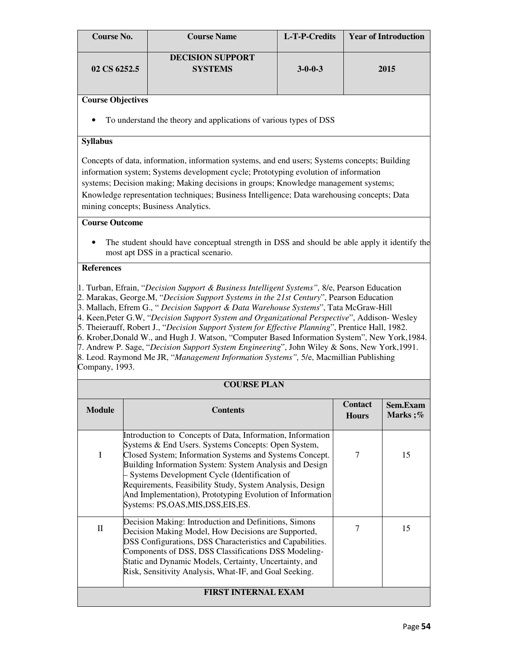| Course No.   | <b>Course Name</b>                        | L-T-P-Credits   | <b>Year of Introduction</b> |
|--------------|-------------------------------------------|-----------------|-----------------------------|
| 02 CS 6252.5 | <b>DECISION SUPPORT</b><br><b>SYSTEMS</b> | $3 - 0 - 0 - 3$ | 2015                        |

• To understand the theory and applications of various types of DSS

## **Syllabus**

Concepts of data, information, information systems, and end users; Systems concepts; Building information system; Systems development cycle; Prototyping evolution of information systems; Decision making; Making decisions in groups; Knowledge management systems; Knowledge representation techniques; Business Intelligence; Data warehousing concepts; Data mining concepts; Business Analytics.

## **Course Outcome**

• The student should have conceptual strength in DSS and should be able apply it identify the most apt DSS in a practical scenario.

#### **References**

1. Turban, Efrain, "*Decision Support & Business Intelligent Systems",* 8/e, Pearson Education 2. Marakas, George.M, "*Decision Support Systems in the 21st Century*", Pearson Education 3. Mallach, Efrem G., " *Decision Support & Data Warehouse Systems*", Tata McGraw-Hill 4. Keen,Peter G.W, "*Decision Support System and Organizational Perspective*", Addison- Wesley 5. Theierauff, Robert J., "*Decision Support System for Effective Planning*", Prentice Hall, 1982. 6. Krober,Donald W., and Hugh J. Watson, "Computer Based Information System", New York,1984. 7. Andrew P. Sage, "*Decision Support System Engineering*", John Wiley & Sons, New York,1991. 8. Leod. Raymond Me JR, "*Management Information Systems",* 5/e, Macmillian Publishing Company, 1993.

#### **COURSE PLAN**

| <b>Module</b> | <b>Contents</b>                                                                                                                                                                                                                                                                                                                                                                                                                                       | <b>Contact</b><br><b>Hours</b> | Sem.Exam<br>Marks;% |
|---------------|-------------------------------------------------------------------------------------------------------------------------------------------------------------------------------------------------------------------------------------------------------------------------------------------------------------------------------------------------------------------------------------------------------------------------------------------------------|--------------------------------|---------------------|
| I             | Introduction to Concepts of Data, Information, Information<br>Systems & End Users. Systems Concepts: Open System,<br>Closed System; Information Systems and Systems Concept.<br>Building Information System: System Analysis and Design<br>- Systems Development Cycle (Identification of<br>Requirements, Feasibility Study, System Analysis, Design<br>And Implementation), Prototyping Evolution of Information<br>Systems: PS,OAS,MIS,DSS,EIS,ES. | 7                              | 15                  |
| $\rm _{II}$   | Decision Making: Introduction and Definitions, Simons<br>Decision Making Model, How Decisions are Supported,<br><b>DSS Configurations, DSS Characteristics and Capabilities.</b><br>Components of DSS, DSS Classifications DSS Modeling-<br>Static and Dynamic Models, Certainty, Uncertainty, and<br>Risk, Sensitivity Analysis, What-IF, and Goal Seeking.                                                                                          | 7                              | 15                  |
|               | <b>FIRST INTERNAL EXAM</b>                                                                                                                                                                                                                                                                                                                                                                                                                            |                                |                     |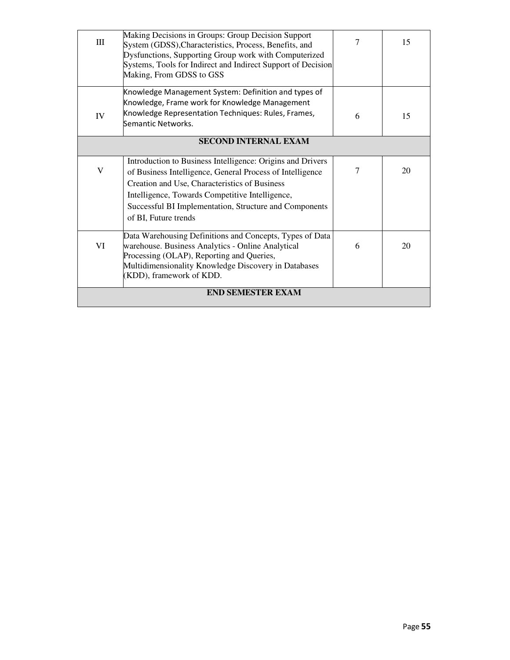| Ш                        | Making Decisions in Groups: Group Decision Support<br>System (GDSS), Characteristics, Process, Benefits, and<br>Dysfunctions, Supporting Group work with Computerized<br>Systems, Tools for Indirect and Indirect Support of Decision<br>Making, From GDSS to GSS                                             | 7 | 15 |
|--------------------------|---------------------------------------------------------------------------------------------------------------------------------------------------------------------------------------------------------------------------------------------------------------------------------------------------------------|---|----|
| IV                       | Knowledge Management System: Definition and types of<br>Knowledge, Frame work for Knowledge Management<br>Knowledge Representation Techniques: Rules, Frames,<br>Semantic Networks.                                                                                                                           | 6 | 15 |
|                          | <b>SECOND INTERNAL EXAM</b>                                                                                                                                                                                                                                                                                   |   |    |
| $\mathbf V$              | Introduction to Business Intelligence: Origins and Drivers<br>of Business Intelligence, General Process of Intelligence<br>Creation and Use, Characteristics of Business<br>Intelligence, Towards Competitive Intelligence,<br>Successful BI Implementation, Structure and Components<br>of BI, Future trends | 7 | 20 |
| VI                       | Data Warehousing Definitions and Concepts, Types of Data<br>warehouse. Business Analytics - Online Analytical<br>Processing (OLAP), Reporting and Queries,<br>Multidimensionality Knowledge Discovery in Databases<br>(KDD), framework of KDD.                                                                | 6 | 20 |
| <b>END SEMESTER EXAM</b> |                                                                                                                                                                                                                                                                                                               |   |    |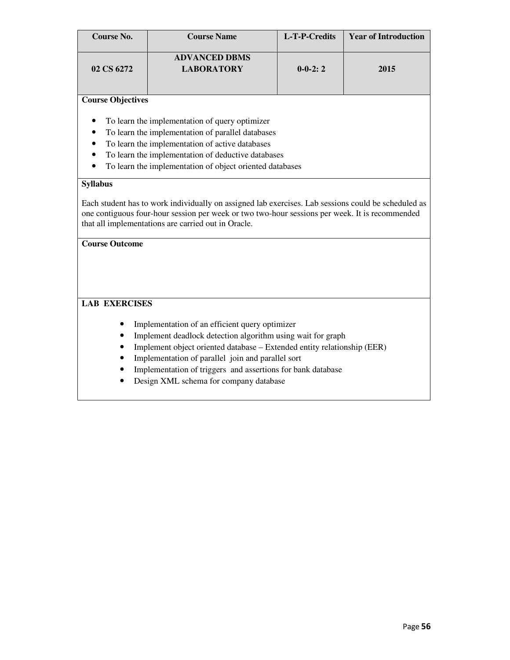| <b>Course No.</b>        | <b>Course Name</b>                        | L-T-P-Credits | <b>Year of Introduction</b> |
|--------------------------|-------------------------------------------|---------------|-----------------------------|
| 02 CS 6272               | <b>ADVANCED DBMS</b><br><b>LABORATORY</b> | $0-0-2:2$     | 2015                        |
| <b>Course Objectives</b> |                                           |               |                             |

- To learn the implementation of query optimizer
- To learn the implementation of parallel databases
- To learn the implementation of active databases
- To learn the implementation of deductive databases
- To learn the implementation of object oriented databases

## **Syllabus**

Each student has to work individually on assigned lab exercises. Lab sessions could be scheduled as one contiguous four-hour session per week or two two-hour sessions per week. It is recommended that all implementations are carried out in Oracle.

## **Course Outcome**

## **LAB EXERCISES**

- Implementation of an efficient query optimizer
- Implement deadlock detection algorithm using wait for graph
- Implement object oriented database Extended entity relationship (EER)
- Implementation of parallel join and parallel sort
- Implementation of triggers and assertions for bank database
- Design XML schema for company database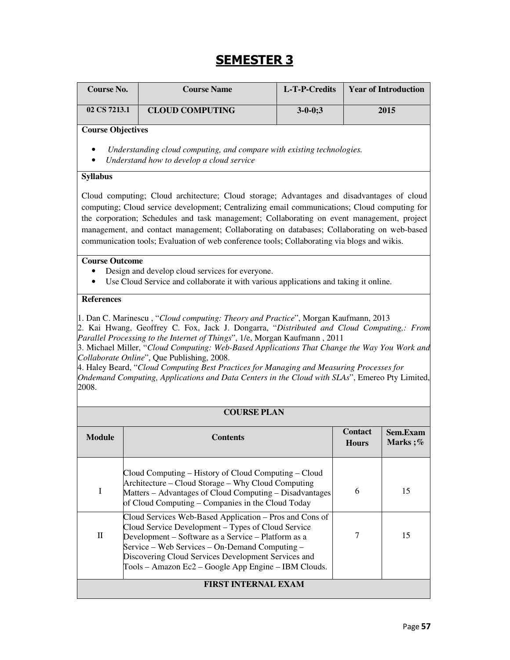# **SEMESTER 3**

| <b>Course No.</b>                                                                                                                                                                                                                                                                                                                                                                                                                                                                                                                                                                                                 |  | <b>Course Name</b>                                                                                                                                                                                                                                                                                                                    | L-T-P-Credits  |                | <b>Year of Introduction</b> |
|-------------------------------------------------------------------------------------------------------------------------------------------------------------------------------------------------------------------------------------------------------------------------------------------------------------------------------------------------------------------------------------------------------------------------------------------------------------------------------------------------------------------------------------------------------------------------------------------------------------------|--|---------------------------------------------------------------------------------------------------------------------------------------------------------------------------------------------------------------------------------------------------------------------------------------------------------------------------------------|----------------|----------------|-----------------------------|
| 02 CS 7213.1                                                                                                                                                                                                                                                                                                                                                                                                                                                                                                                                                                                                      |  | <b>CLOUD COMPUTING</b>                                                                                                                                                                                                                                                                                                                | $3 - 0 - 0; 3$ |                | 2015                        |
| <b>Course Objectives</b>                                                                                                                                                                                                                                                                                                                                                                                                                                                                                                                                                                                          |  | Understanding cloud computing, and compare with existing technologies.<br>Understand how to develop a cloud service                                                                                                                                                                                                                   |                |                |                             |
| <b>Syllabus</b><br>Cloud computing; Cloud architecture; Cloud storage; Advantages and disadvantages of cloud<br>computing; Cloud service development; Centralizing email communications; Cloud computing for<br>the corporation; Schedules and task management; Collaborating on event management, project<br>management, and contact management; Collaborating on databases; Collaborating on web-based<br>communication tools; Evaluation of web conference tools; Collaborating via blogs and wikis.                                                                                                           |  |                                                                                                                                                                                                                                                                                                                                       |                |                |                             |
| <b>Course Outcome</b>                                                                                                                                                                                                                                                                                                                                                                                                                                                                                                                                                                                             |  | Design and develop cloud services for everyone.<br>Use Cloud Service and collaborate it with various applications and taking it online.                                                                                                                                                                                               |                |                |                             |
| 1. Dan C. Marinescu, "Cloud computing: Theory and Practice", Morgan Kaufmann, 2013<br>2. Kai Hwang, Geoffrey C. Fox, Jack J. Dongarra, "Distributed and Cloud Computing,: From<br>Parallel Processing to the Internet of Things", 1/e, Morgan Kaufmann, 2011<br>3. Michael Miller, "Cloud Computing: Web-Based Applications That Change the Way You Work and<br>Collaborate Online", Que Publishing, 2008.<br>4. Haley Beard, "Cloud Computing Best Practices for Managing and Measuring Processes for<br>Ondemand Computing, Applications and Data Centers in the Cloud with SLAs", Emereo Pty Limited,<br>2008. |  |                                                                                                                                                                                                                                                                                                                                       |                |                |                             |
| <b>Module</b>                                                                                                                                                                                                                                                                                                                                                                                                                                                                                                                                                                                                     |  | <b>COURSE PLAN</b><br><b>Contents</b>                                                                                                                                                                                                                                                                                                 |                | <b>Contact</b> | Sem.Exam                    |
|                                                                                                                                                                                                                                                                                                                                                                                                                                                                                                                                                                                                                   |  |                                                                                                                                                                                                                                                                                                                                       |                | <b>Hours</b>   | Marks;%                     |
| I                                                                                                                                                                                                                                                                                                                                                                                                                                                                                                                                                                                                                 |  | Cloud Computing – History of Cloud Computing – Cloud<br>Architecture – Cloud Storage – Why Cloud Computing<br>Matters – Advantages of Cloud Computing – Disadvantages<br>of Cloud Computing – Companies in the Cloud Today                                                                                                            |                | 6              | 15                          |
| $\mathbf H$                                                                                                                                                                                                                                                                                                                                                                                                                                                                                                                                                                                                       |  | Cloud Services Web-Based Application – Pros and Cons of<br>Cloud Service Development - Types of Cloud Service<br>Development – Software as a Service – Platform as a<br>Service – Web Services – On-Demand Computing –<br>Discovering Cloud Services Development Services and<br>Tools - Amazon Ec2 - Google App Engine - IBM Clouds. |                | 7              | 15                          |
| <b>FIRST INTERNAL EXAM</b>                                                                                                                                                                                                                                                                                                                                                                                                                                                                                                                                                                                        |  |                                                                                                                                                                                                                                                                                                                                       |                |                |                             |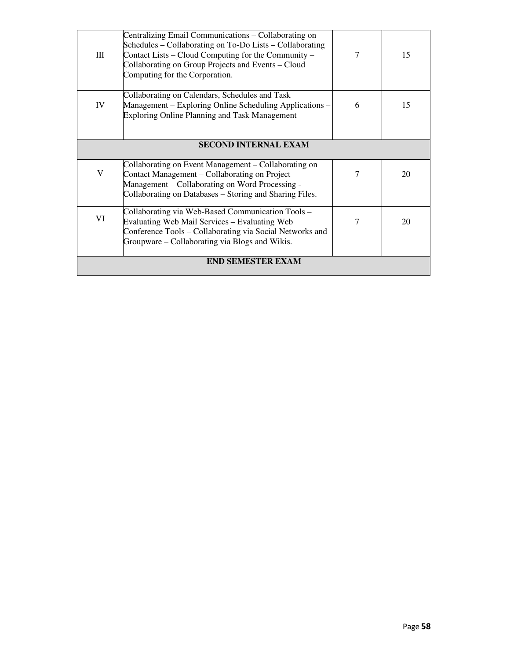| Ш                           | Centralizing Email Communications – Collaborating on<br>Schedules – Collaborating on To-Do Lists – Collaborating<br>Contact Lists – Cloud Computing for the Community –<br>Collaborating on Group Projects and Events - Cloud<br>Computing for the Corporation. | 7 | 15 |
|-----------------------------|-----------------------------------------------------------------------------------------------------------------------------------------------------------------------------------------------------------------------------------------------------------------|---|----|
| IV                          | Collaborating on Calendars, Schedules and Task<br>Management – Exploring Online Scheduling Applications –<br>Exploring Online Planning and Task Management                                                                                                      | 6 | 15 |
| <b>SECOND INTERNAL EXAM</b> |                                                                                                                                                                                                                                                                 |   |    |
| V                           | Collaborating on Event Management – Collaborating on<br>Contact Management - Collaborating on Project<br>Management – Collaborating on Word Processing -<br>Collaborating on Databases – Storing and Sharing Files.                                             | 7 | 20 |
| VI                          | Collaborating via Web-Based Communication Tools -<br><b>Evaluating Web Mail Services – Evaluating Web</b><br>Conference Tools – Collaborating via Social Networks and<br>Groupware – Collaborating via Blogs and Wikis.                                         | 7 | 20 |
|                             | <b>END SEMESTER EXAM</b>                                                                                                                                                                                                                                        |   |    |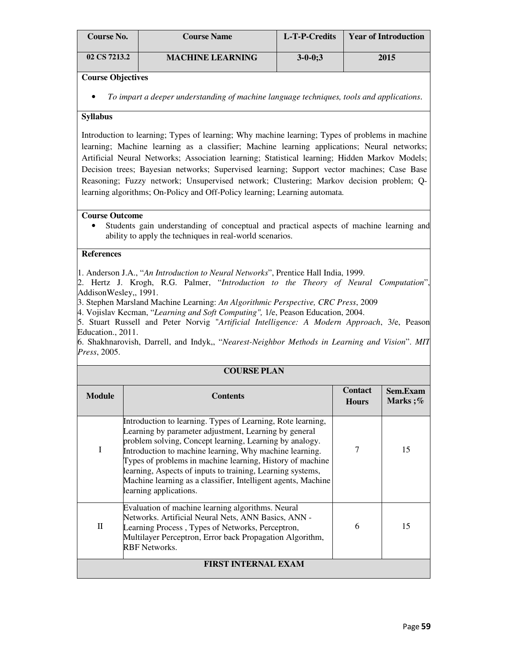| <b>Course No.</b> | <b>Course Name</b>      | L-T-P-Credits | <b>Year of Introduction</b> |
|-------------------|-------------------------|---------------|-----------------------------|
| 02 CS 7213.2      | <b>MACHINE LEARNING</b> | $3 - 0 - 0:3$ | 2015                        |

## **Syllabus**

Introduction to learning; Types of learning; Why machine learning; Types of problems in machine learning; Machine learning as a classifier; Machine learning applications; Neural networks; Artificial Neural Networks; Association learning; Statistical learning; Hidden Markov Models; Decision trees; Bayesian networks; Supervised learning; Support vector machines; Case Base Reasoning; Fuzzy network; Unsupervised network; Clustering; Markov decision problem; Qlearning algorithms; On-Policy and Off-Policy learning; Learning automata.

#### **Course Outcome**

• Students gain understanding of conceptual and practical aspects of machine learning and ability to apply the techniques in real-world scenarios.

## **References**

1. Anderson J.A., "*An Introduction to Neural Networks*", Prentice Hall India, 1999.

2. Hertz J. Krogh, R.G. Palmer, "*Introduction to the Theory of Neural Computation*", AddisonWesley,, 1991.

3. Stephen Marsland Machine Learning: *An Algorithmic Perspective, CRC Press*, 2009

4. Vojislav Kecman, "*Learning and Soft Computing",* 1/e, Peason Education, 2004.

5. Stuart Russell and Peter Norvig "*Artificial Intelligence: A Modern Approach*, 3/e, Peason Education., 2011.

6. Shakhnarovish, Darrell, and Indyk,, "*Nearest-Neighbor Methods in Learning and Vision*". *MIT Press*, 2005.

| <b>COURSE PLAN</b> |                                                                                                                                                                                                                                                                                                                                                                                                                                                                  |                                |                            |
|--------------------|------------------------------------------------------------------------------------------------------------------------------------------------------------------------------------------------------------------------------------------------------------------------------------------------------------------------------------------------------------------------------------------------------------------------------------------------------------------|--------------------------------|----------------------------|
| <b>Module</b>      | <b>Contents</b>                                                                                                                                                                                                                                                                                                                                                                                                                                                  | <b>Contact</b><br><b>Hours</b> | <b>Sem.Exam</b><br>Marks;% |
| I                  | Introduction to learning. Types of Learning, Rote learning,<br>Learning by parameter adjustment, Learning by general<br>problem solving, Concept learning, Learning by analogy.<br>Introduction to machine learning, Why machine learning.<br>Types of problems in machine learning, History of machine<br>learning, Aspects of inputs to training, Learning systems,<br>Machine learning as a classifier, Intelligent agents, Machine<br>learning applications. |                                | 15                         |
| П                  | Evaluation of machine learning algorithms. Neural<br>Networks. Artificial Neural Nets, ANN Basics, ANN -<br>Learning Process, Types of Networks, Perceptron,<br>Multilayer Perceptron, Error back Propagation Algorithm,<br><b>RBF</b> Networks.                                                                                                                                                                                                                 | 6                              | 15                         |
|                    | <b>FIRST INTERNAL EXAM</b>                                                                                                                                                                                                                                                                                                                                                                                                                                       |                                |                            |

<sup>•</sup> *To impart a deeper understanding of machine language techniques, tools and applications*.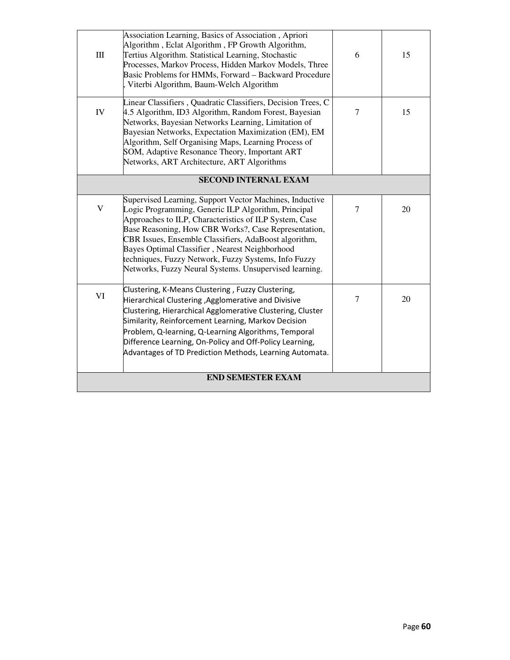| $\rm III$   | Association Learning, Basics of Association, Apriori<br>Algorithm, Eclat Algorithm, FP Growth Algorithm,<br>Tertius Algorithm. Statistical Learning, Stochastic<br>Processes, Markov Process, Hidden Markov Models, Three<br>Basic Problems for HMMs, Forward - Backward Procedure<br>Viterbi Algorithm, Baum-Welch Algorithm                                                                                                                                 | 6              | 15 |
|-------------|---------------------------------------------------------------------------------------------------------------------------------------------------------------------------------------------------------------------------------------------------------------------------------------------------------------------------------------------------------------------------------------------------------------------------------------------------------------|----------------|----|
| IV          | Linear Classifiers, Quadratic Classifiers, Decision Trees, C<br>4.5 Algorithm, ID3 Algorithm, Random Forest, Bayesian<br>Networks, Bayesian Networks Learning, Limitation of<br>Bayesian Networks, Expectation Maximization (EM), EM<br>Algorithm, Self Organising Maps, Learning Process of<br>SOM, Adaptive Resonance Theory, Important ART<br>Networks, ART Architecture, ART Algorithms                                                                   | $\overline{7}$ | 15 |
|             | <b>SECOND INTERNAL EXAM</b>                                                                                                                                                                                                                                                                                                                                                                                                                                   |                |    |
| $\mathbf V$ | Supervised Learning, Support Vector Machines, Inductive<br>Logic Programming, Generic ILP Algorithm, Principal<br>Approaches to ILP, Characteristics of ILP System, Case<br>Base Reasoning, How CBR Works?, Case Representation,<br>CBR Issues, Ensemble Classifiers, AdaBoost algorithm,<br>Bayes Optimal Classifier, Nearest Neighborhood<br>techniques, Fuzzy Network, Fuzzy Systems, Info Fuzzy<br>Networks, Fuzzy Neural Systems. Unsupervised learning. | $\overline{7}$ | 20 |
| VI          | Clustering, K-Means Clustering, Fuzzy Clustering,<br>Hierarchical Clustering , Agglomerative and Divisive<br>Clustering, Hierarchical Agglomerative Clustering, Cluster<br>Similarity, Reinforcement Learning, Markov Decision<br>Problem, Q-learning, Q-Learning Algorithms, Temporal<br>Difference Learning, On-Policy and Off-Policy Learning,<br>Advantages of TD Prediction Methods, Learning Automata.                                                  | $\tau$         | 20 |
|             | <b>END SEMESTER EXAM</b>                                                                                                                                                                                                                                                                                                                                                                                                                                      |                |    |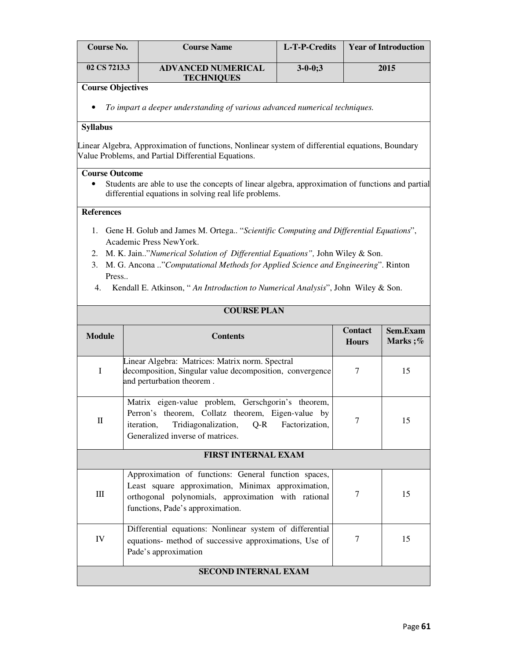| Course No.                                                                                                                               | <b>Course Name</b>        | L-T-P-Credits  | <b>Year of Introduction</b> |  |  |  |
|------------------------------------------------------------------------------------------------------------------------------------------|---------------------------|----------------|-----------------------------|--|--|--|
| 02 CS 7213.3                                                                                                                             | <b>ADVANCED NUMERICAL</b> | $3 - 0 - 0; 3$ | 2015                        |  |  |  |
| <b>TECHNIQUES</b><br><b>Course Objectives</b><br>To impart a deeper understanding of various advanced numerical techniques.<br>$\bullet$ |                           |                |                             |  |  |  |
|                                                                                                                                          |                           |                |                             |  |  |  |

#### **Syllabus**

Linear Algebra, Approximation of functions, Nonlinear system of differential equations, Boundary Value Problems, and Partial Differential Equations.

#### **Course Outcome**

• Students are able to use the concepts of linear algebra, approximation of functions and partial differential equations in solving real life problems.

#### **References**

- 1. Gene H. Golub and James M. Ortega.. "*Scientific Computing and Differential Equations*", Academic Press NewYork.
- 2. M. K. Jain.."*Numerical Solution of Differential Equations",* John Wiley & Son.
- 3. M. G. Ancona .."*Computational Methods for Applied Science and Engineering*". Rinton Press..
- 4. Kendall E. Atkinson, " *An Introduction to Numerical Analysis*", John Wiley & Son.

| <b>COURSE PLAN</b>          |                                                                                                                                                                                                            |                                |                     |  |
|-----------------------------|------------------------------------------------------------------------------------------------------------------------------------------------------------------------------------------------------------|--------------------------------|---------------------|--|
| <b>Module</b>               | <b>Contents</b>                                                                                                                                                                                            | <b>Contact</b><br><b>Hours</b> | Sem.Exam<br>Marks;% |  |
| $\mathbf I$                 | Linear Algebra: Matrices: Matrix norm. Spectral<br>decomposition, Singular value decomposition, convergence<br>and perturbation theorem.                                                                   | 7                              | 15                  |  |
| $\Pi$                       | Matrix eigen-value problem, Gerschgorin's theorem,<br>Perron's theorem, Collatz theorem, Eigen-value by<br>Tridiagonalization, Q-R Factorization,<br><i>iteration,</i><br>Generalized inverse of matrices. | 7                              | 15                  |  |
| <b>FIRST INTERNAL EXAM</b>  |                                                                                                                                                                                                            |                                |                     |  |
| Ш                           | Approximation of functions: General function spaces,<br>Least square approximation, Minimax approximation,<br>orthogonal polynomials, approximation with rational<br>functions, Pade's approximation.      | 7                              | 15                  |  |
| IV                          | Differential equations: Nonlinear system of differential<br>equations- method of successive approximations, Use of<br>Pade's approximation                                                                 | 7                              | 15                  |  |
| <b>SECOND INTERNAL EXAM</b> |                                                                                                                                                                                                            |                                |                     |  |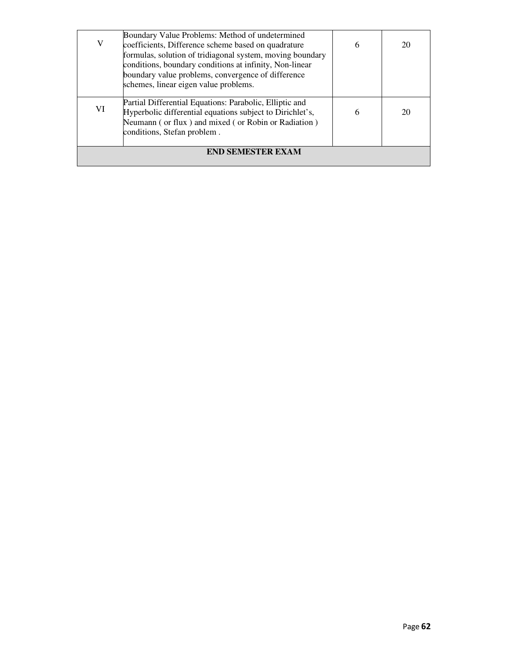|                          | Boundary Value Problems: Method of undetermined           |   |    |
|--------------------------|-----------------------------------------------------------|---|----|
| V                        | coefficients, Difference scheme based on quadrature       | 6 | 20 |
|                          | formulas, solution of tridiagonal system, moving boundary |   |    |
|                          | conditions, boundary conditions at infinity, Non-linear   |   |    |
|                          | boundary value problems, convergence of difference        |   |    |
|                          | schemes, linear eigen value problems.                     |   |    |
|                          |                                                           |   |    |
|                          | Partial Differential Equations: Parabolic, Elliptic and   |   |    |
| VI                       | Hyperbolic differential equations subject to Dirichlet's, | 6 | 20 |
|                          | Neumann (or flux) and mixed (or Robin or Radiation)       |   |    |
|                          | conditions, Stefan problem.                               |   |    |
|                          |                                                           |   |    |
| <b>END SEMESTER EXAM</b> |                                                           |   |    |
|                          |                                                           |   |    |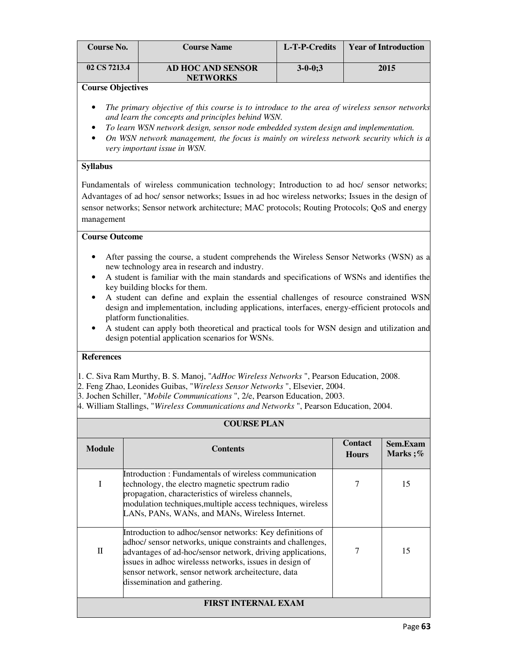| <b>Course No.</b> | <b>Course Name</b>                   | L-T-P-Credits | <b>Year of Introduction</b> |
|-------------------|--------------------------------------|---------------|-----------------------------|
| 02 CS 7213.4      | AD HOC AND SENSOR<br><b>NETWORKS</b> | $3 - 0 - 0:3$ | 2015                        |

- *The primary objective of this course is to introduce to the area of wireless sensor networks and learn the concepts and principles behind WSN.*
- *To learn WSN network design, sensor node embedded system design and implementation.*
- *On WSN network management, the focus is mainly on wireless network security which is a very important issue in WSN.*

## **Syllabus**

Fundamentals of wireless communication technology; Introduction to ad hoc/ sensor networks; Advantages of ad hoc/ sensor networks; Issues in ad hoc wireless networks; Issues in the design of sensor networks; Sensor network architecture; MAC protocols; Routing Protocols; QoS and energy management

## **Course Outcome**

- After passing the course, a student comprehends the Wireless Sensor Networks (WSN) as a new technology area in research and industry.
- A student is familiar with the main standards and specifications of WSNs and identifies the key building blocks for them.
- A student can define and explain the essential challenges of resource constrained WSN design and implementation, including applications, interfaces, energy-efficient protocols and platform functionalities.
- A student can apply both theoretical and practical tools for WSN design and utilization and design potential application scenarios for WSNs.

## **References**

1. C. Siva Ram Murthy, B. S. Manoj, "*AdHoc Wireless Networks* ", Pearson Education, 2008.

- 2. Feng Zhao, Leonides Guibas, "*Wireless Sensor Networks* ", Elsevier, 2004.
- 3. Jochen Schiller, "*Mobile Communications* ", 2/e, Pearson Education, 2003.
- 4. William Stallings, "*Wireless Communications and Networks* ", Pearson Education, 2004.

| <b>COURSE PLAN</b>         |                                                                                                                                                                                                                                                                                                                                        |                                |                            |
|----------------------------|----------------------------------------------------------------------------------------------------------------------------------------------------------------------------------------------------------------------------------------------------------------------------------------------------------------------------------------|--------------------------------|----------------------------|
| <b>Module</b>              | <b>Contents</b>                                                                                                                                                                                                                                                                                                                        | <b>Contact</b><br><b>Hours</b> | <b>Sem.Exam</b><br>Marks;% |
| I                          | Introduction: Fundamentals of wireless communication<br>technology, the electro magnetic spectrum radio<br>propagation, characteristics of wireless channels,<br>modulation techniques, multiple access techniques, wireless<br>LANs, PANs, WANs, and MANs, Wireless Internet.                                                         |                                | 15                         |
| $\mathbf{I}$               | Introduction to adhoc/sensor networks: Key definitions of<br>adhoc/ sensor networks, unique constraints and challenges,<br>advantages of ad-hoc/sensor network, driving applications,<br>issues in adhoc wirelesss networks, issues in design of<br>sensor network, sensor network archeitecture, data<br>dissemination and gathering. |                                | 15                         |
| <b>FIRST INTERNAL EXAM</b> |                                                                                                                                                                                                                                                                                                                                        |                                |                            |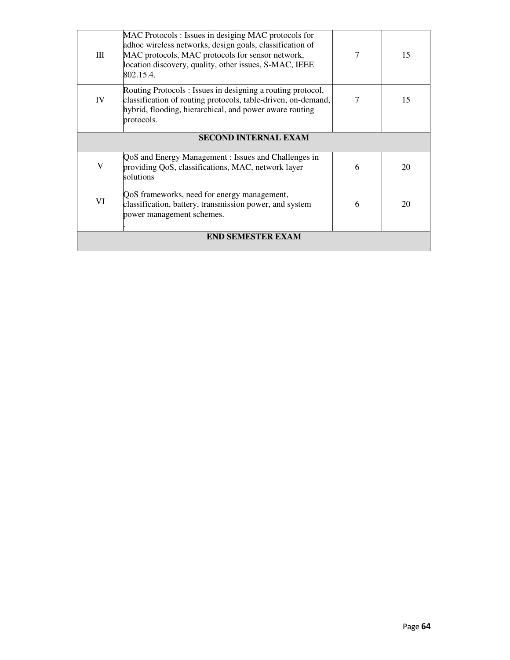| Ш                           | MAC Protocols: Issues in desiging MAC protocols for<br>adhoc wireless networks, design goals, classification of<br>MAC protocols, MAC protocols for sensor network,<br>location discovery, quality, other issues, S-MAC, IEEE<br>802.15.4. | 7 | 15 |
|-----------------------------|--------------------------------------------------------------------------------------------------------------------------------------------------------------------------------------------------------------------------------------------|---|----|
| IV                          | Routing Protocols: Issues in designing a routing protocol,<br>classification of routing protocols, table-driven, on-demand,<br>hybrid, flooding, hierarchical, and power aware routing<br>protocols.                                       |   | 15 |
| <b>SECOND INTERNAL EXAM</b> |                                                                                                                                                                                                                                            |   |    |
| V                           | QoS and Energy Management : Issues and Challenges in<br>providing QoS, classifications, MAC, network layer<br>solutions                                                                                                                    | 6 | 20 |
| VI                          | QoS frameworks, need for energy management,<br>classification, battery, transmission power, and system<br>power management schemes.                                                                                                        | 6 | 20 |
| <b>END SEMESTER EXAM</b>    |                                                                                                                                                                                                                                            |   |    |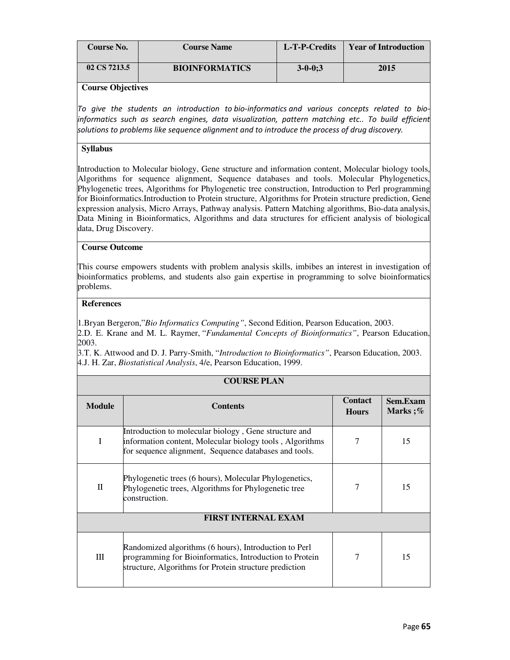| Course No.   | <b>Course Name</b>    | L-T-P-Credits  | <b>Year of Introduction</b> |
|--------------|-----------------------|----------------|-----------------------------|
| 02 CS 7213.5 | <b>BIOINFORMATICS</b> | $3 - 0 - 0; 3$ | 2015                        |

To give the students an introduction to bio-informatics and various concepts related to bioinformatics such as search engines, data visualization, pattern matching etc.. To build efficient solutions to problems like sequence alignment and to introduce the process of drug discovery.

## **Syllabus**

Introduction to Molecular biology, Gene structure and information content, Molecular biology tools, Algorithms for sequence alignment, Sequence databases and tools. Molecular Phylogenetics, Phylogenetic trees, Algorithms for Phylogenetic tree construction, Introduction to Perl programming for Bioinformatics.Introduction to Protein structure, Algorithms for Protein structure prediction, Gene expression analysis, Micro Arrays, Pathway analysis. Pattern Matching algorithms, Bio-data analysis, Data Mining in Bioinformatics, Algorithms and data structures for efficient analysis of biological data, Drug Discovery.

## **Course Outcome**

This course empowers students with problem analysis skills, imbibes an interest in investigation of bioinformatics problems, and students also gain expertise in programming to solve bioinformatics problems.

#### **References**

1.Bryan Bergeron,"*Bio Informatics Computing"*, Second Edition, Pearson Education, 2003.

2.D. E. Krane and M. L. Raymer, "*Fundamental Concepts of Bioinformatics"*, Pearson Education, 2003.

3.T. K. Attwood and D. J. Parry-Smith, "*Introduction to Bioinformatics"*, Pearson Education, 2003. 4.J. H. Zar, *Biostatistical Analysis*, 4/e, Pearson Education, 1999.

| <b>COURSE PLAN</b>         |                                                                                                                                                                            |                                |                     |  |
|----------------------------|----------------------------------------------------------------------------------------------------------------------------------------------------------------------------|--------------------------------|---------------------|--|
| <b>Module</b>              | <b>Contents</b>                                                                                                                                                            | <b>Contact</b><br><b>Hours</b> | Sem.Exam<br>Marks;% |  |
| I                          | Introduction to molecular biology, Gene structure and<br>information content, Molecular biology tools, Algorithms<br>for sequence alignment, Sequence databases and tools. |                                | 15                  |  |
| $\mathbf{I}$               | Phylogenetic trees (6 hours), Molecular Phylogenetics,<br>Phylogenetic trees, Algorithms for Phylogenetic tree<br>construction.                                            |                                | 15                  |  |
| <b>FIRST INTERNAL EXAM</b> |                                                                                                                                                                            |                                |                     |  |
| III                        | Randomized algorithms (6 hours), Introduction to Perl<br>programming for Bioinformatics, Introduction to Protein<br>structure, Algorithms for Protein structure prediction | 7                              | 15                  |  |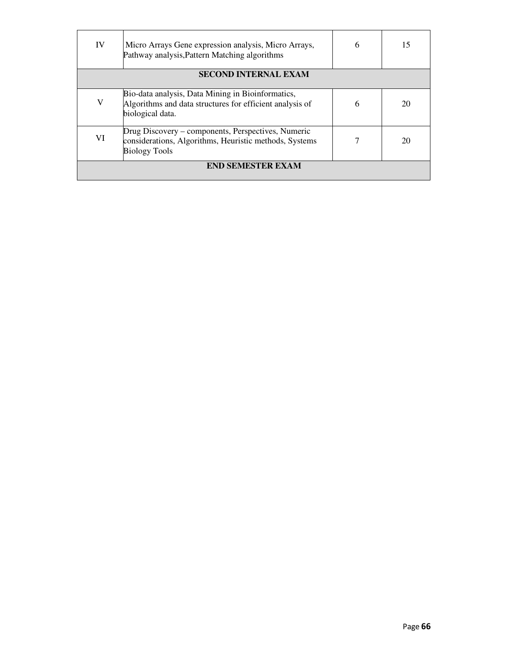| IV                       | Micro Arrays Gene expression analysis, Micro Arrays,<br>Pathway analysis, Pattern Matching algorithms                                | 6 | 15 |
|--------------------------|--------------------------------------------------------------------------------------------------------------------------------------|---|----|
|                          | <b>SECOND INTERNAL EXAM</b>                                                                                                          |   |    |
| V                        | Bio-data analysis, Data Mining in Bioinformatics,<br>Algorithms and data structures for efficient analysis of<br>biological data.    | 6 | 20 |
| VI                       | Drug Discovery – components, Perspectives, Numeric<br>considerations, Algorithms, Heuristic methods, Systems<br><b>Biology Tools</b> |   | 20 |
| <b>END SEMESTER EXAM</b> |                                                                                                                                      |   |    |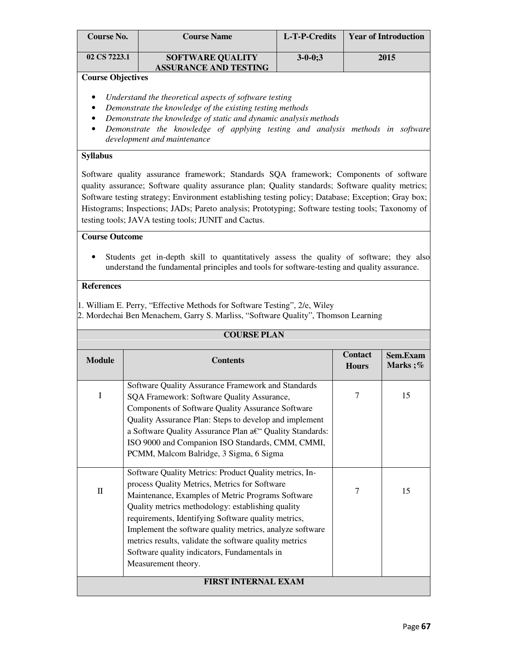| Course No.               | <b>Course Name</b>                                      | L-T-P-Credits | <b>Year of Introduction</b> |
|--------------------------|---------------------------------------------------------|---------------|-----------------------------|
| 02 CS 7223.1             | <b>SOFTWARE QUALITY</b><br><b>ASSURANCE AND TESTING</b> | $3 - 0 - 0:3$ | 2015                        |
| <b>Course Objectives</b> |                                                         |               |                             |

- *Understand the theoretical aspects of software testing*
- *Demonstrate the knowledge of the existing testing methods*
- *Demonstrate the knowledge of static and dynamic analysis methods*
- *Demonstrate the knowledge of applying testing and analysis methods in software development and maintenance*

## **Syllabus**

Software quality assurance framework; Standards SQA framework; Components of software quality assurance; Software quality assurance plan; Quality standards; Software quality metrics; Software testing strategy; Environment establishing testing policy; Database; Exception; Gray box; Histograms; Inspections; JADs; Pareto analysis; Prototyping; Software testing tools; Taxonomy of testing tools; JAVA testing tools; JUNIT and Cactus.

## **Course Outcome**

• Students get in-depth skill to quantitatively assess the quality of software; they also understand the fundamental principles and tools for software-testing and quality assurance.

## **References**

1. William E. Perry, "Effective Methods for Software Testing", 2/e, Wiley 2. Mordechai Ben Menachem, Garry S. Marliss, "Software Quality", Thomson Learning

| <b>COURSE PLAN</b>         |                                                                                                                                                                                                                                                                                                                                                                                                                                                                       |                                |                     |  |
|----------------------------|-----------------------------------------------------------------------------------------------------------------------------------------------------------------------------------------------------------------------------------------------------------------------------------------------------------------------------------------------------------------------------------------------------------------------------------------------------------------------|--------------------------------|---------------------|--|
| <b>Module</b>              | <b>Contents</b>                                                                                                                                                                                                                                                                                                                                                                                                                                                       | <b>Contact</b><br><b>Hours</b> | Sem.Exam<br>Marks;% |  |
| I                          | Software Quality Assurance Framework and Standards<br>SQA Framework: Software Quality Assurance,<br>Components of Software Quality Assurance Software<br>Quality Assurance Plan: Steps to develop and implement<br>a Software Quality Assurance Plan a€" Quality Standards:<br>ISO 9000 and Companion ISO Standards, CMM, CMMI,<br>PCMM, Malcom Balridge, 3 Sigma, 6 Sigma                                                                                            | 7                              | 15                  |  |
| $\mathbf{I}$               | Software Quality Metrics: Product Quality metrics, In-<br>process Quality Metrics, Metrics for Software<br>Maintenance, Examples of Metric Programs Software<br>Quality metrics methodology: establishing quality<br>requirements, Identifying Software quality metrics,<br>Implement the software quality metrics, analyze software<br>metrics results, validate the software quality metrics<br>Software quality indicators, Fundamentals in<br>Measurement theory. | 7                              | 15                  |  |
| <b>FIRST INTERNAL EXAM</b> |                                                                                                                                                                                                                                                                                                                                                                                                                                                                       |                                |                     |  |

## Page 67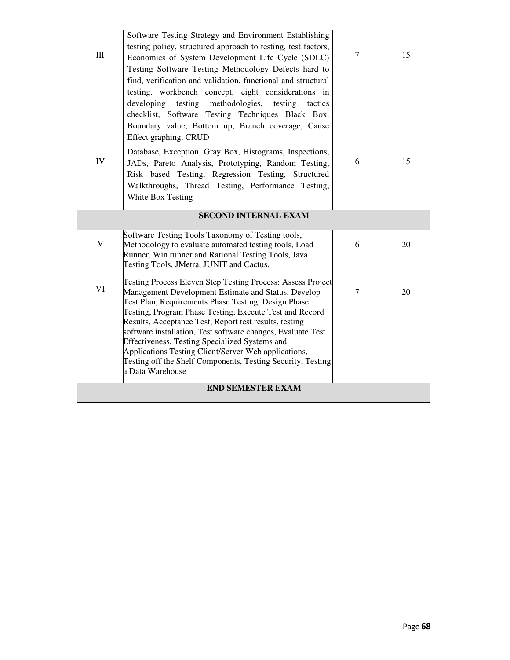| $\rm III$                | Software Testing Strategy and Environment Establishing<br>testing policy, structured approach to testing, test factors,<br>Economics of System Development Life Cycle (SDLC)<br>Testing Software Testing Methodology Defects hard to<br>find, verification and validation, functional and structural<br>testing, workbench concept, eight considerations in<br>developing testing methodologies,<br>testing<br>tactics<br>checklist, Software Testing Techniques Black Box,<br>Boundary value, Bottom up, Branch coverage, Cause<br>Effect graphing, CRUD  | $\tau$ | 15 |  |
|--------------------------|------------------------------------------------------------------------------------------------------------------------------------------------------------------------------------------------------------------------------------------------------------------------------------------------------------------------------------------------------------------------------------------------------------------------------------------------------------------------------------------------------------------------------------------------------------|--------|----|--|
| IV                       | Database, Exception, Gray Box, Histograms, Inspections,<br>JADs, Pareto Analysis, Prototyping, Random Testing,<br>Risk based Testing, Regression Testing, Structured<br>Walkthroughs, Thread Testing, Performance Testing,<br>White Box Testing                                                                                                                                                                                                                                                                                                            | 6      | 15 |  |
|                          | <b>SECOND INTERNAL EXAM</b>                                                                                                                                                                                                                                                                                                                                                                                                                                                                                                                                |        |    |  |
| V                        | Software Testing Tools Taxonomy of Testing tools,<br>Methodology to evaluate automated testing tools, Load<br>Runner, Win runner and Rational Testing Tools, Java<br>Testing Tools, JMetra, JUNIT and Cactus.                                                                                                                                                                                                                                                                                                                                              | 6      | 20 |  |
| VI                       | Testing Process Eleven Step Testing Process: Assess Project<br>Management Development Estimate and Status, Develop<br>Test Plan, Requirements Phase Testing, Design Phase<br>Testing, Program Phase Testing, Execute Test and Record<br>Results, Acceptance Test, Report test results, testing<br>software installation, Test software changes, Evaluate Test<br>Effectiveness. Testing Specialized Systems and<br>Applications Testing Client/Server Web applications,<br>Testing off the Shelf Components, Testing Security, Testing<br>a Data Warehouse | $\tau$ | 20 |  |
| <b>END SEMESTER EXAM</b> |                                                                                                                                                                                                                                                                                                                                                                                                                                                                                                                                                            |        |    |  |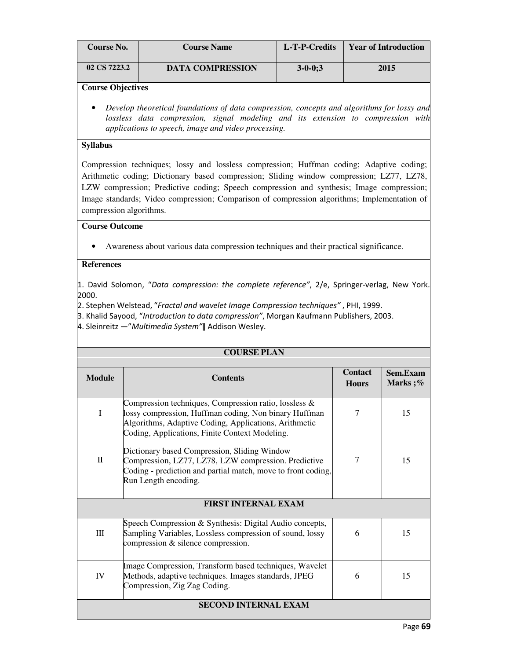| <b>Course No.</b> | <b>Course Name</b>      | L-T-P-Credits | <b>Year of Introduction</b> |
|-------------------|-------------------------|---------------|-----------------------------|
| 02 CS 7223.2      | <b>DATA COMPRESSION</b> | $3 - 0 - 0:3$ | 2015                        |

• *Develop theoretical foundations of data compression, concepts and algorithms for lossy and lossless data compression, signal modeling and its extension to compression with applications to speech, image and video processing.*

#### **Syllabus**

Compression techniques; lossy and lossless compression; Huffman coding; Adaptive coding; Arithmetic coding; Dictionary based compression; Sliding window compression; LZ77, LZ78, LZW compression; Predictive coding; Speech compression and synthesis; Image compression; Image standards; Video compression; Comparison of compression algorithms; Implementation of compression algorithms.

## **Course Outcome**

• Awareness about various data compression techniques and their practical significance.

#### **References**

1. David Solomon, "Data compression: the complete reference", 2/e, Springer-verlag, New York. 2000.

2. Stephen Welstead, "Fractal and wavelet Image Compression techniques" , PHI, 1999.

3. Khalid Sayood, "Introduction to data compression", Morgan Kaufmann Publishers, 2003.

4. Sleinreitz ―"Multimedia System"ǁ Addison Wesley.

| <b>COURSE PLAN</b>               |                                                                                                                                                                                                                           |                                |                     |  |
|----------------------------------|---------------------------------------------------------------------------------------------------------------------------------------------------------------------------------------------------------------------------|--------------------------------|---------------------|--|
| <b>Module</b>                    | <b>Contents</b>                                                                                                                                                                                                           | <b>Contact</b><br><b>Hours</b> | Sem.Exam<br>Marks;% |  |
| $\mathbf I$                      | Compression techniques, Compression ratio, lossless &<br>lossy compression, Huffman coding, Non binary Huffman<br>Algorithms, Adaptive Coding, Applications, Arithmetic<br>Coding, Applications, Finite Context Modeling. | $\tau$                         | 15                  |  |
| $\mathbf{I}$                     | Dictionary based Compression, Sliding Window<br>Compression, LZ77, LZ78, LZW compression. Predictive<br>Coding - prediction and partial match, move to front coding,<br>Run Length encoding.                              | 7                              | 15                  |  |
| <b>FIRST INTERNAL EXAM</b>       |                                                                                                                                                                                                                           |                                |                     |  |
| $\mathop{\mathrm{III}}\nolimits$ | Speech Compression & Synthesis: Digital Audio concepts,<br>Sampling Variables, Lossless compression of sound, lossy<br>compression & silence compression.                                                                 | 6                              | 15                  |  |
| IV                               | Image Compression, Transform based techniques, Wavelet<br>Methods, adaptive techniques. Images standards, JPEG<br>Compression, Zig Zag Coding.                                                                            | 6                              | 15                  |  |
| <b>SECOND INTERNAL EXAM</b>      |                                                                                                                                                                                                                           |                                |                     |  |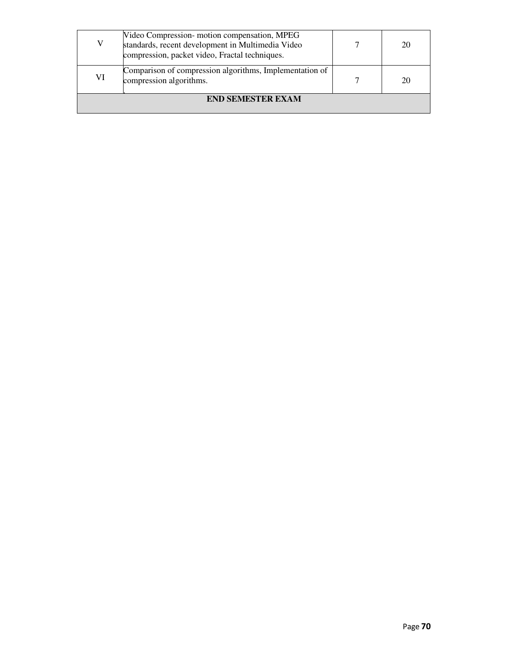| V                        | Video Compression-motion compensation, MPEG<br>standards, recent development in Multimedia Video<br>compression, packet video, Fractal techniques. |  | 20 |  |
|--------------------------|----------------------------------------------------------------------------------------------------------------------------------------------------|--|----|--|
| VI                       | Comparison of compression algorithms, Implementation of<br>compression algorithms.                                                                 |  | 20 |  |
| <b>END SEMESTER EXAM</b> |                                                                                                                                                    |  |    |  |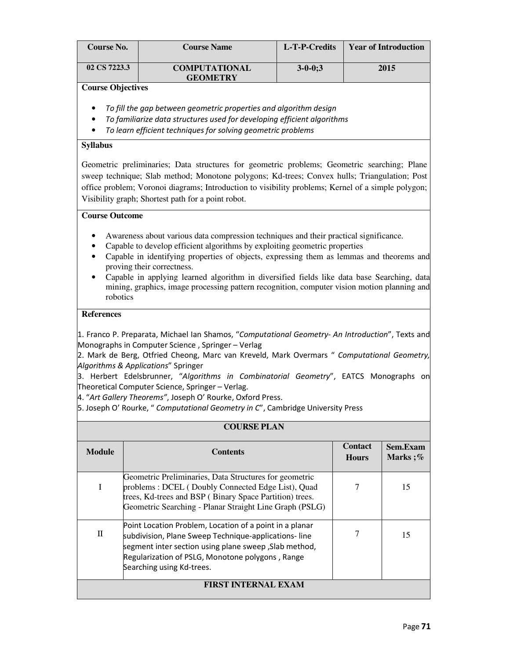| Course No.               | <b>Course Name</b>                      | L-T-P-Credits  | <b>Year of Introduction</b> |
|--------------------------|-----------------------------------------|----------------|-----------------------------|
| 02 CS 7223.3             | <b>COMPUTATIONAL</b><br><b>GEOMETRY</b> | $3 - 0 - 0; 3$ | 2015                        |
| <b>Course Objectives</b> |                                         |                |                             |

- To fill the gap between geometric properties and algorithm design
- To familiarize data structures used for developing efficient algorithms
- To learn efficient techniques for solving geometric problems

## **Syllabus**

Geometric preliminaries; Data structures for geometric problems; Geometric searching; Plane sweep technique; Slab method; Monotone polygons; Kd-trees; Convex hulls; Triangulation; Post office problem; Voronoi diagrams; Introduction to visibility problems; Kernel of a simple polygon; Visibility graph; Shortest path for a point robot.

# **Course Outcome**

- Awareness about various data compression techniques and their practical significance.
- Capable to develop efficient algorithms by exploiting geometric properties
- Capable in identifying properties of objects, expressing them as lemmas and theorems and proving their correctness.
- Capable in applying learned algorithm in diversified fields like data base Searching, data mining, graphics, image processing pattern recognition, computer vision motion planning and robotics

## **References**

1. Franco P. Preparata, Michael Ian Shamos, "Computational Geometry- An Introduction", Texts and Monographs in Computer Science , Springer – Verlag

2. Mark de Berg, Otfried Cheong, Marc van Kreveld, Mark Overmars " Computational Geometry, Algorithms & Applications" Springer

3. Herbert Edelsbrunner, "Algorithms in Combinatorial Geometry", EATCS Monographs on Theoretical Computer Science, Springer – Verlag.

4. "Art Gallery Theorems", Joseph O' Rourke, Oxford Press.

5. Joseph O' Rourke, " Computational Geometry in C", Cambridge University Press

| <b>COURSE PLAN</b> |                                                                                                                                                                                                                                                            |                                |                     |  |
|--------------------|------------------------------------------------------------------------------------------------------------------------------------------------------------------------------------------------------------------------------------------------------------|--------------------------------|---------------------|--|
| <b>Module</b>      | <b>Contents</b>                                                                                                                                                                                                                                            | <b>Contact</b><br><b>Hours</b> | Sem.Exam<br>Marks;% |  |
| I                  | Geometric Preliminaries, Data Structures for geometric<br>problems: DCEL (Doubly Connected Edge List), Quad<br>trees, Kd-trees and BSP (Binary Space Partition) trees.<br>Geometric Searching - Planar Straight Line Graph (PSLG)                          |                                | 15                  |  |
| $\mathbf{I}$       | Point Location Problem, Location of a point in a planar<br>subdivision, Plane Sweep Technique-applications-line<br>segment inter section using plane sweep , Slab method,<br>Regularization of PSLG, Monotone polygons, Range<br>Searching using Kd-trees. |                                | 15                  |  |
|                    | <b>FIRST INTERNAL EXAM</b>                                                                                                                                                                                                                                 |                                |                     |  |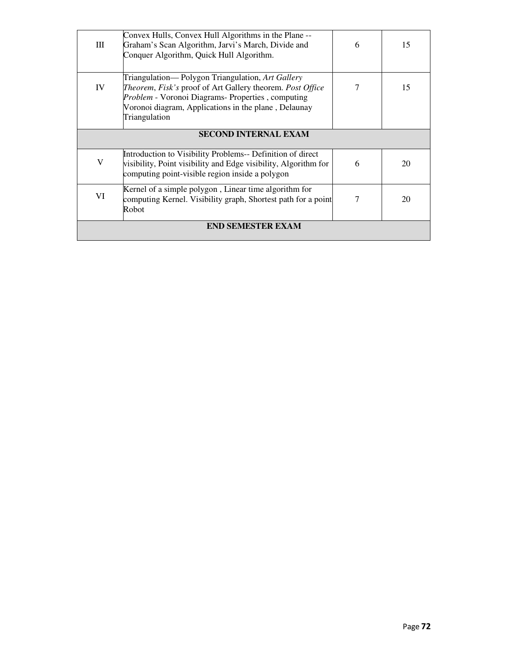| Ш                           | Convex Hulls, Convex Hull Algorithms in the Plane --<br>Graham's Scan Algorithm, Jarvi's March, Divide and<br>Conquer Algorithm, Quick Hull Algorithm.                                                                                             | 6 | 15 |  |  |
|-----------------------------|----------------------------------------------------------------------------------------------------------------------------------------------------------------------------------------------------------------------------------------------------|---|----|--|--|
| IV                          | Triangulation-Polygon Triangulation, Art Gallery<br>Theorem, Fisk's proof of Art Gallery theorem. Post Office<br><i>Problem</i> - Voronoi Diagrams- Properties, computing<br>Voronoi diagram, Applications in the plane, Delaunay<br>Triangulation | 7 | 15 |  |  |
| <b>SECOND INTERNAL EXAM</b> |                                                                                                                                                                                                                                                    |   |    |  |  |
| V                           | Introduction to Visibility Problems-- Definition of direct<br>visibility, Point visibility and Edge visibility, Algorithm for<br>computing point-visible region inside a polygon                                                                   | 6 | 20 |  |  |
| VI                          | Kernel of a simple polygon, Linear time algorithm for<br>computing Kernel. Visibility graph, Shortest path for a point<br>Robot                                                                                                                    |   | 20 |  |  |
|                             | <b>END SEMESTER EXAM</b>                                                                                                                                                                                                                           |   |    |  |  |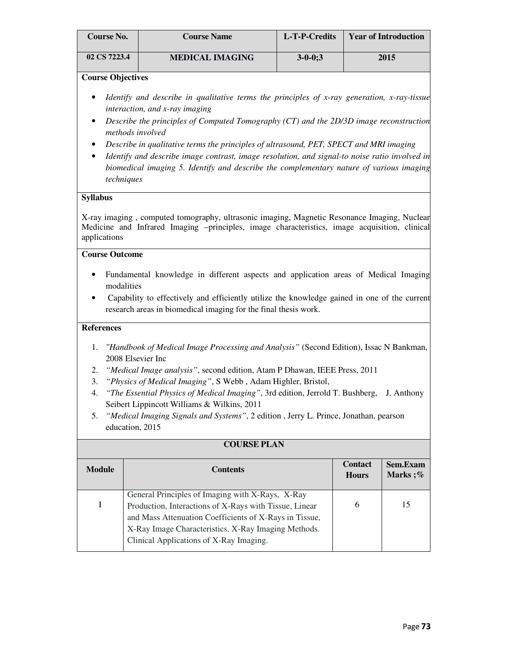| <b>Course No.</b> | <b>Course Name</b>     | L-T-P-Credits | <b>Year of Introduction</b> |
|-------------------|------------------------|---------------|-----------------------------|
| 02 CS 7223.4      | <b>MEDICAL IMAGING</b> | $3 - 0 - 0:3$ | 2015                        |

#### **Course Objectives**

- *Identify and describe in qualitative terms the principles of x-ray generation, x-ray-tissue interaction, and x-ray imaging*
- *Describe the principles of Computed Tomography (CT) and the 2D/3D image reconstruction methods involved*
- *Describe in qualitative terms the principles of ultrasound, PET, SPECT and MRI imaging*
- *Identify and describe image contrast, image resolution, and signal-to noise ratio involved in biomedical imaging 5. Identify and describe the complementary nature of various imaging techniques*

## **Syllabus**

X-ray imaging , computed tomography, ultrasonic imaging, Magnetic Resonance Imaging, Nuclear Medicine and Infrared Imaging –principles, image characteristics, image acquisition, clinical applications

# **Course Outcome**

- Fundamental knowledge in different aspects and application areas of Medical Imaging modalities
- Capability to effectively and efficiently utilize the knowledge gained in one of the current research areas in biomedical imaging for the final thesis work.

## **References**

- 1. *"Handbook of Medical Image Processing and Analysis"* (Second Edition), Issac N Bankman, 2008 Elsevier Inc
- 2. *"Medical Image analysis"*, second edition, Atam P Dhawan, IEEE Press, 2011
- 3. *"Physics of Medical Imaging"*, S Webb , Adam Highler, Bristol,
- 4. *"The Essential Physics of Medical Imaging"*, 3rd edition, Jerrold T. Bushberg, J. Anthony Seibert Lippincott Williams & Wilkins, 2011
- 5. *"Medical Imaging Signals and Systems"*, 2 edition , Jerry L. Prince, Jonathan, pearson education, 2015

|               | COURSE PLAN                                            |                                |                     |  |  |
|---------------|--------------------------------------------------------|--------------------------------|---------------------|--|--|
| <b>Module</b> | <b>Contents</b>                                        | <b>Contact</b><br><b>Hours</b> | Sem.Exam<br>Marks;% |  |  |
|               | General Principles of Imaging with X-Rays, X-Ray       |                                |                     |  |  |
|               | Production, Interactions of X-Rays with Tissue, Linear | 6                              | 15                  |  |  |
|               | and Mass Attenuation Coefficients of X-Rays in Tissue, |                                |                     |  |  |
|               | X-Ray Image Characteristics. X-Ray Imaging Methods.    |                                |                     |  |  |
|               | Clinical Applications of X-Ray Imaging.                |                                |                     |  |  |

## **COURSE IN**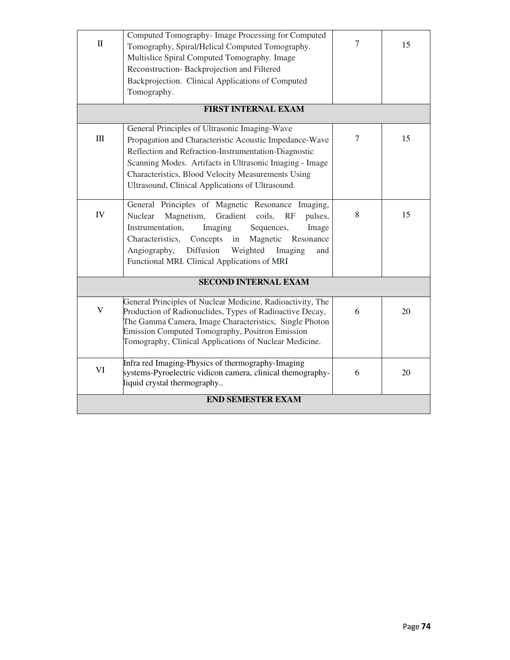| $\mathbf{I}$ | Computed Tomography- Image Processing for Computed<br>Tomography, Spiral/Helical Computed Tomography.<br>Multislice Spiral Computed Tomography. Image<br>Reconstruction-Backprojection and Filtered<br>Backprojection. Clinical Applications of Computed<br>Tomography.                                                                  | $\overline{7}$ | 15 |  |  |
|--------------|------------------------------------------------------------------------------------------------------------------------------------------------------------------------------------------------------------------------------------------------------------------------------------------------------------------------------------------|----------------|----|--|--|
|              | <b>FIRST INTERNAL EXAM</b>                                                                                                                                                                                                                                                                                                               |                |    |  |  |
| $\rm III$    | General Principles of Ultrasonic Imaging-Wave<br>Propagation and Characteristic Acoustic Impedance-Wave<br>Reflection and Refraction-Instrumentation-Diagnostic<br>Scanning Modes. Artifacts in Ultrasonic Imaging - Image<br>Characteristics, Blood Velocity Measurements Using<br>Ultrasound, Clinical Applications of Ultrasound.     | $\tau$         | 15 |  |  |
| IV           | General Principles of Magnetic Resonance Imaging,<br>Nuclear<br>Magnetism,<br>Gradient coils,<br>RF<br>pulses,<br>Instrumentation,<br>Imaging<br>Sequences,<br>Image<br>Characteristics,<br>Concepts in<br>Magnetic Resonance<br>Diffusion<br>Angiography,<br>Weighted<br>Imaging<br>and<br>Functional MRI. Clinical Applications of MRI | 8              | 15 |  |  |
|              | <b>SECOND INTERNAL EXAM</b>                                                                                                                                                                                                                                                                                                              |                |    |  |  |
| V            | General Principles of Nuclear Medicine, Radioactivity, The<br>Production of Radionuclides, Types of Radioactive Decay,<br>The Gamma Camera, Image Characteristics, Single Photon<br><b>Emission Computed Tomography, Positron Emission</b><br>Tomography, Clinical Applications of Nuclear Medicine.                                     | 6              | 20 |  |  |
| VI           | Infra red Imaging-Physics of thermography-Imaging<br>systems-Pyroelectric vidicon camera, clinical themography-<br>liquid crystal thermography                                                                                                                                                                                           | 6              | 20 |  |  |
|              | <b>END SEMESTER EXAM</b>                                                                                                                                                                                                                                                                                                                 |                |    |  |  |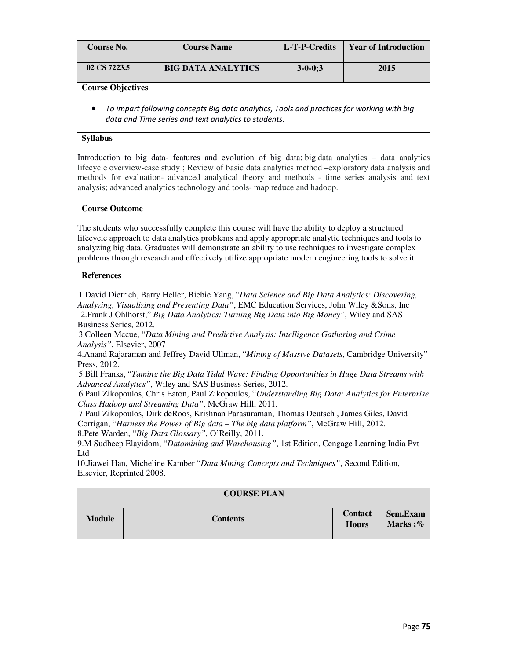| <b>Course No.</b> | <b>Course Name</b>        | L-T-P-Credits | <b>Year of Introduction</b> |
|-------------------|---------------------------|---------------|-----------------------------|
| 02 CS 7223.5      | <b>BIG DATA ANALYTICS</b> | $3 - 0 - 0:3$ | 2015                        |

#### **Course Objectives**

• To impart following concepts Big data analytics, Tools and practices for working with big data and Time series and text analytics to students.

## **Syllabus**

Introduction to big data- features and evolution of big data; big data analytics – data analytics lifecycle overview-case study ; Review of basic data analytics method –exploratory data analysis and methods for evaluation- advanced analytical theory and methods - time series analysis and text analysis; advanced analytics technology and tools- map reduce and hadoop.

#### **Course Outcome**

The students who successfully complete this course will have the ability to deploy a structured lifecycle approach to data analytics problems and apply appropriate analytic techniques and tools to analyzing big data. Graduates will demonstrate an ability to use techniques to investigate complex problems through research and effectively utilize appropriate modern engineering tools to solve it.

#### **References**

 1.David Dietrich, Barry Heller, Biebie Yang, "*Data Science and Big Data Analytics: Discovering, Analyzing, Visualizing and Presenting Data"*, EMC Education Services, John Wiley &Sons, Inc 2.Frank J Ohlhorst," *Big Data Analytics: Turning Big Data into Big Money"*, Wiley and SAS Business Series, 2012.

 3.Colleen Mccue, "*Data Mining and Predictive Analysis: Intelligence Gathering and Crime Analysis"*, Elsevier, 2007

4.Anand Rajaraman and Jeffrey David Ullman, "*Mining of Massive Datasets*, Cambridge University" Press, 2012.

 5.Bill Franks, "*Taming the Big Data Tidal Wave: Finding Opportunities in Huge Data Streams with Advanced Analytics"*, Wiley and SAS Business Series, 2012.

 6.Paul Zikopoulos, Chris Eaton, Paul Zikopoulos, "*Understanding Big Data: Analytics for Enterprise Class Hadoop and Streaming Data"*, McGraw Hill, 2011.

 7.Paul Zikopoulos, Dirk deRoos, Krishnan Parasuraman, Thomas Deutsch , James Giles, David Corrigan, "*Harness the Power of Big data – The big data platform"*, McGraw Hill, 2012.

8.Pete Warden, "*Big Data Glossary"*, O'Reilly, 2011. 9.M Sudheep Elayidom, "*Datamining and Warehousing"*, 1st Edition, Cengage Learning India Pvt Ltd

10.Jiawei Han, Micheline Kamber "*Data Mining Concepts and Techniques"*, Second Edition, Elsevier, Reprinted 2008.

| <b>COURSE PLAN</b> |                 |                         |                      |  |
|--------------------|-----------------|-------------------------|----------------------|--|
| <b>Module</b>      | <b>Contents</b> | Contact<br><b>Hours</b> | Sem.Exam<br>Marks ;% |  |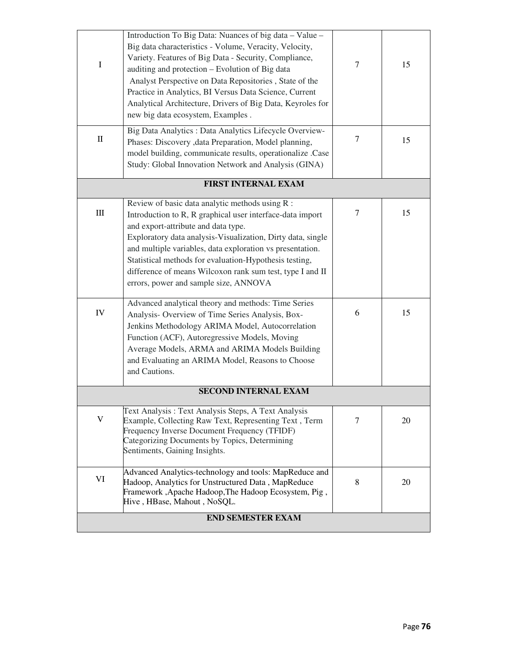| $\bf I$    | Introduction To Big Data: Nuances of big data - Value -<br>Big data characteristics - Volume, Veracity, Velocity,<br>Variety. Features of Big Data - Security, Compliance,<br>auditing and protection - Evolution of Big data<br>Analyst Perspective on Data Repositories, State of the<br>Practice in Analytics, BI Versus Data Science, Current<br>Analytical Architecture, Drivers of Big Data, Keyroles for<br>new big data ecosystem, Examples. | $\tau$ | 15 |
|------------|------------------------------------------------------------------------------------------------------------------------------------------------------------------------------------------------------------------------------------------------------------------------------------------------------------------------------------------------------------------------------------------------------------------------------------------------------|--------|----|
| $\rm II$   | Big Data Analytics : Data Analytics Lifecycle Overview-<br>Phases: Discovery , data Preparation, Model planning,<br>model building, communicate results, operationalize .Case<br>Study: Global Innovation Network and Analysis (GINA)                                                                                                                                                                                                                | 7      | 15 |
|            | <b>FIRST INTERNAL EXAM</b>                                                                                                                                                                                                                                                                                                                                                                                                                           |        |    |
| $\rm III$  | Review of basic data analytic methods using R :<br>Introduction to R, R graphical user interface-data import<br>and export-attribute and data type.<br>Exploratory data analysis-Visualization, Dirty data, single<br>and multiple variables, data exploration vs presentation.<br>Statistical methods for evaluation-Hypothesis testing,<br>difference of means Wilcoxon rank sum test, type I and II<br>errors, power and sample size, ANNOVA      | $\tau$ | 15 |
| ${\rm IV}$ | Advanced analytical theory and methods: Time Series<br>Analysis- Overview of Time Series Analysis, Box-<br>Jenkins Methodology ARIMA Model, Autocorrelation<br>Function (ACF), Autoregressive Models, Moving<br>Average Models, ARMA and ARIMA Models Building<br>and Evaluating an ARIMA Model, Reasons to Choose<br>and Cautions.                                                                                                                  | 6      | 15 |
|            | <b>SECOND INTERNAL EXAM</b>                                                                                                                                                                                                                                                                                                                                                                                                                          |        |    |
| V          | Text Analysis: Text Analysis Steps, A Text Analysis<br>Example, Collecting Raw Text, Representing Text, Term<br>Frequency Inverse Document Frequency (TFIDF)<br>Categorizing Documents by Topics, Determining<br>Sentiments, Gaining Insights.                                                                                                                                                                                                       | 7      | 20 |
| VI         | Advanced Analytics-technology and tools: MapReduce and<br>Hadoop, Analytics for Unstructured Data, MapReduce<br>Framework, Apache Hadoop, The Hadoop Ecosystem, Pig,<br>Hive, HBase, Mahout, NoSQL.                                                                                                                                                                                                                                                  | 8      | 20 |
|            | <b>END SEMESTER EXAM</b>                                                                                                                                                                                                                                                                                                                                                                                                                             |        |    |